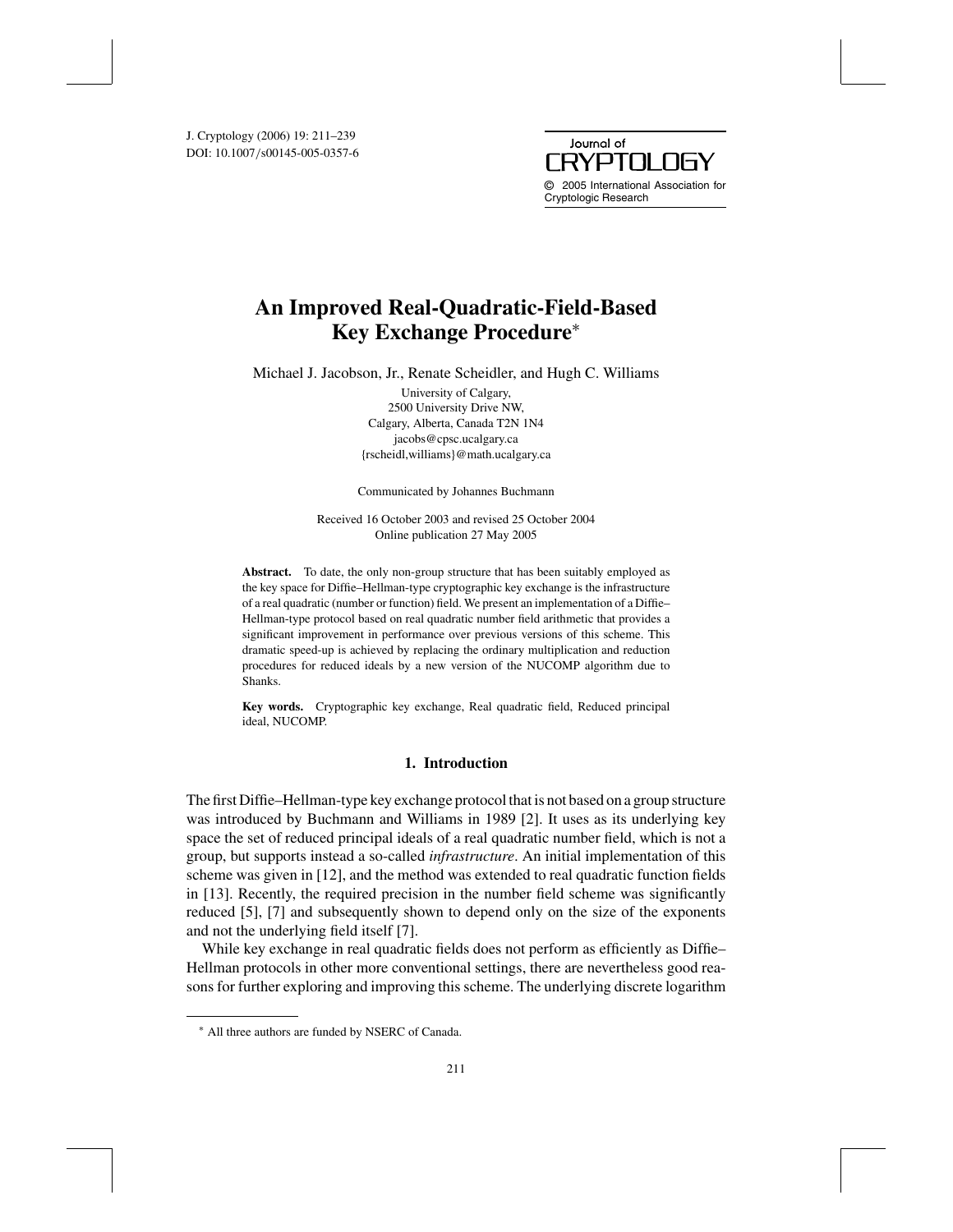DOI: 10.1007/s00145-005-0357-6 J. Cryptology (2006) 19: 211–239



# **An Improved Real-Quadratic-Field-Based Key Exchange Procedure**<sup>∗</sup>

Michael J. Jacobson, Jr., Renate Scheidler, and Hugh C. Williams

University of Calgary, 2500 University Drive NW, Calgary, Alberta, Canada T2N 1N4 jacobs@cpsc.ucalgary.ca {rscheidl,williams}@math.ucalgary.ca

Communicated by Johannes Buchmann

Received 16 October 2003 and revised 25 October 2004 Online publication 27 May 2005

**Abstract.** To date, the only non-group structure that has been suitably employed as the key space for Diffie–Hellman-type cryptographic key exchange is the infrastructure of a real quadratic (number or function) field. We present an implementation of a Diffie– Hellman-type protocol based on real quadratic number field arithmetic that provides a significant improvement in performance over previous versions of this scheme. This dramatic speed-up is achieved by replacing the ordinary multiplication and reduction procedures for reduced ideals by a new version of the NUCOMP algorithm due to Shanks.

**Key words.** Cryptographic key exchange, Real quadratic field, Reduced principal ideal, NUCOMP.

# **1. Introduction**

The first Diffie–Hellman-type key exchange protocol that is not based on a group structure was introduced by Buchmann and Williams in 1989 [2]. It uses as its underlying key space the set of reduced principal ideals of a real quadratic number field, which is not a group, but supports instead a so-called *infrastructure*. An initial implementation of this scheme was given in [12], and the method was extended to real quadratic function fields in [13]. Recently, the required precision in the number field scheme was significantly reduced [5], [7] and subsequently shown to depend only on the size of the exponents and not the underlying field itself [7].

While key exchange in real quadratic fields does not perform as efficiently as Diffie– Hellman protocols in other more conventional settings, there are nevertheless good reasons for further exploring and improving this scheme. The underlying discrete logarithm

<sup>∗</sup> All three authors are funded by NSERC of Canada.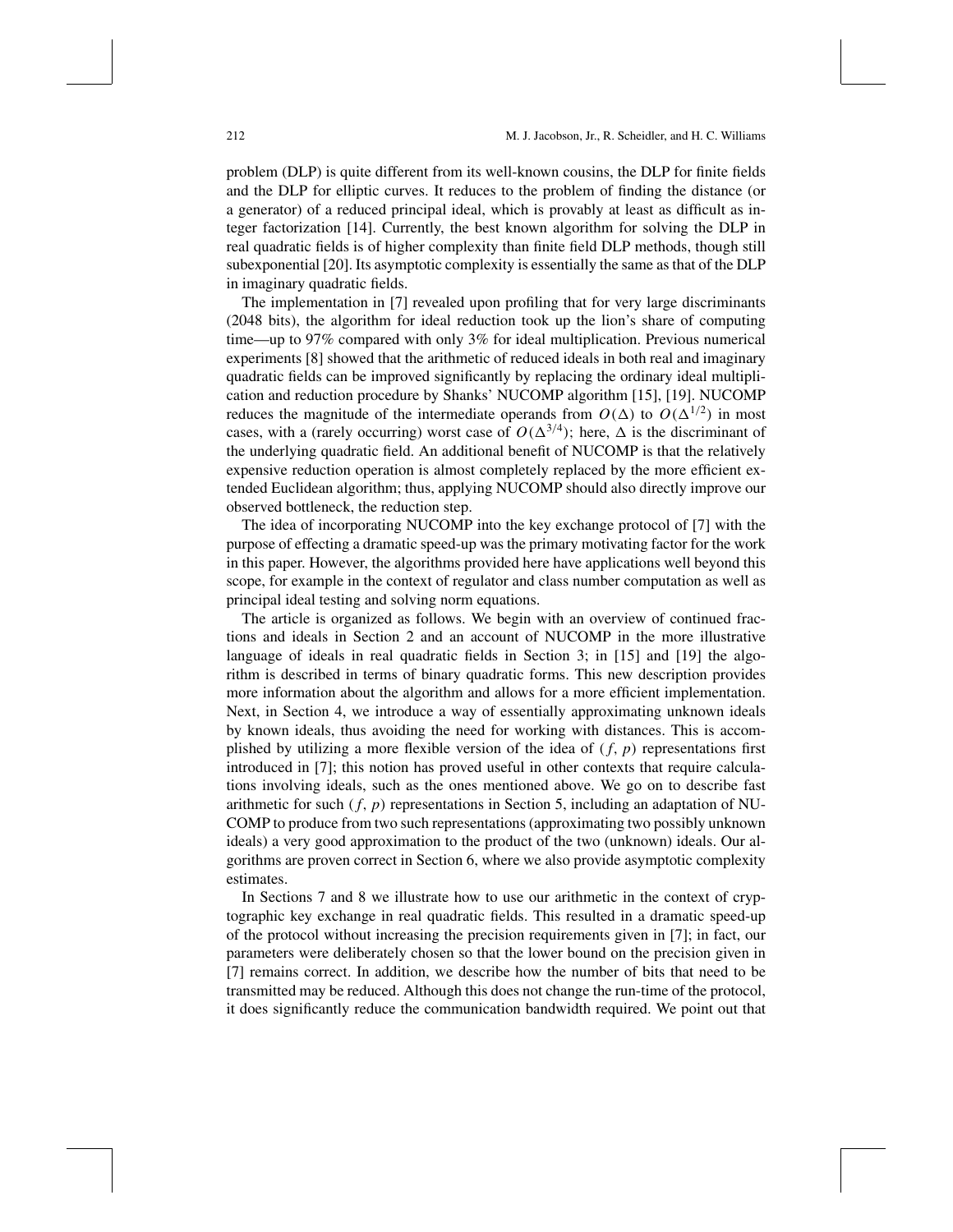problem (DLP) is quite different from its well-known cousins, the DLP for finite fields and the DLP for elliptic curves. It reduces to the problem of finding the distance (or a generator) of a reduced principal ideal, which is provably at least as difficult as integer factorization [14]. Currently, the best known algorithm for solving the DLP in real quadratic fields is of higher complexity than finite field DLP methods, though still subexponential [20]. Its asymptotic complexity is essentially the same as that of the DLP in imaginary quadratic fields.

The implementation in [7] revealed upon profiling that for very large discriminants (2048 bits), the algorithm for ideal reduction took up the lion's share of computing time—up to 97% compared with only 3% for ideal multiplication. Previous numerical experiments [8] showed that the arithmetic of reduced ideals in both real and imaginary quadratic fields can be improved significantly by replacing the ordinary ideal multiplication and reduction procedure by Shanks' NUCOMP algorithm [15], [19]. NUCOMP reduces the magnitude of the intermediate operands from  $O(\Delta)$  to  $O(\Delta^{1/2})$  in most cases, with a (rarely occurring) worst case of  $O(\Delta^{3/4})$ ; here,  $\Delta$  is the discriminant of the underlying quadratic field. An additional benefit of NUCOMP is that the relatively expensive reduction operation is almost completely replaced by the more efficient extended Euclidean algorithm; thus, applying NUCOMP should also directly improve our observed bottleneck, the reduction step.

The idea of incorporating NUCOMP into the key exchange protocol of [7] with the purpose of effecting a dramatic speed-up was the primary motivating factor for the work in this paper. However, the algorithms provided here have applications well beyond this scope, for example in the context of regulator and class number computation as well as principal ideal testing and solving norm equations.

The article is organized as follows. We begin with an overview of continued fractions and ideals in Section 2 and an account of NUCOMP in the more illustrative language of ideals in real quadratic fields in Section 3; in [15] and [19] the algorithm is described in terms of binary quadratic forms. This new description provides more information about the algorithm and allows for a more efficient implementation. Next, in Section 4, we introduce a way of essentially approximating unknown ideals by known ideals, thus avoiding the need for working with distances. This is accomplished by utilizing a more flexible version of the idea of  $(f, p)$  representations first introduced in [7]; this notion has proved useful in other contexts that require calculations involving ideals, such as the ones mentioned above. We go on to describe fast arithmetic for such  $(f, p)$  representations in Section 5, including an adaptation of NU-COMP to produce from two such representations (approximating two possibly unknown ideals) a very good approximation to the product of the two (unknown) ideals. Our algorithms are proven correct in Section 6, where we also provide asymptotic complexity estimates.

In Sections 7 and 8 we illustrate how to use our arithmetic in the context of cryptographic key exchange in real quadratic fields. This resulted in a dramatic speed-up of the protocol without increasing the precision requirements given in [7]; in fact, our parameters were deliberately chosen so that the lower bound on the precision given in [7] remains correct. In addition, we describe how the number of bits that need to be transmitted may be reduced. Although this does not change the run-time of the protocol, it does significantly reduce the communication bandwidth required. We point out that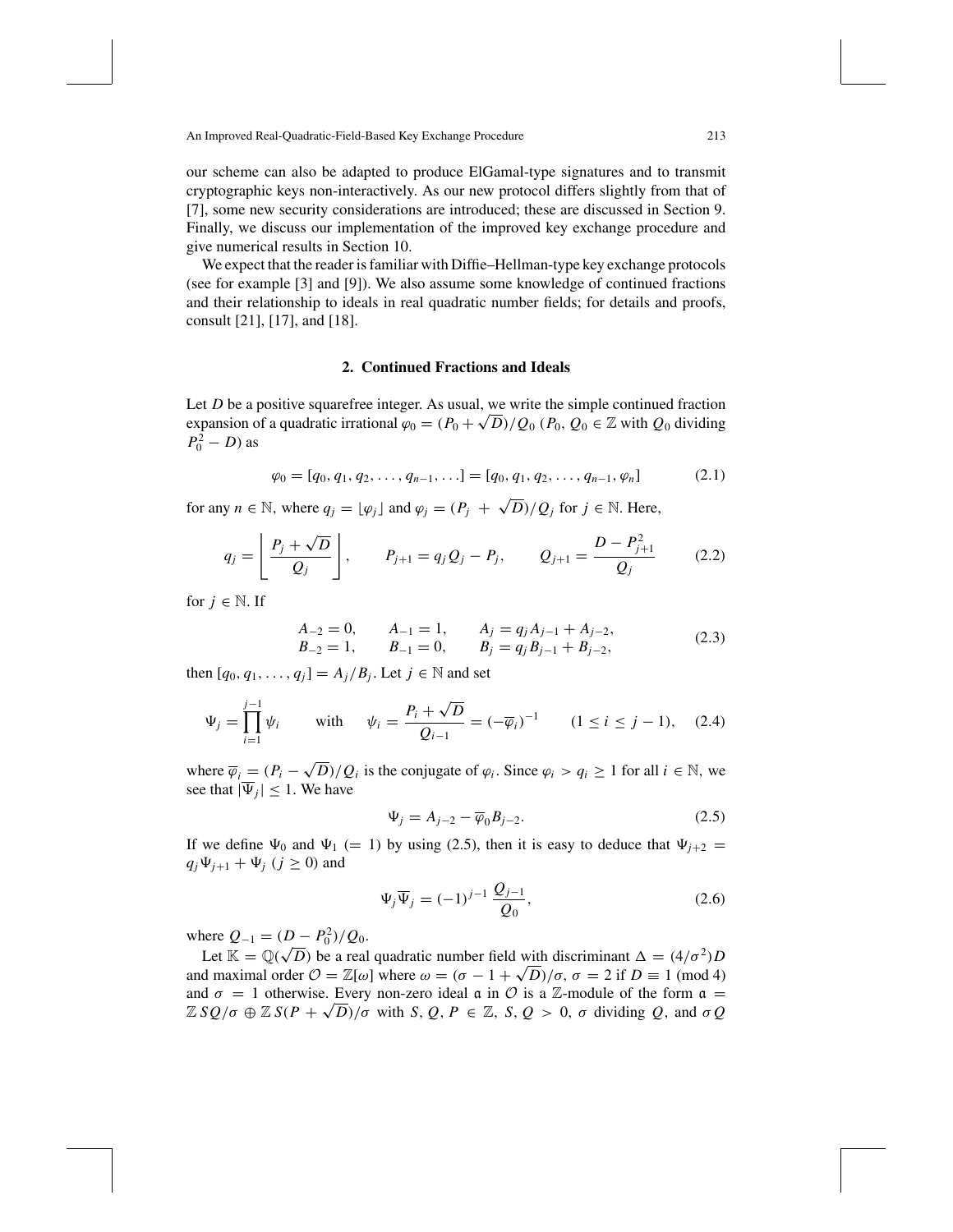our scheme can also be adapted to produce ElGamal-type signatures and to transmit cryptographic keys non-interactively. As our new protocol differs slightly from that of [7], some new security considerations are introduced; these are discussed in Section 9. Finally, we discuss our implementation of the improved key exchange procedure and give numerical results in Section 10.

We expect that the reader is familiar with Diffie–Hellman-type key exchange protocols (see for example [3] and [9]). We also assume some knowledge of continued fractions and their relationship to ideals in real quadratic number fields; for details and proofs, consult [21], [17], and [18].

# **2. Continued Fractions and Ideals**

Let *D* be a positive squarefree integer. As usual, we write the simple continued fraction expansion of a quadratic irrational  $\varphi_0 = (P_0 + \sqrt{D})/Q_0$  ( $P_0$ ,  $Q_0 \in \mathbb{Z}$  with  $Q_0$  dividing  $P_0^2 - D$ ) as

$$
\varphi_0 = [q_0, q_1, q_2, \dots, q_{n-1}, \dots] = [q_0, q_1, q_2, \dots, q_{n-1}, \varphi_n]
$$
(2.1)

for any  $n \in \mathbb{N}$ , where  $q_j = \lfloor \varphi_j \rfloor$  and  $\varphi_j = (P_j + \sqrt{D})/Q_j$  for  $j \in \mathbb{N}$ . Here,

$$
q_j = \left[ \frac{P_j + \sqrt{D}}{Q_j} \right], \qquad P_{j+1} = q_j Q_j - P_j, \qquad Q_{j+1} = \frac{D - P_{j+1}^2}{Q_j} \qquad (2.2)
$$

for  $j \in \mathbb{N}$ . If

$$
\begin{aligned}\nA_{-2} &= 0, & A_{-1} &= 1, & A_j &= q_j A_{j-1} + A_{j-2}, \\
B_{-2} &= 1, & B_{-1} &= 0, & B_j &= q_j B_{j-1} + B_{j-2},\n\end{aligned} \tag{2.3}
$$

then  $[q_0, q_1, \ldots, q_j] = A_j / B_j$ . Let  $j \in \mathbb{N}$  and set

$$
\Psi_j = \prod_{i=1}^{j-1} \psi_i \qquad \text{with} \qquad \psi_i = \frac{P_i + \sqrt{D}}{Q_{i-1}} = (-\overline{\varphi}_i)^{-1} \qquad (1 \le i \le j-1), \quad (2.4)
$$

where  $\overline{\varphi}_i = (P_i - \sqrt{D})/Q_i$  is the conjugate of  $\varphi_i$ . Since  $\varphi_i > q_i \ge 1$  for all  $i \in \mathbb{N}$ , we see that  $|\overline{\Psi}_i| \leq 1$ . We have

$$
\Psi_j = A_{j-2} - \overline{\varphi}_0 B_{j-2}.
$$
\n(2.5)

If we define  $\Psi_0$  and  $\Psi_1$  (= 1) by using (2.5), then it is easy to deduce that  $\Psi_{i+2}$  =  $q_j \Psi_{j+1} + \Psi_j$  (*j*  $\geq$  0) and

$$
\Psi_j \overline{\Psi}_j = (-1)^{j-1} \frac{Q_{j-1}}{Q_0},\tag{2.6}
$$

where  $Q_{-1} = (D - P_0^2)/Q_0$ .

Let  $\mathcal{Q}_{-1} = (D - r_0)/Q_0$ .<br>Let  $\mathbb{K} = \mathbb{Q}(\sqrt{D})$  be a real quadratic number field with discriminant  $\Delta = (4/\sigma^2)D$ and maximal order  $\mathcal{O} = \mathbb{Z}[\omega]$  where  $\omega = (\sigma - 1 + \sqrt{D})/\sigma$ ,  $\sigma = 2$  if  $D \equiv 1 \pmod{4}$ and  $\sigma = 1$  otherwise. Every non-zero ideal  $\alpha$  in  $\mathcal O$  is a  $\mathbb Z$ -module of the form  $\alpha =$  $\mathbb{Z} SQ/\sigma \oplus \mathbb{Z} S(P+\sqrt{D})/\sigma$  with *S*, *Q*, *P*  $\in \mathbb{Z}$ , *S*, *Q* > 0,  $\sigma$  dividing *Q*, and  $\sigma Q$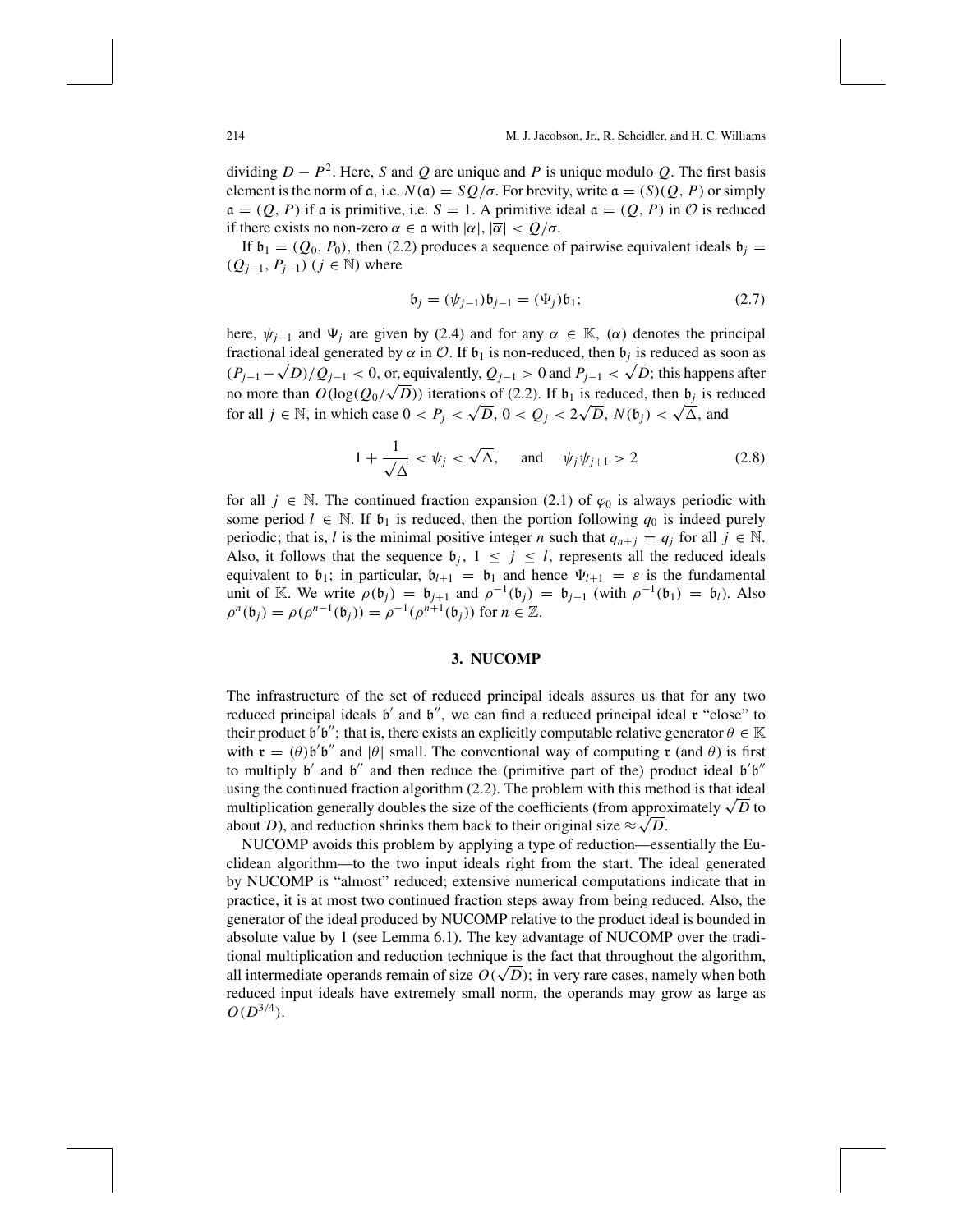dividing  $D - P^2$ . Here, *S* and *Q* are unique and *P* is unique modulo *Q*. The first basis element is the norm of  $\alpha$ , i.e.  $N(\alpha) = SQ/\sigma$ . For brevity, write  $\alpha = (S)(Q, P)$  or simply  $\mathfrak{a} = (Q, P)$  if a is primitive, i.e.  $S = 1$ . A primitive ideal  $\mathfrak{a} = (Q, P)$  in  $O$  is reduced if there exists no non-zero  $\alpha \in \mathfrak{a}$  with  $|\alpha|, |\overline{\alpha}| < Q/\sigma$ .

If  $\mathfrak{b}_1 = (Q_0, P_0)$ , then (2.2) produces a sequence of pairwise equivalent ideals  $\mathfrak{b}_j =$ ( $Q_{j-1}$ ,  $P_{j-1}$ ) ( $j \in \mathbb{N}$ ) where

$$
\mathfrak{b}_{j} = (\psi_{j-1})\mathfrak{b}_{j-1} = (\Psi_{j})\mathfrak{b}_{1};
$$
\n(2.7)

here,  $\psi_{i-1}$  and  $\Psi_i$  are given by (2.4) and for any  $\alpha \in \mathbb{K}$ , ( $\alpha$ ) denotes the principal fractional ideal generated by  $\alpha$  in  $\mathcal{O}$ . If  $\mathfrak{b}_1$  is non-reduced, then  $\mathfrak{b}_j$  is reduced as soon as  $(P_{j-1}-\sqrt{D})/Q_{j-1} < 0$ , or, equivalently,  $Q_{j-1} > 0$  and  $P_{j-1} < \sqrt{D}$ ; this happens after  $(Y_{j-1} - \sqrt{D})/Q_{j-1} < 0$ , or, equivalently,  $Q_{j-1} > 0$  and  $Y_{j-1} < \sqrt{D}$ , this happens arter<br>no more than  $O(\log(Q_0/\sqrt{D}))$  iterations of (2.2). If  $b_1$  is reduced, then  $b_j$  is reduced for all  $j \in \mathbb{N}$ , in which case  $0 < P_j < \sqrt{D}$ ,  $0 < Q_j < 2\sqrt{D}$ ,  $N(b_j) < \sqrt{\Delta}$ , and

$$
1 + \frac{1}{\sqrt{\Delta}} < \psi_j < \sqrt{\Delta}, \quad \text{and} \quad \psi_j \psi_{j+1} > 2 \tag{2.8}
$$

for all  $j \in \mathbb{N}$ . The continued fraction expansion (2.1) of  $\varphi_0$  is always periodic with some period  $l \in \mathbb{N}$ . If  $\mathfrak{b}_1$  is reduced, then the portion following  $q_0$  is indeed purely periodic; that is, *l* is the minimal positive integer *n* such that  $q_{n+j} = q_j$  for all  $j \in \mathbb{N}$ . Also, it follows that the sequence  $\mathfrak{b}_j$ ,  $1 \leq j \leq l$ , represents all the reduced ideals equivalent to  $\mathfrak{b}_1$ ; in particular,  $\mathfrak{b}_{l+1} = \mathfrak{b}_1$  and hence  $\Psi_{l+1} = \varepsilon$  is the fundamental unit of K. We write  $\rho(\mathfrak{b}_j) = \mathfrak{b}_{j+1}$  and  $\rho^{-1}(\mathfrak{b}_j) = \mathfrak{b}_{j-1}$  (with  $\rho^{-1}(\mathfrak{b}_1) = \mathfrak{b}_j$ ). Also  $\rho^{n}(\mathfrak{b}_{i}) = \rho(\rho^{n-1}(\mathfrak{b}_{i})) = \rho^{-1}(\rho^{n+1}(\mathfrak{b}_{i}))$  for  $n \in \mathbb{Z}$ .

# **3. NUCOMP**

The infrastructure of the set of reduced principal ideals assures us that for any two reduced principal ideals  $\mathfrak{b}'$  and  $\mathfrak{b}''$ , we can find a reduced principal ideal  $\mathfrak{r}$  "close" to their product  $\mathfrak{b}'\mathfrak{b}''$ ; that is, there exists an explicitly computable relative generator  $\theta \in \mathbb{K}$ with  $\mathfrak{r} = (\theta) \mathfrak{b}' \mathfrak{b}''$  and  $|\theta|$  small. The conventional way of computing  $\mathfrak{r}$  (and  $\theta$ ) is first to multiply  $\mathfrak{b}'$  and  $\mathfrak{b}''$  and then reduce the (primitive part of the) product ideal  $\mathfrak{b}'\mathfrak{b}''$ using the continued fraction algorithm (2.2). The problem with this method is that ideal multiplication generally doubles the size of the coefficients (from approximately  $\sqrt{D}$  to about *D*), and reduction shrinks them back to their original size  $\approx \sqrt{D}$ .

NUCOMP avoids this problem by applying a type of reduction—essentially the Euclidean algorithm—to the two input ideals right from the start. The ideal generated by NUCOMP is "almost" reduced; extensive numerical computations indicate that in practice, it is at most two continued fraction steps away from being reduced. Also, the generator of the ideal produced by NUCOMP relative to the product ideal is bounded in absolute value by 1 (see Lemma 6.1). The key advantage of NUCOMP over the traditional multiplication and reduction technique is the fact that throughout the algorithm, tional multiplication and reduction technique is the fact that throughout the algorithm,<br>all intermediate operands remain of size  $O(\sqrt{D})$ ; in very rare cases, namely when both reduced input ideals have extremely small norm, the operands may grow as large as  $O(D^{3/4})$ .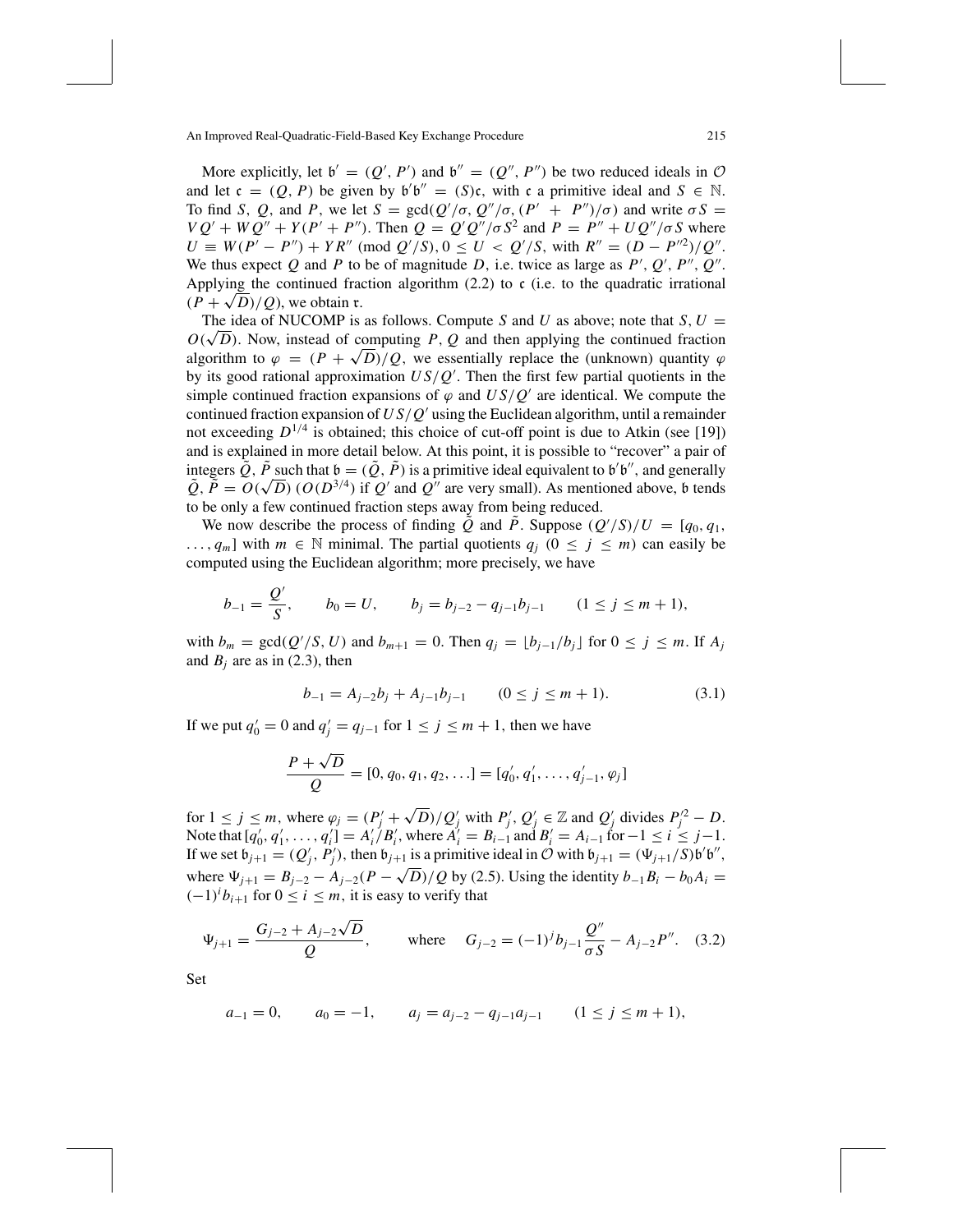More explicitly, let  $b' = (Q', P')$  and  $b'' = (Q'', P'')$  be two reduced ideals in  $O$ and let  $c = (Q, P)$  be given by  $b'b'' = (S)c$ , with c a primitive ideal and  $S \in \mathbb{N}$ . To find *S*, *Q*, and *P*, we let  $S = \text{gcd}(Q'/\sigma, Q''/\sigma, (P' + P'')/\sigma)$  and write  $\sigma S =$  $VQ' + WQ'' + Y(P' + P'')$ . Then  $Q = Q'Q''/\sigma S^2$  and  $P = P'' + UQ''/\sigma S$  where  $U \equiv W(P' - P'') + Y R'' \pmod{Q'/S}, 0 \le U < Q'/S$ , with  $R'' = (D - P')/Q''$ . We thus expect  $Q$  and  $P$  to be of magnitude  $D$ , i.e. twice as large as  $P'$ ,  $Q'$ ,  $P''$ ,  $Q''$ . Applying the continued fraction algorithm  $(2.2)$  to c (i.e. to the quadratic irrational  $(P + \sqrt{D})/Q$ , we obtain r.

The idea of NUCOMP is as follows. Compute *S* and *U* as above; note that *S*,  $U =$ The idea of NUCOMP is as follows. Compute S and U as above; note that S,  $U = O(\sqrt{D})$ . Now, instead of computing *P*, *Q* and then applying the continued fraction algorithm to  $\varphi = (P + \sqrt{D})/Q$ , we essentially replace the (unknown) quantity  $\varphi$ by its good rational approximation *U S*/*Q* . Then the first few partial quotients in the simple continued fraction expansions of  $\varphi$  and  $US/Q'$  are identical. We compute the continued fraction expansion of *U S*/*Q* using the Euclidean algorithm, until a remainder not exceeding  $D^{1/4}$  is obtained; this choice of cut-off point is due to Atkin (see [19]) and is explained in more detail below. At this point, it is possible to "recover" a pair of integers  $\tilde{Q}$ ,  $\tilde{P}$  such that  $\mathfrak{b} = (\tilde{Q}, \tilde{P})$  is a primitive ideal equivalent to  $\mathfrak{b}'\mathfrak{b}''$ , and generally integers Q, P such that  $\mathfrak{v} = (Q, P)$  is a primitive ideal equivalent to  $\mathfrak{v}$   $\mathfrak{v}$ , and generally  $\tilde{Q}, \tilde{P} = O(\sqrt{D})$  ( $O(D^{3/4})$  if Q' and Q'' are very small). As mentioned above,  $\mathfrak{b}$  tends to be only a few continued fraction steps away from being reduced.

We now describe the process of finding  $\tilde{Q}$  and  $\tilde{P}$ . Suppose  $(Q'/S)/U = [q_0, q_1,$ ..., *q<sub>m</sub>*] with *m* ∈ N minimal. The partial quotients  $q_j$  (0 ≤ *j* ≤ *m*) can easily be computed using the Euclidean algorithm; more precisely, we have

$$
b_{-1} = \frac{Q'}{S}
$$
,  $b_0 = U$ ,  $b_j = b_{j-2} - q_{j-1}b_{j-1}$   $(1 \le j \le m+1)$ ,

with  $b_m = \gcd(Q'/S, U)$  and  $b_{m+1} = 0$ . Then  $q_j = \lfloor b_{j-1}/b_j \rfloor$  for  $0 \le j \le m$ . If  $A_j$ and  $B_i$  are as in (2.3), then

$$
b_{-1} = A_{j-2}b_j + A_{j-1}b_{j-1} \qquad (0 \le j \le m+1). \tag{3.1}
$$

If we put  $q'_0 = 0$  and  $q'_j = q_{j-1}$  for  $1 \le j \le m + 1$ , then we have

$$
\frac{P + \sqrt{D}}{Q} = [0, q_0, q_1, q_2, \ldots] = [q'_0, q'_1, \ldots, q'_{j-1}, \varphi_j]
$$

for  $1 \le j \le m$ , where  $\varphi_j = (P'_j + \sqrt{D})/Q'_j$  with  $P'_j$ ,  $Q'_j \in \mathbb{Z}$  and  $Q'_j$  divides  $P'^2_j - D$ . Note that  $[q'_0, q'_1, \ldots, q'_i] = A'_i/B'_i$ , where  $A'_i = B_{i-1}$  and  $B'_i = A_{i-1}$  for  $-1 \le i \le j-1$ . If we set  $b_{j+1} = (Q'_j, P'_j)$ , then  $b_{j+1}$  is a primitive ideal in  $O$  with  $b_{j+1} = (\Psi_{j+1}/S) b' b''$ , where  $\Psi_{j+1} = B_{j-2} - A_{j-2}(P - \sqrt{D})/Q$  by (2.5). Using the identity  $b_{-1}B_i - b_0A_i =$  $(-1)^i b_{i+1}$  for  $0 \le i \le m$ , it is easy to verify that

$$
\Psi_{j+1} = \frac{G_{j-2} + A_{j-2}\sqrt{D}}{Q}, \quad \text{where} \quad G_{j-2} = (-1)^j b_{j-1} \frac{Q''}{\sigma S} - A_{j-2} P''. \quad (3.2)
$$

Set

$$
a_{-1} = 0
$$
,  $a_0 = -1$ ,  $a_j = a_{j-2} - q_{j-1}a_{j-1}$   $(1 \le j \le m + 1)$ ,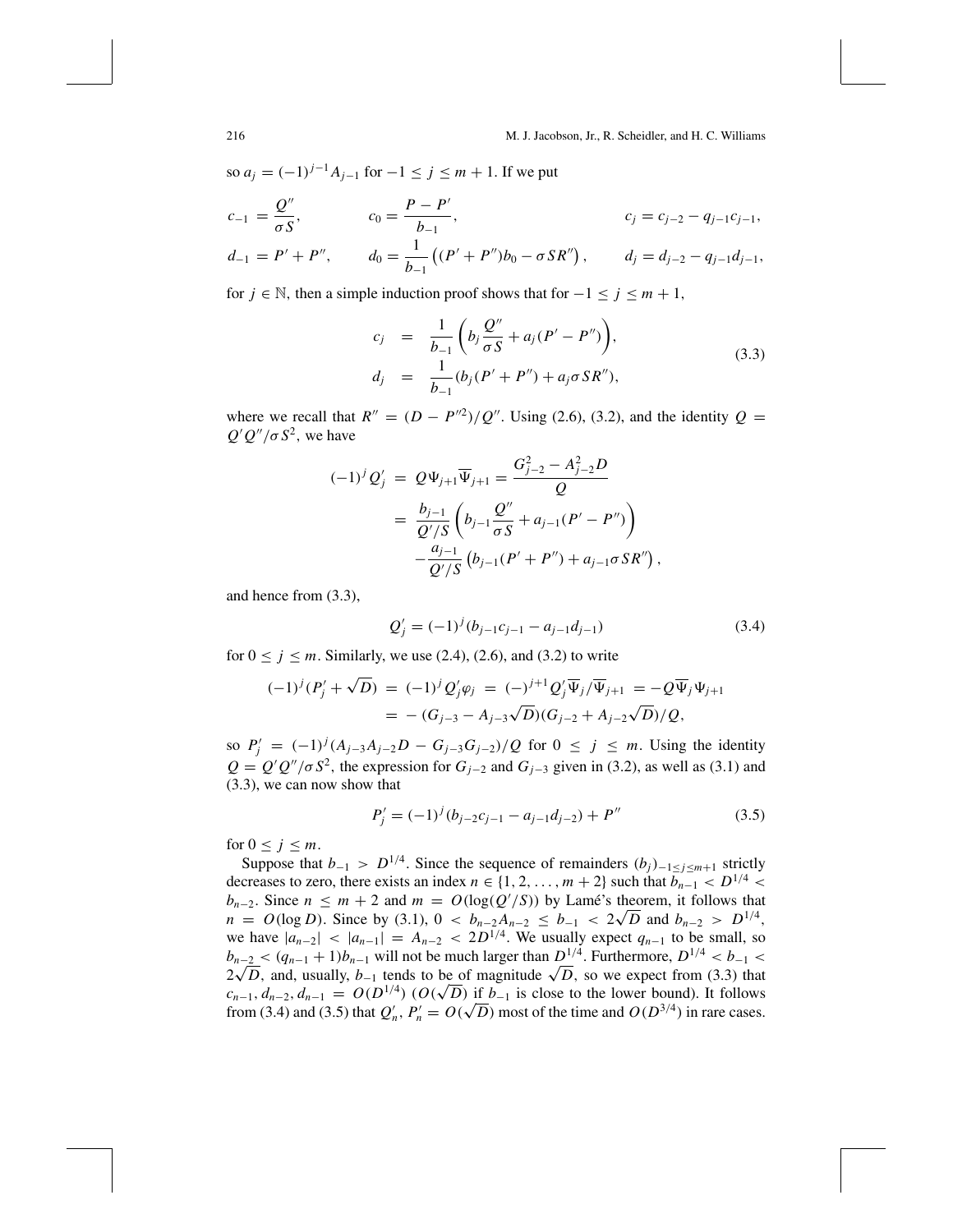so  $a_i = (-1)^{j-1} A_{i-1}$  for  $-1 \le j \le m+1$ . If we put

$$
c_{-1} = \frac{Q''}{\sigma S}, \qquad c_0 = \frac{P - P'}{b_{-1}}, \qquad c_j = c_{j-2} - q_{j-1}c_{j-1},
$$
  

$$
d_{-1} = P' + P'', \qquad d_0 = \frac{1}{b_{-1}}((P' + P'')b_0 - \sigma S R''), \qquad d_j = d_{j-2} - q_{j-1}d_{j-1},
$$

for  $j \text{ ∈ } \mathbb{N}$ , then a simple induction proof shows that for  $-1 \le j \le m+1$ ,

$$
c_j = \frac{1}{b_{-1}} \left( b_j \frac{Q''}{\sigma S} + a_j (P' - P'') \right),
$$
  
\n
$$
d_j = \frac{1}{b_{-1}} (b_j (P' + P'') + a_j \sigma S R''),
$$
\n(3.3)

where we recall that  $R'' = (D - P^{2})/Q''$ . Using (2.6), (3.2), and the identity  $Q =$  $Q'Q''/\sigma S^2$ , we have

$$
(-1)^{j} Q'_{j} = Q \Psi_{j+1} \overline{\Psi}_{j+1} = \frac{G_{j-2}^{2} - A_{j-2}^{2} D}{Q}
$$
  
= 
$$
\frac{b_{j-1}}{Q'/S} \left( b_{j-1} \frac{Q''}{\sigma S} + a_{j-1} (P' - P'') \right)
$$
  

$$
-\frac{a_{j-1}}{Q'/S} \left( b_{j-1} (P' + P'') + a_{j-1} \sigma S R'' \right),
$$

and hence from (3.3),

$$
Q'_{j} = (-1)^{j} (b_{j-1}c_{j-1} - a_{j-1}d_{j-1})
$$
\n(3.4)

for  $0 \le j \le m$ . Similarly, we use (2.4), (2.6), and (3.2) to write

$$
\begin{aligned} (-1)^j (P'_j + \sqrt{D}) &= (-1)^j Q'_j \varphi_j = (-)^{j+1} Q'_j \overline{\Psi}_j / \overline{\Psi}_{j+1} = -Q \overline{\Psi}_j \Psi_{j+1} \\ &= -(G_{j-3} - A_{j-3} \sqrt{D}) (G_{j-2} + A_{j-2} \sqrt{D}) / Q, \end{aligned}
$$

so  $P'_{j} = (-1)^{j} (A_{j-3}A_{j-2}D - G_{j-3}G_{j-2})/Q$  for  $0 \le j \le m$ . Using the identity  $Q = Q'Q''/\sigma S^2$ , the expression for  $G_{j-2}$  and  $G_{j-3}$  given in (3.2), as well as (3.1) and (3.3), we can now show that

$$
P'_{j} = (-1)^{j} (b_{j-2}c_{j-1} - a_{j-1}d_{j-2}) + P''
$$
\n(3.5)

for  $0 \leq j \leq m$ .

Suppose that  $b_{-1} > D^{1/4}$ . Since the sequence of remainders  $(b_j)_{-1 \leq j \leq m+1}$  strictly decreases to zero, there exists an index  $n \in \{1, 2, \ldots, m+2\}$  such that  $\overline{b_{n-1}} < D^{1/4}$ *b<sub>n−2</sub>*. Since  $n \le m + 2$  and  $m = O(\log(Q'/S))$  by Lamé's theorem, it follows that  $b_{n-2}$ . Since  $n \le m + 2$  and  $m = O(\log(Q^2/3))$  by Lame s theorem, it follows that  $n = O(\log D)$ . Since by (3.1),  $0 < b_{n-2}A_{n-2} \le b_{-1} < 2\sqrt{D}$  and  $b_{n-2} > D^{1/4}$ , we have  $|a_{n-2}|$  <  $|a_{n-1}| = A_{n-2}$  <  $2D^{1/4}$ . We usually expect  $q_{n-1}$  to be small, so  $b_{n-2} < (q_{n-1} + 1)b_{n-1}$  will not be much larger than  $D^{1/4}$ . Furthermore,  $D^{1/4} < b_{-1}$  $b_{n-2} < (q_{n-1} + 1)b_{n-1}$  will not be much larger than  $D^{(n)}$ . Furthermore,  $D^{(n)} < b_{-1} < 2\sqrt{D}$ , and, usually,  $b_{-1}$  tends to be of magnitude  $\sqrt{D}$ , so we expect from (3.3) that  $c_{n-1}, d_{n-2}, d_{n-1} = O(D^{1/4})$  ( $O(\sqrt{D})$  if  $b_{-1}$  is close to the lower bound). It follows  $c_{n-1}, a_{n-2}, a_{n-1} = O(D^{2/3})$  ( $O(\sqrt{D})$  if  $b_{-1}$  is close to the lower bound). It follows from (3.4) and (3.5) that  $Q'_n$ ,  $P'_n = O(\sqrt{D})$  most of the time and  $O(D^{3/4})$  in rare cases.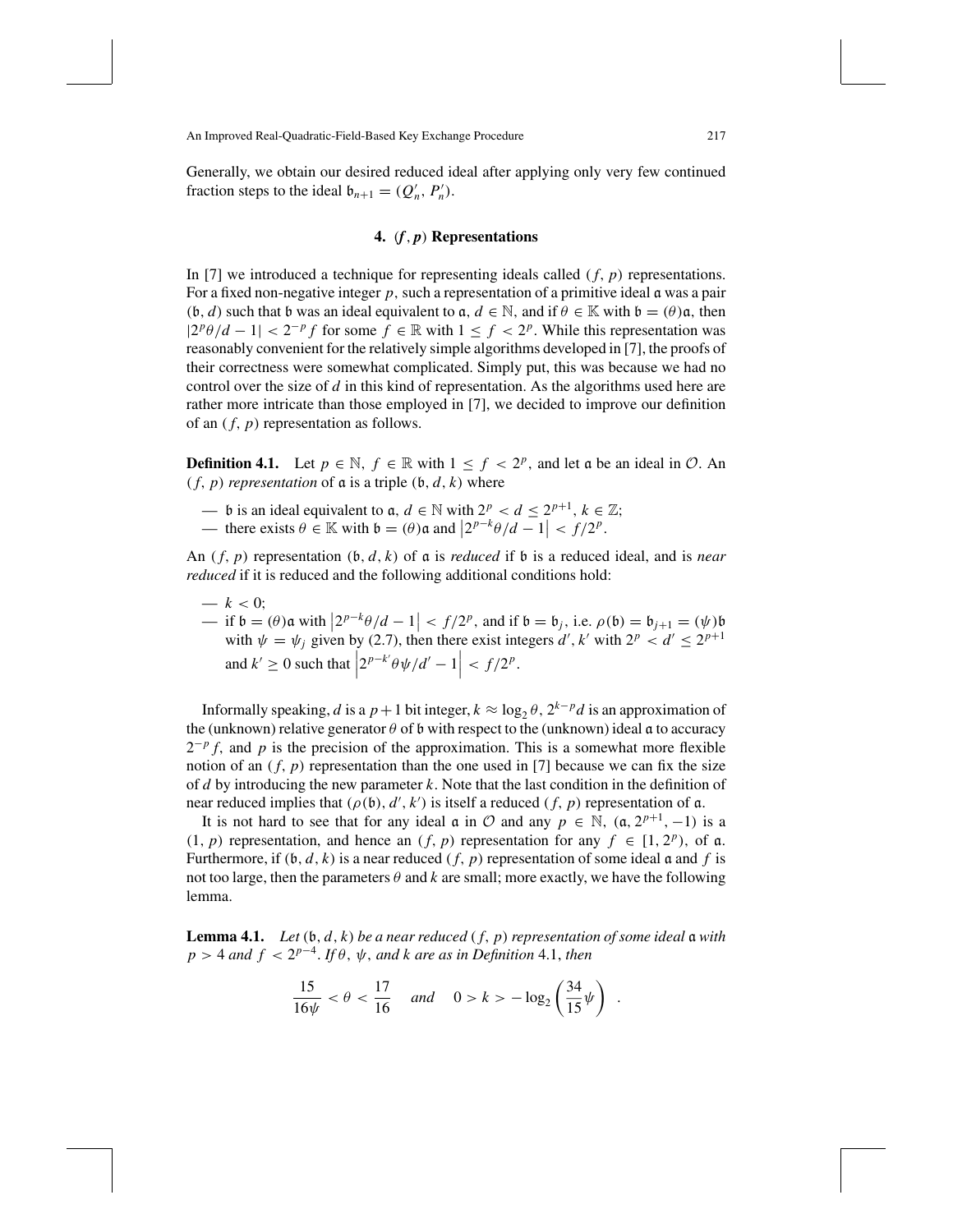Generally, we obtain our desired reduced ideal after applying only very few continued fraction steps to the ideal  $\mathfrak{b}_{n+1} = (Q'_n, P'_n)$ .

# **4.** (*f*, *p*) **Representations**

In [7] we introduced a technique for representing ideals called  $(f, p)$  representations. For a fixed non-negative integer *p*, such a representation of a primitive ideal a was a pair  $(\mathfrak{b}, d)$  such that b was an ideal equivalent to  $\mathfrak{a}, d \in \mathbb{N}$ , and if  $\theta \in \mathbb{K}$  with  $\mathfrak{b} = (\theta)\mathfrak{a}$ , then  $|2^p\theta/d - 1| < 2^{-p} f$  for some  $f \in \mathbb{R}$  with  $1 \leq f < 2^p$ . While this representation was reasonably convenient for the relatively simple algorithms developed in [7], the proofs of their correctness were somewhat complicated. Simply put, this was because we had no control over the size of *d* in this kind of representation. As the algorithms used here are rather more intricate than those employed in [7], we decided to improve our definition of an ( *f*, *p*) representation as follows.

**Definition 4.1.** Let  $p \in \mathbb{N}$ ,  $f \in \mathbb{R}$  with  $1 \leq f < 2^p$ , and let a be an ideal in  $\mathcal{O}$ . An  $(f, p)$  *representation* of  $\alpha$  is a triple  $(\mathfrak{b}, d, k)$  where

- b is an ideal equivalent to  $\mathfrak{a}, d \in \mathbb{N}$  with  $2^p < d \le 2^{p+1}, k \in \mathbb{Z}$ ;
- there exists  $θ ∈ \mathbb{K}$  with  $b = (θ)α$  and  $|2^{p-k}θ/d 1| < f/2^p$ .

An  $(f, p)$  representation  $(b, d, k)$  of a is *reduced* if b is a reduced ideal, and is *near reduced* if it is reduced and the following additional conditions hold:

—  $k < 0$ :

 $\frac{1}{\pi}$  if b = (θ) a with  $\left|2^{p-k}\theta/d - 1\right| < f/2^p$ , and if b = b<sub>j</sub>, i.e. ρ(b) = b<sub>j+1</sub> = (ψ) b = with at a singular by (2.7), then there exist integers d' k' with  $2^p$ , and  $\leq 2^{p+1}$ with  $\psi = \psi_j$  given by (2.7), then there exist integers  $d', k'$  with  $2^p < d' \le 2^{p+1}$ and  $k' \geq 0$  such that  $2^{p-k'}\theta\psi/d'-1$  $\langle f/2^{p}.$ 

Informally speaking, *d* is a *p* + 1 bit integer,  $k \approx \log_2 \theta$ ,  $2^{k-p}d$  is an approximation of the (unknown) relative generator  $\theta$  of b with respect to the (unknown) ideal  $\alpha$  to accuracy  $2^{-p} f$ , and *p* is the precision of the approximation. This is a somewhat more flexible notion of an  $(f, p)$  representation than the one used in [7] because we can fix the size of *d* by introducing the new parameter *k*. Note that the last condition in the definition of near reduced implies that  $(\rho(\mathfrak{b}), d', k')$  is itself a reduced  $(f, p)$  representation of a.

It is not hard to see that for any ideal  $\alpha$  in  $\mathcal O$  and any  $p \in \mathbb N$ ,  $(\alpha, 2^{p+1}, -1)$  is a  $(1, p)$  representation, and hence an  $(f, p)$  representation for any  $f \in [1, 2^p)$ , of a. Furthermore, if  $(b, d, k)$  is a near reduced  $(f, p)$  representation of some ideal  $\alpha$  and  $f$  is not too large, then the parameters  $\theta$  and k are small; more exactly, we have the following lemma.

**Lemma 4.1.** *Let*  $(b, d, k)$  *be a near reduced*  $(f, p)$  *representation of some ideal*  $\alpha$  *with*  $p > 4$  *and*  $f < 2^{p-4}$ . *If*  $\theta$ ,  $\psi$ , *and*  $k$  *are as in Definition* 4.1, *then* 

$$
\frac{15}{16\psi} < \theta < \frac{17}{16} \quad \text{and} \quad 0 > k > -\log_2\left(\frac{34}{15}\psi\right) \; .
$$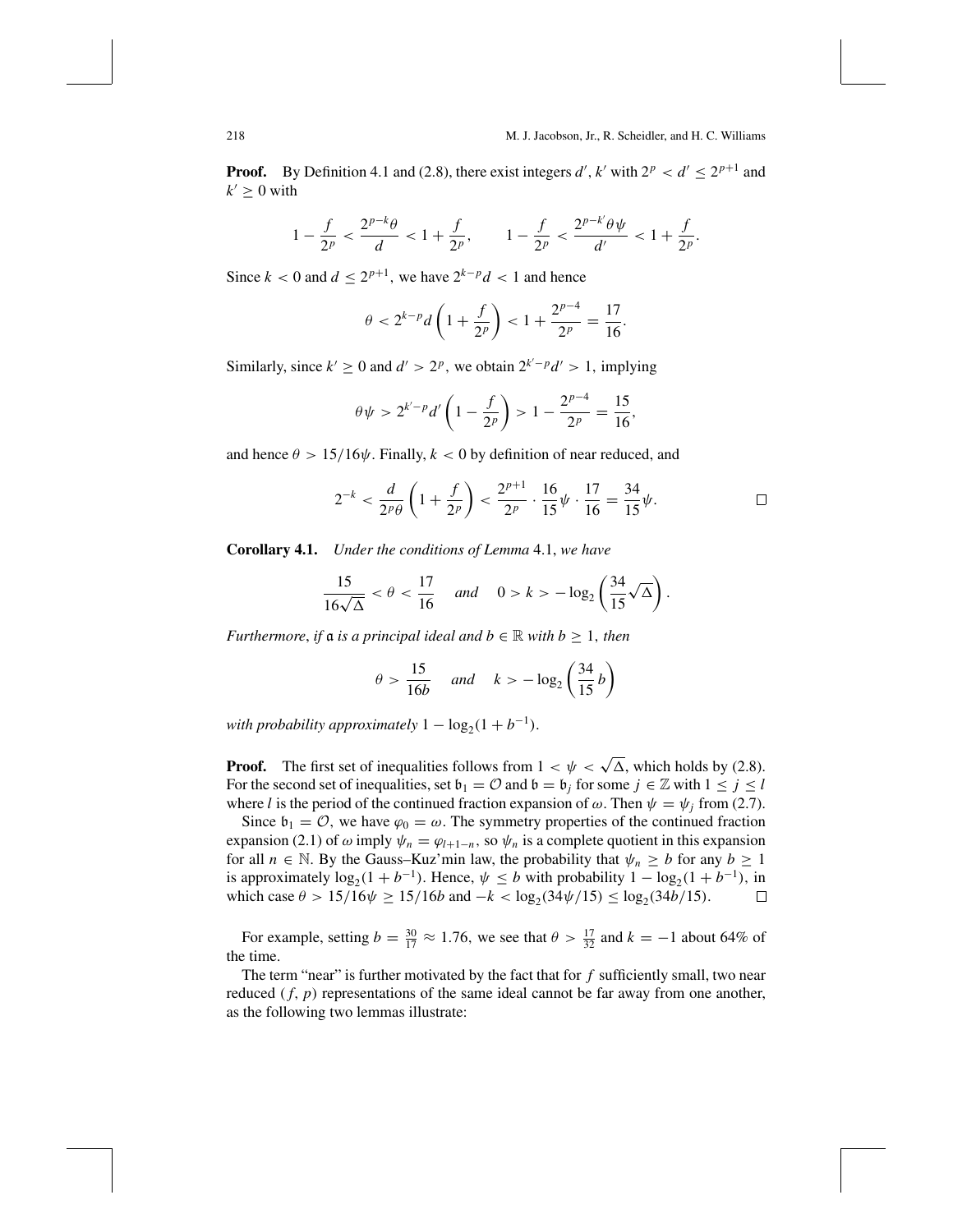**Proof.** By Definition 4.1 and (2.8), there exist integers *d'*, *k'* with  $2^p < d' \le 2^{p+1}$  and  $k' \geq 0$  with

$$
1-\frac{f}{2^p} < \frac{2^{p-k} \theta}{d} < 1+\frac{f}{2^p}, \qquad 1-\frac{f}{2^p} < \frac{2^{p-k'} \theta \psi}{d'} < 1+\frac{f}{2^p}.
$$

Since  $k < 0$  and  $d \le 2^{p+1}$ , we have  $2^{k-p}d < 1$  and hence

$$
\theta < 2^{k-p}d\left(1 + \frac{f}{2^p}\right) < 1 + \frac{2^{p-4}}{2^p} = \frac{17}{16}.
$$

Similarly, since  $k' \ge 0$  and  $d' > 2^p$ , we obtain  $2^{k'-p}d' > 1$ , implying

$$
\theta \psi > 2^{k'-p} d' \left( 1 - \frac{f}{2^p} \right) > 1 - \frac{2^{p-4}}{2^p} = \frac{15}{16},
$$

and hence  $\theta > 15/16\psi$ . Finally,  $k < 0$  by definition of near reduced, and

$$
2^{-k} < \frac{d}{2^p \theta} \left( 1 + \frac{f}{2^p} \right) < \frac{2^{p+1}}{2^p} \cdot \frac{16}{15} \psi \cdot \frac{17}{16} = \frac{34}{15} \psi. \quad \Box
$$

**Corollary 4.1.** *Under the conditions of Lemma* 4.1, *we have*

$$
\frac{15}{16\sqrt{\Delta}} < \theta < \frac{17}{16} \quad \text{and} \quad 0 > k > -\log_2\left(\frac{34}{15}\sqrt{\Delta}\right).
$$

*Furthermore, if*  $\alpha$  *is a principal ideal and*  $b \in \mathbb{R}$  *with*  $b \ge 1$ *, then* 

$$
\theta > \frac{15}{16b} \quad \text{and} \quad k > -\log_2\left(\frac{34}{15}b\right)
$$

*with probability approximately*  $1 - \log_2(1 + b^{-1})$ .

**Proof.** The first set of inequalities follows from  $1 < \psi < \sqrt{\Delta}$ , which holds by (2.8). For the second set of inequalities, set  $\mathfrak{b}_1 = \mathcal{O}$  and  $\mathfrak{b} = \mathfrak{b}_j$  for some  $j \in \mathbb{Z}$  with  $1 \le j \le l$ where *l* is the period of the continued fraction expansion of  $\omega$ . Then  $\psi = \psi_i$  from (2.7).

Since  $\mathfrak{b}_1 = \mathcal{O}$ , we have  $\varphi_0 = \omega$ . The symmetry properties of the continued fraction expansion (2.1) of  $\omega$  imply  $\psi_n = \varphi_{l+1-n}$ , so  $\psi_n$  is a complete quotient in this expansion for all  $n \in \mathbb{N}$ . By the Gauss–Kuz'min law, the probability that  $\psi_n \geq b$  for any  $b \geq 1$ is approximately  $\log_2(1 + b^{-1})$ . Hence,  $\psi \le b$  with probability  $1 - \log_2(1 + b^{-1})$ , in which case  $\theta > 15/16\psi \ge 15/16b$  and  $-k < \log_2(34\psi/15) \le \log_2(34b/15)$ . □ which case  $\theta > 15/16\psi \ge 15/16b$  and  $-k < log_2(34\psi/15) \le log_2(34b/15)$ .

For example, setting  $b = \frac{30}{17} \approx 1.76$ , we see that  $\theta > \frac{17}{32}$  and  $k = -1$  about 64% of the time.

The term "near" is further motivated by the fact that for  $f$  sufficiently small, two near reduced  $(f, p)$  representations of the same ideal cannot be far away from one another, as the following two lemmas illustrate: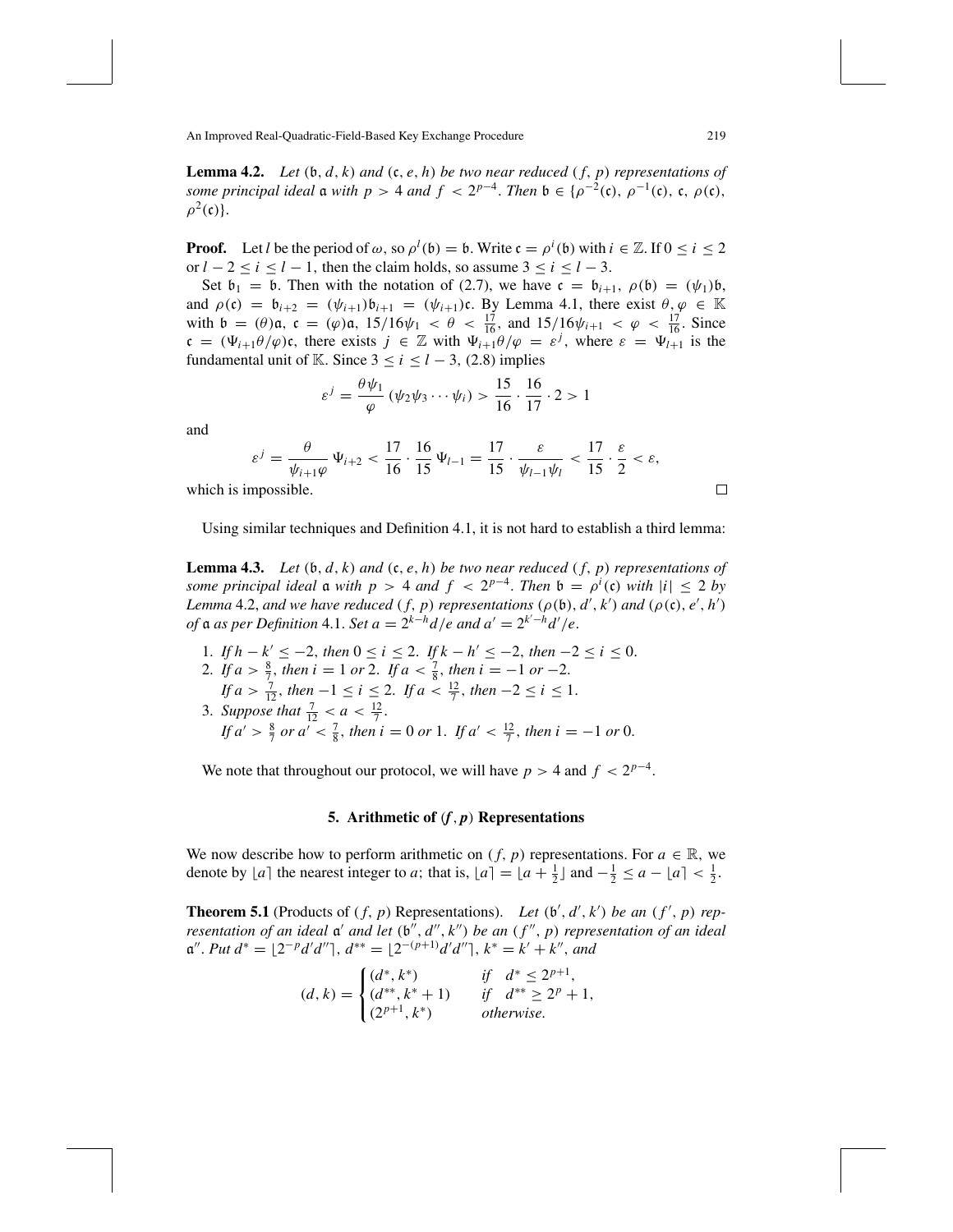**Lemma 4.2.** *Let*  $(b, d, k)$  *and*  $(c, e, h)$  *be two near reduced*  $(f, p)$  *representations of some principal ideal*  $\alpha$  *with*  $p > 4$  *and*  $f < 2^{p-4}$ . *Then*  $\beta \in {\rho^{-2}(\mathfrak{c})}$ ,  $\rho^{-1}(\mathfrak{c})$ ,  $\mathfrak{c}$ ,  $\rho(\mathfrak{c})$ ,  $\rho^2(\mathfrak{c})$ .

**Proof.** Let *l* be the period of  $\omega$ , so  $\rho^l$  (b) = b. Write  $\mathfrak{c} = \rho^i$  (b) with  $i \in \mathbb{Z}$ . If  $0 \le i \le 2$ or  $l - 2 < i < l - 1$ , then the claim holds, so assume  $3 < i < l - 3$ .

Set  $\mathfrak{b}_1 = \mathfrak{b}$ . Then with the notation of (2.7), we have  $\mathfrak{c} = \mathfrak{b}_{i+1}$ ,  $\rho(\mathfrak{b}) = (\psi_1)\mathfrak{b}$ , and  $\rho(c) = b_{i+2} = (\psi_{i+1})b_{i+1} = (\psi_{i+1})c$ . By Lemma 4.1, there exist  $\theta, \varphi \in \mathbb{K}$ with  $\mathfrak{b} = (\theta)\mathfrak{a}, \mathfrak{c} = (\varphi)\mathfrak{a}, 15/16\psi_1 < \theta < \frac{17}{16}$ , and  $15/16\psi_{i+1} < \varphi < \frac{17}{16}$ . Since  $\mathfrak{c} = (\Psi_{i+1}\theta/\varphi)\mathfrak{c}$ , there exists  $j \in \mathbb{Z}$  with  $\Psi_{i+1}\theta/\varphi = \varepsilon^j$ , where  $\varepsilon = \Psi_{i+1}$  is the fundamental unit of K. Since  $3 \le i \le l - 3$ , (2.8) implies

$$
\varepsilon^{j} = \frac{\theta \psi_1}{\varphi} \left( \psi_2 \psi_3 \cdots \psi_i \right) > \frac{15}{16} \cdot \frac{16}{17} \cdot 2 > 1
$$

and

$$
\varepsilon^{j} = \frac{\theta}{\psi_{i+1}\varphi} \Psi_{i+2} < \frac{17}{16} \cdot \frac{16}{15} \Psi_{l-1} = \frac{17}{15} \cdot \frac{\varepsilon}{\psi_{l-1}\psi_{l}} < \frac{17}{15} \cdot \frac{\varepsilon}{2} < \varepsilon,
$$

which is impossible.

Using similar techniques and Definition 4.1, it is not hard to establish a third lemma:

**Lemma 4.3.** *Let*  $(b, d, k)$  *and*  $(c, e, h)$  *be two near reduced*  $(f, p)$  *representations of some principal ideal*  $\alpha$  *with*  $p > 4$  *and*  $f < 2^{p-4}$ . *Then*  $\mathfrak{b} = \rho^i(\mathfrak{c})$  *with*  $|i| \leq 2$  *by Lemma* 4.2, *and* we have reduced  $(f, p)$  *representations*  $(\rho(\mathfrak{b}), d', k')$  *and*  $(\rho(\mathfrak{c}), e', h')$ *of*  $\mathfrak{a}$  *as per Definition* 4.1. *Set*  $a = 2^{k-h}d/e$  *and*  $a' = 2^{k'-h}d'/e$ .

1. *If*  $h - k' \leq -2$ , *then*  $0 \leq i \leq 2$ . *If*  $k - h' \leq -2$ , *then*  $-2 \leq i \leq 0$ . 2. *If*  $a > \frac{8}{7}$ , *then i* = 1 *or* 2. *If*  $a < \frac{7}{8}$ , *then i* = -1 *or* -2. *If*  $a > \frac{7}{12}$ , *then*  $-1 \le i \le 2$ . *If*  $a < \frac{12}{7}$ , *then*  $-2 \le i \le 1$ . 3. *Suppose that*  $\frac{7}{12} < a < \frac{12}{7}$ . *If*  $a' > \frac{8}{7}$  *or*  $a' < \frac{7}{8}$ , *then*  $i = 0$  *or* 1. *If*  $a' < \frac{12}{7}$ , *then*  $i = -1$  *or* 0.

We note that throughout our protocol, we will have  $p > 4$  and  $f < 2^{p-4}$ .

#### **5. Arithmetic of** (*f*, *p*) **Representations**

We now describe how to perform arithmetic on  $(f, p)$  representations. For  $a \in \mathbb{R}$ , we denote by  $[a]$  the nearest integer to *a*; that is,  $[a] = [a + \frac{1}{2}]$  and  $-\frac{1}{2} \le a - [a] < \frac{1}{2}$ .

**Theorem 5.1** (Products of  $(f, p)$  Representations). Let  $(b', d', k')$  be an  $(f', p)$  rep*resentation of an ideal*  $\alpha'$  *and let*  $(\mathfrak{b}'', d'', k'')$  *be an*  $(f'', p)$  *representation of an ideal*  $\mathfrak{a}''$ . *Put*  $d^* = \lfloor 2^{-p}d'd'' \rceil$ ,  $d^{**} = \lfloor 2^{-(p+1)}d'd'' \rceil$ ,  $k^* = k' + k''$ , and

$$
(d,k) = \begin{cases} (d^*,k^*) & \text{if } d^* \le 2^{p+1}, \\ (d^{**},k^*+1) & \text{if } d^{**} \ge 2^p+1, \\ (2^{p+1},k^*) & \text{otherwise.} \end{cases}
$$

 $\Box$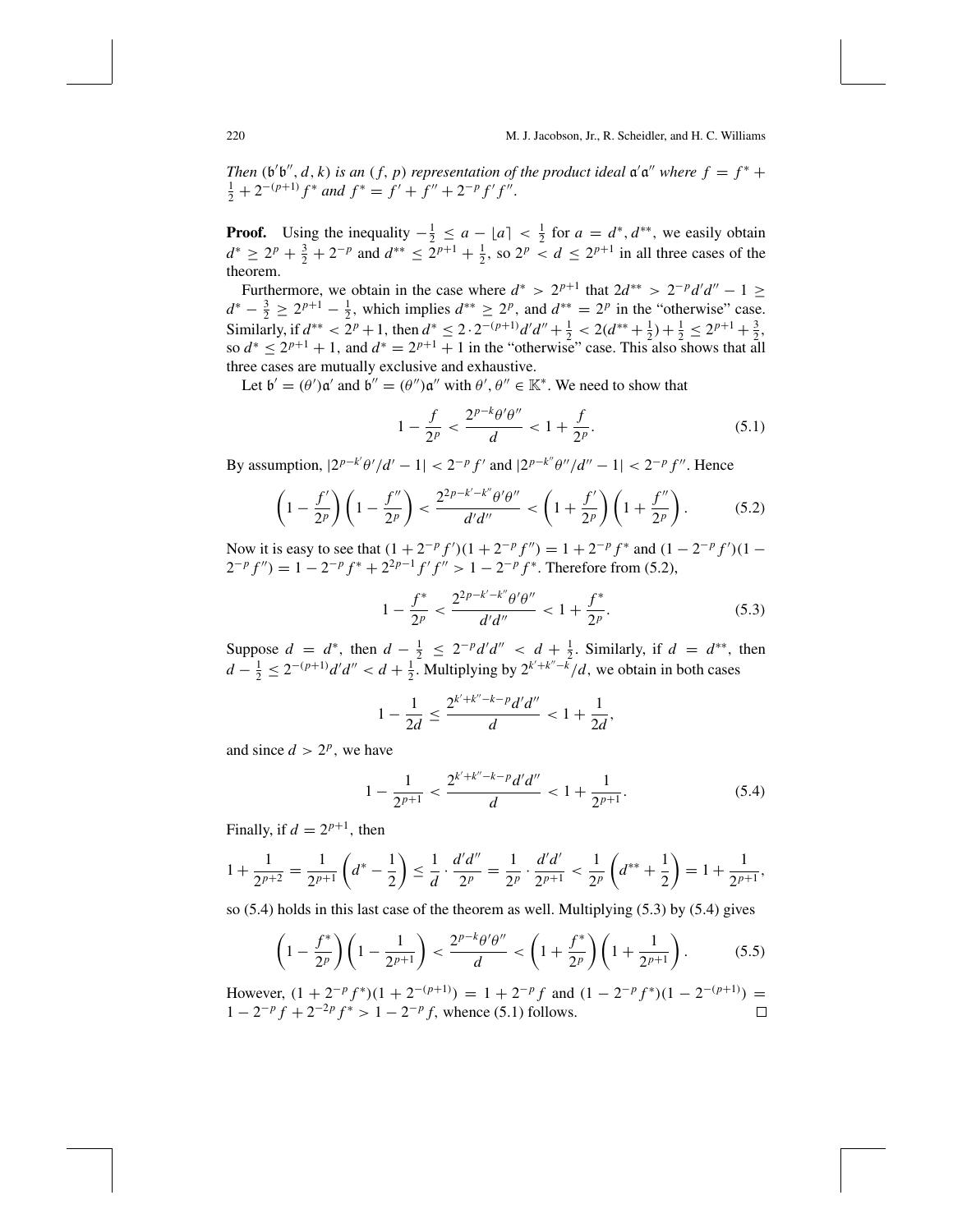*Then* ( $\mathfrak{b}'\mathfrak{b}''$ , *d*, *k*) *is an* (*f*, *p*) *representation of the product ideal*  $\mathfrak{a}'\mathfrak{a}''$  *where*  $f = f^* + f$  $\frac{1}{2} + 2^{-(p+1)} f^*$  *and*  $f^* = f' + f'' + 2^{-p} f' f''$ .

**Proof.** Using the inequality  $-\frac{1}{2} \le a - \lfloor a \rfloor < \frac{1}{2}$  for  $a = d^*, d^{**}$ , we easily obtain  $d^* \geq 2^p + \frac{3}{2} + 2^{-p}$  and  $d^{**} \leq 2^{p+1} + \frac{1}{2}$ , so  $2^p < d \leq 2^{p+1}$  in all three cases of the theorem.

Furthermore, we obtain in the case where  $d^* > 2^{p+1}$  that  $2d^{**} > 2^{-p}d'd'' - 1 \ge$  $d^* - \frac{3}{2} \ge 2^{p+1} - \frac{1}{2}$ , which implies  $d^{**} \ge 2^p$ , and  $d^{**} = 2^p$  in the "otherwise" case. Similarly, if  $d^{**} < 2^p + 1$ , then  $d^* \le 2 \cdot 2^{-(p+1)} d'd'' + \frac{1}{2} < 2(d^{**} + \frac{1}{2}) + \frac{1}{2} \le 2^{p+1} + \frac{3}{2}$ , so  $d^* \leq 2^{p+1} + 1$ , and  $d^* = 2^{p+1} + 1$  in the "otherwise" case. This also shows that all three cases are mutually exclusive and exhaustive.

Let  $\mathfrak{b}' = (\theta')\mathfrak{a}'$  and  $\mathfrak{b}'' = (\theta'')\mathfrak{a}''$  with  $\theta', \theta'' \in \mathbb{K}^*$ . We need to show that

$$
1 - \frac{f}{2^p} < \frac{2^{p-k}\theta'\theta''}{d} < 1 + \frac{f}{2^p}.\tag{5.1}
$$

By assumption,  $|2^{p-k'}\theta'/d' - 1| < 2^{-p}f'$  and  $|2^{p-k''}\theta''/d'' - 1| < 2^{-p}f''$ . Hence

$$
\left(1 - \frac{f'}{2^p}\right)\left(1 - \frac{f''}{2^p}\right) < \frac{2^{2p - k' - k''} \theta' \theta''}{d'd''} < \left(1 + \frac{f'}{2^p}\right)\left(1 + \frac{f''}{2^p}\right). \tag{5.2}
$$

Now it is easy to see that  $(1 + 2^{-p} f')(1 + 2^{-p} f'') = 1 + 2^{-p} f^*$  and  $(1 - 2^{-p} f')(1 2^{-p} f'' = 1 - 2^{-p} f^* + 2^{2p-1} f' f'' > 1 - 2^{-p} f^*$ . Therefore from (5.2),

$$
1 - \frac{f^*}{2^p} < \frac{2^{2p - k' - k''} \theta' \theta''}{d'd''} < 1 + \frac{f^*}{2^p}.\tag{5.3}
$$

Suppose  $d = d^*$ , then  $d - \frac{1}{2} \leq 2^{-p}d'd'' < d + \frac{1}{2}$ . Similarly, if  $d = d^{**}$ , then  $d - \frac{1}{2} \leq 2^{-(p+1)} d'd'' < d + \frac{1}{2}$ . Multiplying by  $2^{k'+k''-k'}/d$ , we obtain in both cases

$$
1 - \frac{1}{2d} \le \frac{2^{k' + k'' - k - p} d'd''}{d} < 1 + \frac{1}{2d},
$$

and since  $d > 2^p$ , we have

$$
1 - \frac{1}{2^{p+1}} < \frac{2^{k' + k'' - k - p} d' d''}{d} < 1 + \frac{1}{2^{p+1}}.\tag{5.4}
$$

Finally, if  $d = 2^{p+1}$ , then

$$
1 + \frac{1}{2^{p+2}} = \frac{1}{2^{p+1}} \left( d^* - \frac{1}{2} \right) \le \frac{1}{d} \cdot \frac{d'd''}{2^p} = \frac{1}{2^p} \cdot \frac{d'd'}{2^{p+1}} < \frac{1}{2^p} \left( d^{**} + \frac{1}{2} \right) = 1 + \frac{1}{2^{p+1}},
$$

so (5.4) holds in this last case of the theorem as well. Multiplying (5.3) by (5.4) gives

$$
\left(1 - \frac{f^*}{2^p}\right)\left(1 - \frac{1}{2^{p+1}}\right) < \frac{2^{p-k}\theta'\theta''}{d} < \left(1 + \frac{f^*}{2^p}\right)\left(1 + \frac{1}{2^{p+1}}\right). \tag{5.5}
$$

However,  $(1 + 2^{-p} f^{*})(1 + 2^{-(p+1)}) = 1 + 2^{-p} f$  and  $(1 - 2^{-p} f^{*})(1 - 2^{-(p+1)}) =$  $1 - 2^{-p} f + 2^{-2p} f^* > 1 - 2^{-p} f$ , whence (5.1) follows.  $\Box$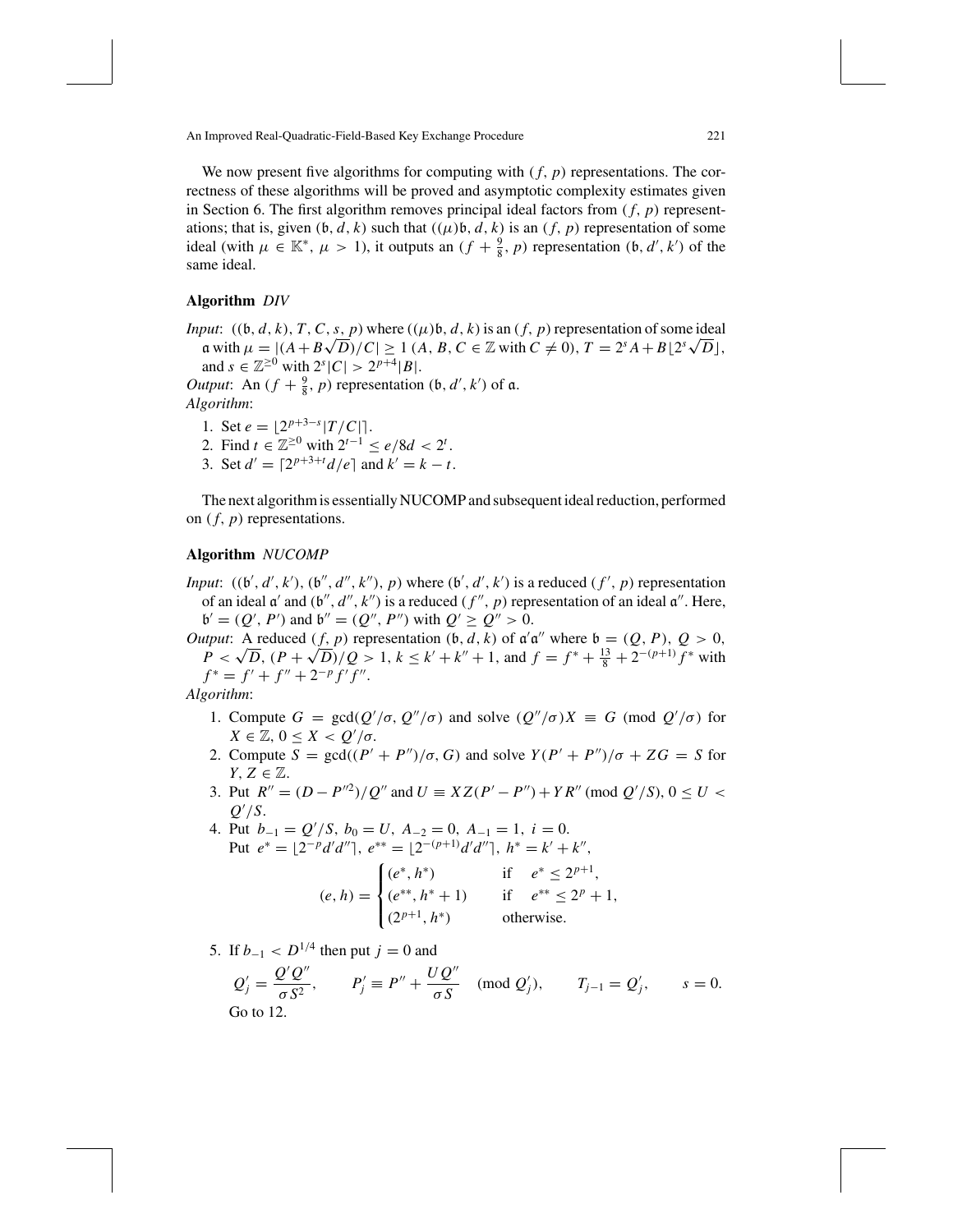We now present five algorithms for computing with  $(f, p)$  representations. The correctness of these algorithms will be proved and asymptotic complexity estimates given in Section 6. The first algorithm removes principal ideal factors from  $(f, p)$  representations; that is, given  $(b, d, k)$  such that  $((\mu)b, d, k)$  is an  $(f, p)$  representation of some ideal (with  $\mu \in \mathbb{K}^*$ ,  $\mu > 1$ ), it outputs an  $(f + \frac{9}{8}, p)$  representation  $(\mathfrak{b}, d', k')$  of the same ideal.

#### **Algorithm** *DIV*

*Input*:  $((\mathfrak{b}, d, k), T, C, s, p)$  where  $((\mu)\mathfrak{b}, d, k)$  is an  $(f, p)$  representation of some ideal a with  $\mu = |(A + B\sqrt{D})/C| \ge 1$  (*A*, *B*, *C* ∈ Z with  $C \ne 0$ ),  $T = 2^{s}A + B\left[\frac{2^{s}\sqrt{D}}{\sqrt{D}}\right]$ , and  $s \in \mathbb{Z}^{\geq 0}$  with  $2^{s} |C| > 2^{p+4} |B|$ .

*Output*: An  $(f + \frac{9}{8}, p)$  representation  $(\mathfrak{b}, d', k')$  of  $\mathfrak{a}$ . *Algorithm*:

- 1. Set  $e = \lfloor 2^{p+3-s} |T/C| \rfloor$ .
- 2. Find  $t \in \mathbb{Z}^{\geq 0}$  with  $2^{t-1} \leq e/8d < 2^t$ .
- 3. Set  $d' = \lceil 2^{p+3+t} \frac{d}{e} \rceil$  and  $k' = k t$ .

The next algorithm is essentially NUCOMP and subsequent ideal reduction, performed on  $(f, p)$  representations.

## **Algorithm** *NUCOMP*

*Input*:  $((b', d', k'), (b'', d'', k''), p)$  where  $(b', d', k')$  is a reduced  $(f', p)$  representation of an ideal  $\alpha'$  and  $(b'', d'', k'')$  is a reduced  $(f'', p)$  representation of an ideal  $\alpha''$ . Here,  $\mathfrak{b}' = (Q', P')$  and  $\mathfrak{b}'' = (Q'', P'')$  with  $Q' \ge Q'' > 0$ .

*Output*: A reduced  $(f, p)$  representation  $(b, d, k)$  of  $a'a''$  where  $b = (Q, P), Q > 0$ , *P* <  $\sqrt{D}$ ,  $(P + \sqrt{D})/Q > 1$ ,  $k \le k' + k'' + 1$ , and  $f = f^* + \frac{13}{8} + 2^{-(p+1)} f^*$  with  $f^* = f' + f'' + 2^{-p} f' f''$ .

*Algorithm*:

- 1. Compute  $G = \text{gcd}(Q'/\sigma, Q''/\sigma)$  and solve  $(Q''/\sigma)X \equiv G \pmod{Q'/\sigma}$  for  $X \in \mathbb{Z}, 0 \leq X < Q'/\sigma.$
- 2. Compute  $S = \text{gcd}((P' + P'')/\sigma, G)$  and solve  $Y(P' + P'')/\sigma + ZG = S$  for *Y*,  $Z \in \mathbb{Z}$ .
- 3. Put  $R'' = (D P''^2)/Q''$  and  $U = XZ(P' P'') + YR'' \pmod{Q'/S}$ ,  $0 \le U <$ *Q* /*S*.

4. Put  $b_{-1} = Q'/S$ ,  $b_0 = U$ ,  $A_{-2} = 0$ ,  $A_{-1} = 1$ ,  $i = 0$ . Put  $e^* = \lfloor 2^{-p}d'd'' \rfloor, e^{**} = \lfloor 2^{-(p+1)}d'd'' \rfloor, h^* = k' + k'',$ 

$$
(e, h) = \begin{cases} (e^*, h^*) & \text{if } e^* \le 2^{p+1}, \\ (e^{**}, h^* + 1) & \text{if } e^{**} \le 2^p + 1, \\ (2^{p+1}, h^*) & \text{otherwise.} \end{cases}
$$

5. If  $b_{-1} < D^{1/4}$  then put  $j = 0$  and

 $Q'_{j} = \frac{Q'Q''}{\sigma S^{2}},$   $P'_{j} \equiv P'' + \frac{UQ''}{\sigma S} \pmod{Q'_{j}},$   $T_{j-1} = Q'_{j},$   $s = 0.$ Go to 12.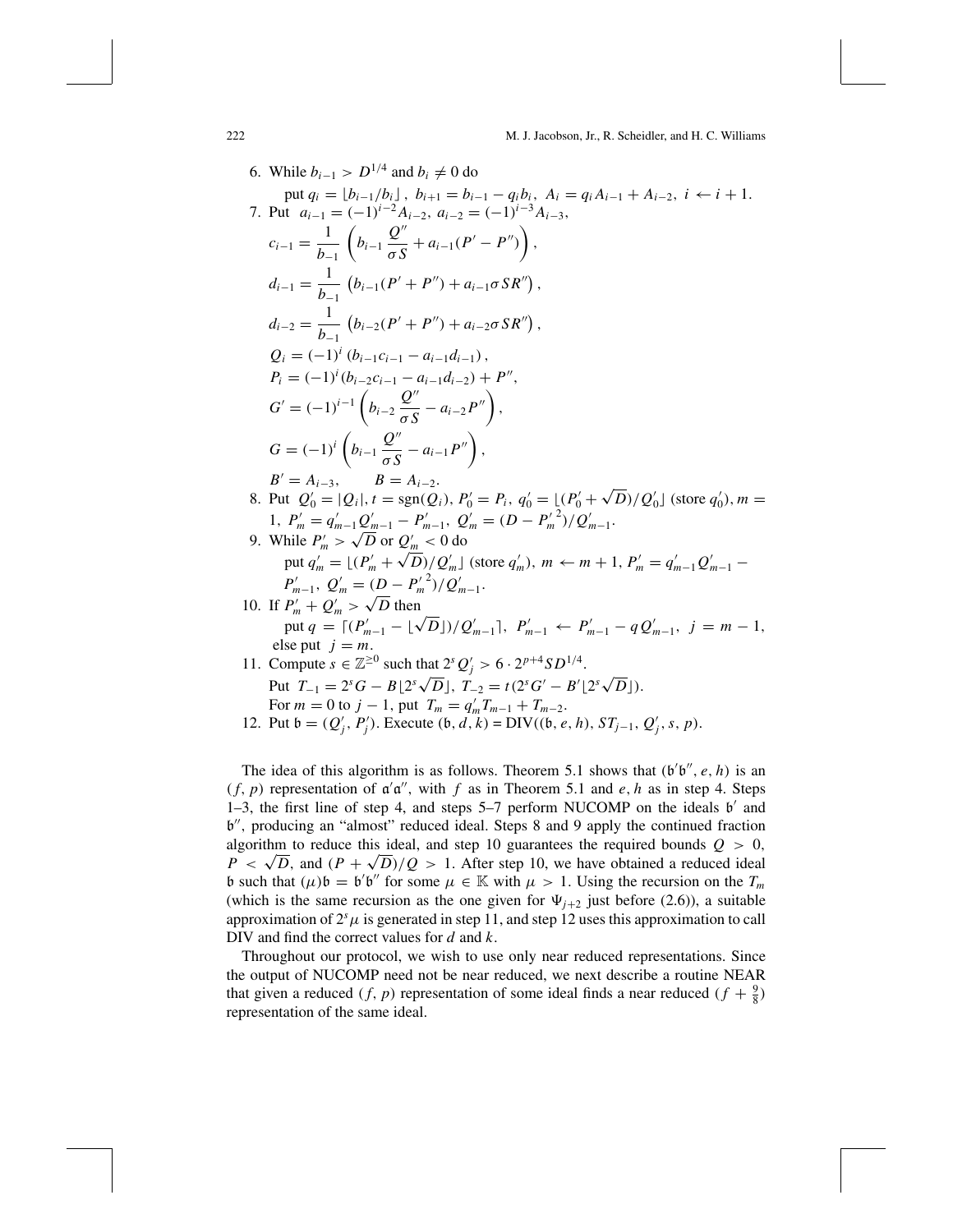6. While 
$$
b_{i-1} > D^{1/4}
$$
 and  $b_i \neq 0$  do  
\nput  $q_i = \lfloor b_{i-1}/b_i \rfloor$ ,  $b_{i+1} = b_{i-1} - q_i b_i$ ,  $A_i = q_i A_{i-1} + A_{i-2}$ ,  $i \leftarrow i + 1$ .  
\n7. Put  $a_{i-1} = (-1)^{i-2} A_{i-2}$ ,  $a_{i-2} = (-1)^{i-3} A_{i-3}$ ,  
\n $c_{i-1} = \frac{1}{b_{-1}} \left( b_{i-1} \frac{Q''}{\sigma S} + a_{i-1} (P' - P'') \right)$ ,  
\n $d_{i-1} = \frac{1}{b_{-1}} \left( b_{i-1} (P' + P'') + a_{i-1} \sigma S R' \right)$ ,  
\n $d_{i-2} = \frac{1}{b_{-1}} \left( b_{i-2} (P' + P'') + a_{i-2} \sigma S R' \right)$ ,  
\n $Q_i = (-1)^i \left( b_{i-2} c_{i-1} - a_{i-1} d_{i-1} \right)$ ,  
\n $P_i = (-1)^i (b_{i-2} c_{i-1} - a_{i-1} d_{i-2}) + P''$ ,  
\n $G' = (-1)^{i-1} \left( b_{i-2} \frac{Q''}{\sigma S} - a_{i-2} P'' \right)$ ,  
\n $B' = A_{i-3}$ ,  $B = A_{i-2}$ .  
\n8. Put  $Q'_0 = |Q_i|$ ,  $t = \text{sgn}(Q_i)$ ,  $P'_0 = P_i$ ,  $q'_0 = |(P'_0 + \sqrt{D})/Q'_0|$  (store  $q'_0$ ),  $m = 1$ ,  $P'_m = q'_{m-1} Q'_{m-1} - P'_{m-1}$ ,  $Q'_m = (D - P'_m^2)/Q'_{m-1}$ .  
\n9. While  $P'_m > \sqrt{D}$  or  $Q'_m < 0$  do  
\nput  $q'_m = |(P'_m + \sqrt{D})/Q'_m|$  (store  $q'_m$ ),  $m \leftarrow m + 1$ ,  $P'_m = q$ 

The idea of this algorithm is as follows. Theorem 5.1 shows that  $(b'b'', e, h)$  is an  $(f, p)$  representation of  $a'a''$ , with f as in Theorem 5.1 and e, h as in step 4. Steps 1–3, the first line of step 4, and steps  $5-7$  perform NUCOMP on the ideals  $b'$  and b", producing an "almost" reduced ideal. Steps 8 and 9 apply the continued fraction algorithm to reduce this ideal, and step 10 guarantees the required bounds  $Q > 0$ ,  $P \lt \sqrt{D}$ , and  $(P + \sqrt{D})/Q > 1$ . After step 10, we have obtained a reduced ideal b such that  $(\mu)\mathfrak{b} = \mathfrak{b}'\mathfrak{b}''$  for some  $\mu \in \mathbb{K}$  with  $\mu > 1$ . Using the recursion on the  $T_m$ (which is the same recursion as the one given for  $\Psi_{j+2}$  just before (2.6)), a suitable approximation of  $2<sup>s</sup>\mu$  is generated in step 11, and step 12 uses this approximation to call DIV and find the correct values for *d* and *k*.

Throughout our protocol, we wish to use only near reduced representations. Since the output of NUCOMP need not be near reduced, we next describe a routine NEAR that given a reduced  $(f, p)$  representation of some ideal finds a near reduced  $(f + \frac{9}{8})$ representation of the same ideal.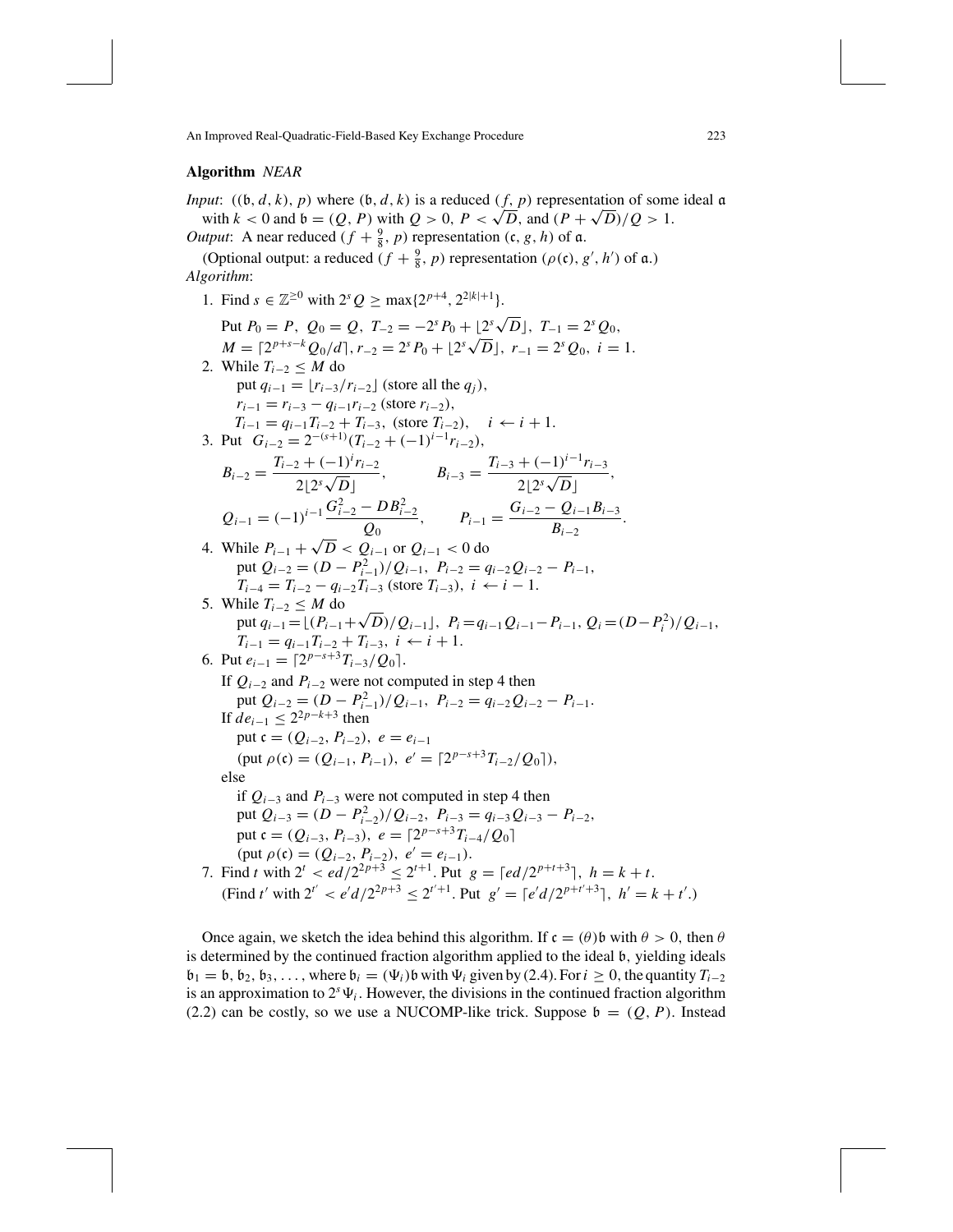# **Algorithm** *NEAR*

*Input*:  $((b, d, k), p)$  where  $(b, d, k)$  is a reduced  $(f, p)$  representation of some ideal  $\alpha$ with  $k < 0$  and  $\mathfrak{b} = (Q, P)$  with  $Q > 0$ ,  $P < \sqrt{D}$ , and  $(P + \sqrt{D})/Q > 1$ . *Output*: A near reduced  $(f + \frac{9}{8}, p)$  representation  $(c, g, h)$  of  $\alpha$ .

(Optional output: a reduced  $(f + \frac{9}{8}, p)$  representation  $(\rho(\mathfrak{c}), g', h')$  of  $\mathfrak{a}$ .) *Algorithm*:

- 1. Find  $s \in \mathbb{Z}^{\geq 0}$  with  $2^{s} Q > \max\{2^{p+4}, 2^{2|k|+1}\}.$
- Put  $P_0 = P$ ,  $Q_0 = Q$ ,  $T_{-2} = -2^s P_0 + \lfloor 2^s \sqrt{D} \rfloor$ ,  $T_{-1} = 2^s Q_0$ , *M* =  $[2^{p+s-k}Q_0/d]$ ,  $r_{-2} = 2^s P_0 + [2^s \sqrt{D}]$ ,  $r_{-1} = 2^s Q_0$ ,  $i = 1$ . 2. While  $T_{i-2} \leq M$  do put  $q_{i-1} = \lfloor r_{i-3}/r_{i-2} \rfloor$  (store all the  $q_j$ ),  $r_{i-1} = r_{i-3} - q_{i-1}r_{i-2}$  (store  $r_{i-2}$ ), *T<sub>i−1</sub>* =  $q_{i-1}T_{i-2} + T_{i-3}$ , (store  $T_{i-2}$ ),  $i \leftarrow i+1$ . 3. Put  $G_{i-2} = 2^{-(s+1)}(T_{i-2} + (-1)^{i-1}r_{i-2}),$  $B_{i-2} = \frac{T_{i-2} + (-1)^i r_{i-2}}{2!}$  $B_{i-3} = \frac{T_{i-3} + (-1)^{i-1}r_{i-3}}{2\lfloor 2^s \sqrt{D} \rfloor},$ <br>  $B_{i-3} = \frac{T_{i-3} + (-1)^{i-1}r_{i-3}}{2\lfloor 2^s \sqrt{D} \rfloor},$  $Q_{i-1} = (-1)^{i-1} \frac{G_{i-2}^2 - DB_{i-2}^2}{G}$  $\frac{P_i - B_i^2}{Q_0},$   $P_{i-1} = \frac{G_{i-2} - Q_{i-1}B_{i-3}}{B_{i-2}}.$ 4. While  $P_{i-1} + \sqrt{D} < Q_{i-1}$  or  $Q_{i-1} < 0$  do  $p$ ut  $Q_{i-2} = (D - P_{i-1}^2)/Q_{i-1}$ ,  $P_{i-2} = q_{i-2}Q_{i-2} - P_{i-1}$ , *T<sub>i−4</sub>* = *T<sub>i−2</sub>* − *q<sub>i−2</sub> T<sub>i−3</sub>* (store *T<sub>i−3</sub>*), *i* ← *i* − 1. 5. While  $T_{i-2} \leq M$  do hile  $I_{i-2}$  ≤ *M* do<br>put  $q_{i-1} = \lfloor (P_{i-1} + \sqrt{D})/Q_{i-1} \rfloor$ ,  $P_i = q_{i-1}Q_{i-1} - P_{i-1}$ ,  $Q_i = (D - P_i^2)/Q_{i-1}$ ,  $T_{i-1} = q_{i-1}T_{i-2} + T_{i-3}, i \leftarrow i+1.$ 6. Put  $e_{i-1} = \lceil 2^{p-s+3}T_{i-3}/Q_0 \rceil$ . If  $Q_{i-2}$  and  $P_{i-2}$  were not computed in step 4 then put  $Q_{i-2} = (D - P_{i-1}^2)/Q_{i-1}$ ,  $P_{i-2} = q_{i-2}Q_{i-2} - P_{i-1}$ . If *de*<sub>*i*−1</sub> ≤ 2<sup>2*p*−*k*+3 then</sup> put  $c = (Q_{i-2}, P_{i-2}), e = e_{i-1}$  $(\text{put } \rho(\mathfrak{c}) = (Q_{i-1}, P_{i-1}), e' = [2^{p-s+3}T_{i-2}/Q_0],$ else if  $Q<sub>i-3</sub>$  and  $P<sub>i-3</sub>$  were not computed in step 4 then  $p$ ut  $Q_{i-3} = (D - P_{i-2}^2)/Q_{i-2}, P_{i-3} = q_{i-3}Q_{i-3} - P_{i-2},$ put  $c = (Q_{i-3}, P_{i-3}), e = \lceil 2^{p-s+3}T_{i-4}/Q_0 \rceil$ (put  $\rho$  (**c**) = ( $Q_{i-2}$ ,  $P_{i-2}$ ),  $e' = e_{i-1}$ ). 7. Find *t* with  $2^t < \frac{ed}{2^{2p+3}} \leq 2^{t+1}$ . Put  $g = \frac{ed}{2^{p+t+3}}$ ,  $h = k + t$ .  $(\text{Find } t' \text{ with } 2^{t'} < e'd/2^{2p+3} \leq 2^{t'+1}. \text{ Put } g' = \lceil e'd/2^{p+t'+3} \rceil, h' = k + t'.)$

Once again, we sketch the idea behind this algorithm. If  $\mathfrak{c} = (\theta) \mathfrak{b}$  with  $\theta > 0$ , then  $\theta$ is determined by the continued fraction algorithm applied to the ideal b, yielding ideals  $\mathfrak{b}_1 = \mathfrak{b}, \mathfrak{b}_2, \mathfrak{b}_3, \ldots$ , where  $\mathfrak{b}_i = (\Psi_i)\mathfrak{b}$  with  $\Psi_i$  given by (2.4). For  $i \geq 0$ , the quantity  $T_{i-2}$ is an approximation to  $2<sup>s</sup>\Psi_i$ . However, the divisions in the continued fraction algorithm (2.2) can be costly, so we use a NUCOMP-like trick. Suppose  $\mathfrak{b} = (Q, P)$ . Instead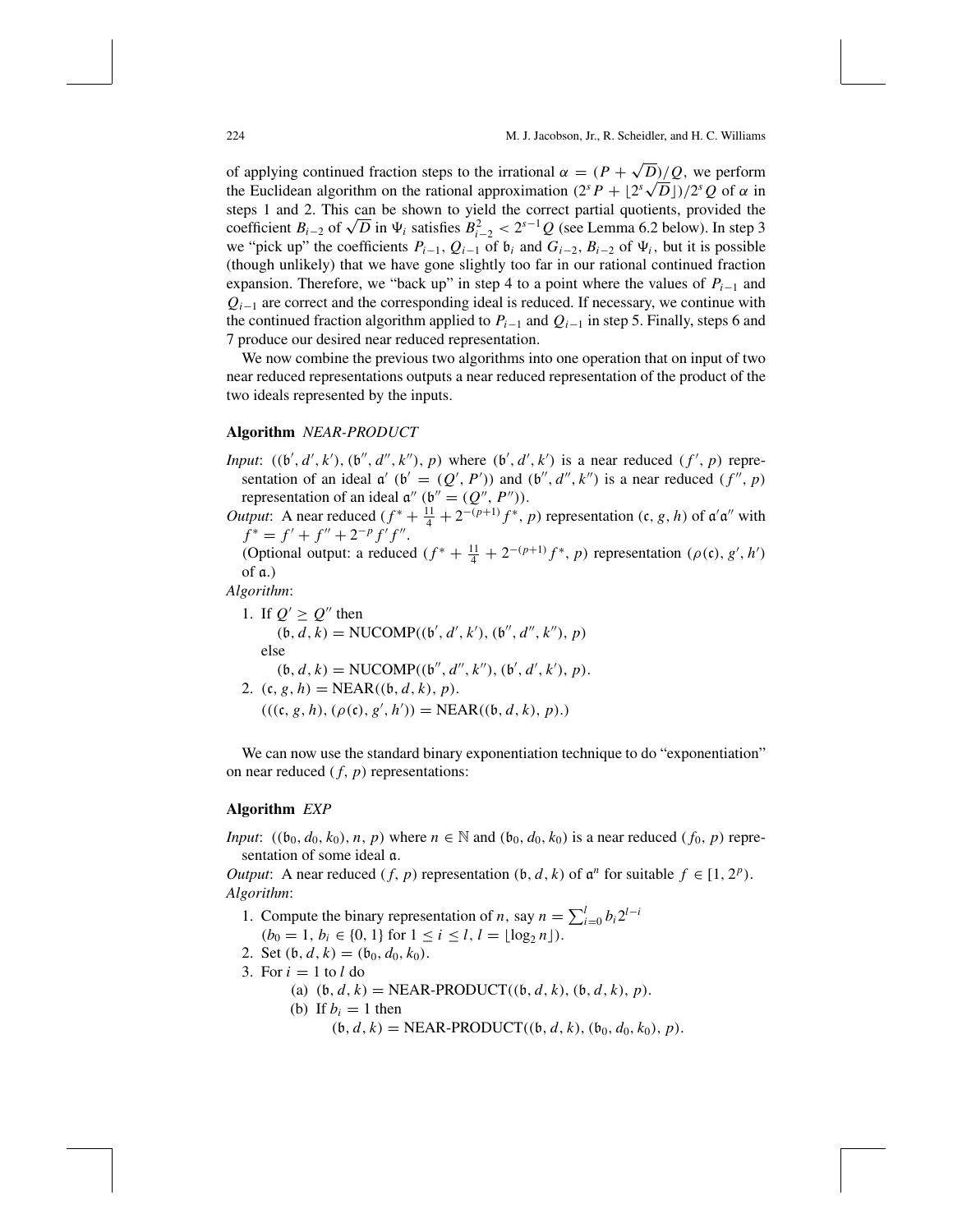of applying continued fraction steps to the irrational  $\alpha = (P + \sqrt{D})/Q$ , we perform or applying continued fraction steps to the irrational  $\alpha = (P + \sqrt{D})/Q$ , we perform<br>the Euclidean algorithm on the rational approximation  $(2^{s} P + [2^{s} \sqrt{D}])/2^{s} Q$  of  $\alpha$  in steps 1 and 2. This can be shown to yield the correct partial quotients, provided the steps 1 and 2. This can be shown to yield the correct partial quotients, provided the coefficient  $B_{i-2}$  of  $\sqrt{D}$  in  $\Psi_i$  satisfies  $B_{i-2}^2 < 2^{s-1}Q$  (see Lemma 6.2 below). In step 3 we "pick up" the coefficients  $P_{i-1}$ ,  $Q_{i-1}$  of  $\mathfrak{b}_i$  and  $G_{i-2}$ ,  $B_{i-2}$  of  $\Psi_i$ , but it is possible (though unlikely) that we have gone slightly too far in our rational continued fraction expansion. Therefore, we "back up" in step 4 to a point where the values of  $P_{i-1}$  and *Q<sub>i−1</sub>* are correct and the corresponding ideal is reduced. If necessary, we continue with the continued fraction algorithm applied to *Pi*<sup>−</sup><sup>1</sup> and *Qi*<sup>−</sup><sup>1</sup> in step 5. Finally, steps 6 and 7 produce our desired near reduced representation.

We now combine the previous two algorithms into one operation that on input of two near reduced representations outputs a near reduced representation of the product of the two ideals represented by the inputs.

# **Algorithm** *NEAR-PRODUCT*

- *Input*:  $((b', d', k'), (b'', d'', k''), p)$  where  $(b', d', k')$  is a near reduced  $(f', p)$  representation of an ideal  $\alpha'$  ( $\beta' = (Q', P')$ ) and  $(\beta'', d'', k'')$  is a near reduced  $(f'', p)$ representation of an ideal  $\mathfrak{a}''$  ( $\mathfrak{b}'' = (Q'', P'')$ ).
- *Output*: A near reduced  $(f^* + \frac{11}{4} + 2^{-(p+1)}f^*$ , *p*) representation  $(c, g, h)$  of  $\mathfrak{a}'\mathfrak{a}''$  with  $f^* = f' + f'' + 2^{-p} f' f''$ .

(Optional output: a reduced  $(f^* + \frac{11}{4} + 2^{-(p+1)}f^*, p)$  representation  $(\rho(\mathfrak{c}), g', h')$ of a.)

*Algorithm*:

1. If  $Q' \geq Q''$  then  $(b, d, k) = \text{NUCOMP}((b', d', k'), (b'', d'', k''), p)$ else  $(b, d, k) = \text{NUCOMP}((b'', d'', k''), (b', d', k'), p).$ 2.  $(c, g, h) = NEAR((b, d, k), p).$  $(((c, g, h), (\rho(c), g', h')) = NEAR((b, d, k), p).)$ 

We can now use the standard binary exponentiation technique to do "exponentiation" on near reduced ( *f*, *p*) representations:

### **Algorithm** *EXP*

*Input*:  $((b_0, d_0, k_0), n, p)$  where  $n \in \mathbb{N}$  and  $(b_0, d_0, k_0)$  is a near reduced  $(f_0, p)$  representation of some ideal a.

*Output*: A near reduced  $(f, p)$  representation  $(b, d, k)$  of  $a^n$  for suitable  $f \in [1, 2^p)$ . *Algorithm*:

- 1. Compute the binary representation of *n*, say  $n = \sum_{i=0}^{l} b_i 2^{l-i}$
- $(b_0 = 1, b_i \in \{0, 1\} \text{ for } 1 \le i \le l, l = \lfloor \log_2 n \rfloor).$
- 2. Set  $(b, d, k) = (b_0, d_0, k_0)$ .
- 3. For  $i = 1$  to  $l$  do
	- (a)  $(b, d, k) = NEAR-PRODUCT((b, d, k), (b, d, k), p).$
	- (b) If  $b_i = 1$  then
		- $(b, d, k) = NEAR-PRODUCT((b, d, k), (b<sub>0</sub>, d<sub>0</sub>, k<sub>0</sub>), p).$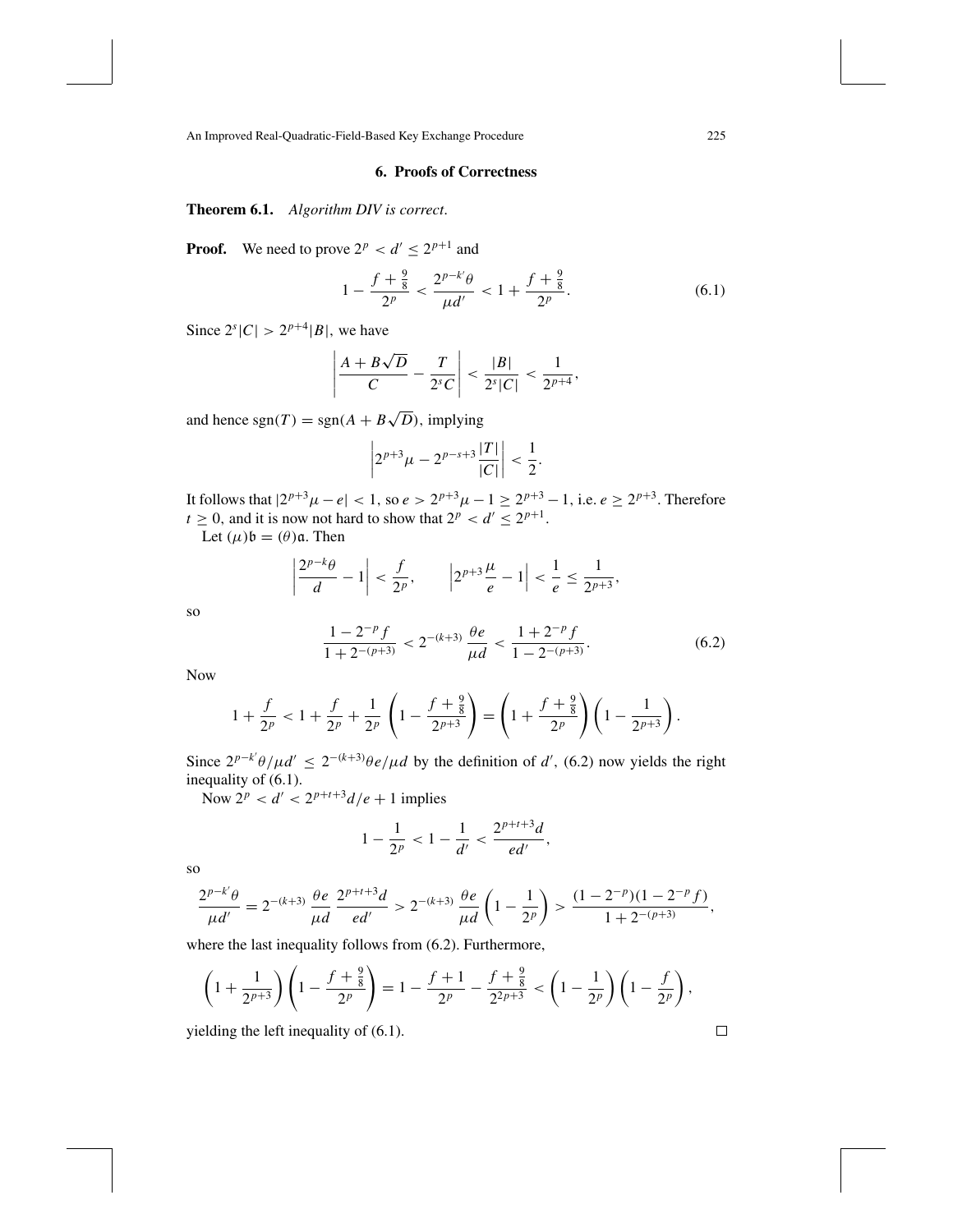# **6. Proofs of Correctness**

**Theorem 6.1.** *Algorithm DIV is correct*.

**Proof.** We need to prove  $2^p < d' \le 2^{p+1}$  and

$$
1 - \frac{f + \frac{9}{8}}{2^p} < \frac{2^{p-k'}\theta}{\mu d'} < 1 + \frac{f + \frac{9}{8}}{2^p}.\tag{6.1}
$$

Since  $2^{s}|C| > 2^{p+4}|B|$ , we have

$$
\left|\frac{A+B\sqrt{D}}{C} - \frac{T}{2^sC}\right| < \frac{|B|}{2^s|C|} < \frac{1}{2^{p+4}},
$$

and hence  $sgn(T) = sgn(A + B\sqrt{D})$ , implying

$$
\left|2^{p+3}\mu-2^{p-s+3}\frac{|T|}{|C|}\right|<\frac{1}{2}.
$$

It follows that  $|2^{p+3}\mu - e| < 1$ , so  $e > 2^{p+3}\mu - 1 \ge 2^{p+3} - 1$ , i.e.  $e \ge 2^{p+3}$ . Therefore  $t \geq 0$ , and it is now not hard to show that  $2^p < d' \leq 2^{p+1}$ .

Let  $(\mu)\mathfrak{b} = (\theta)\mathfrak{a}$ . Then

$$
\left|\frac{2^{p-k}\theta}{d}-1\right|<\frac{f}{2^p},\qquad \left|2^{p+3}\frac{\mu}{e}-1\right|<\frac{1}{e}\leq\frac{1}{2^{p+3}},
$$

so

$$
\frac{1 - 2^{-p} f}{1 + 2^{-(p+3)}} < 2^{-(k+3)} \frac{\theta e}{\mu d} < \frac{1 + 2^{-p} f}{1 - 2^{-(p+3)}}.\tag{6.2}
$$

Now

$$
1 + \frac{f}{2^p} < 1 + \frac{f}{2^p} + \frac{1}{2^p} \left( 1 - \frac{f + \frac{9}{8}}{2^{p+3}} \right) = \left( 1 + \frac{f + \frac{9}{8}}{2^p} \right) \left( 1 - \frac{1}{2^{p+3}} \right).
$$

Since  $2^{p-k'}\theta/\mu d' \leq 2^{-(k+3)}\theta e/\mu d$  by the definition of *d'*, (6.2) now yields the right inequality of (6.1).

Now  $2^p < d' < 2^{p+t+3}d/e + 1$  implies

$$
1-\frac{1}{2^p}<1-\frac{1}{d'}<\frac{2^{p+t+3}d}{ed'},
$$

so

$$
\frac{2^{p-k'}\theta}{\mu d'}=2^{-(k+3)}\frac{\theta e}{\mu d}\frac{2^{p+t+3}d}{ed'}>2^{-(k+3)}\frac{\theta e}{\mu d}\left(1-\frac{1}{2^p}\right)>\frac{(1-2^{-p})(1-2^{-p}f)}{1+2^{-(p+3)}},
$$

where the last inequality follows from (6.2). Furthermore,

$$
\left(1+\frac{1}{2^{p+3}}\right)\left(1-\frac{f+\frac{9}{8}}{2^p}\right)=1-\frac{f+1}{2^p}-\frac{f+\frac{9}{8}}{2^{2p+3}}<\left(1-\frac{1}{2^p}\right)\left(1-\frac{f}{2^p}\right),
$$

yielding the left inequality of (6.1).

 $\Box$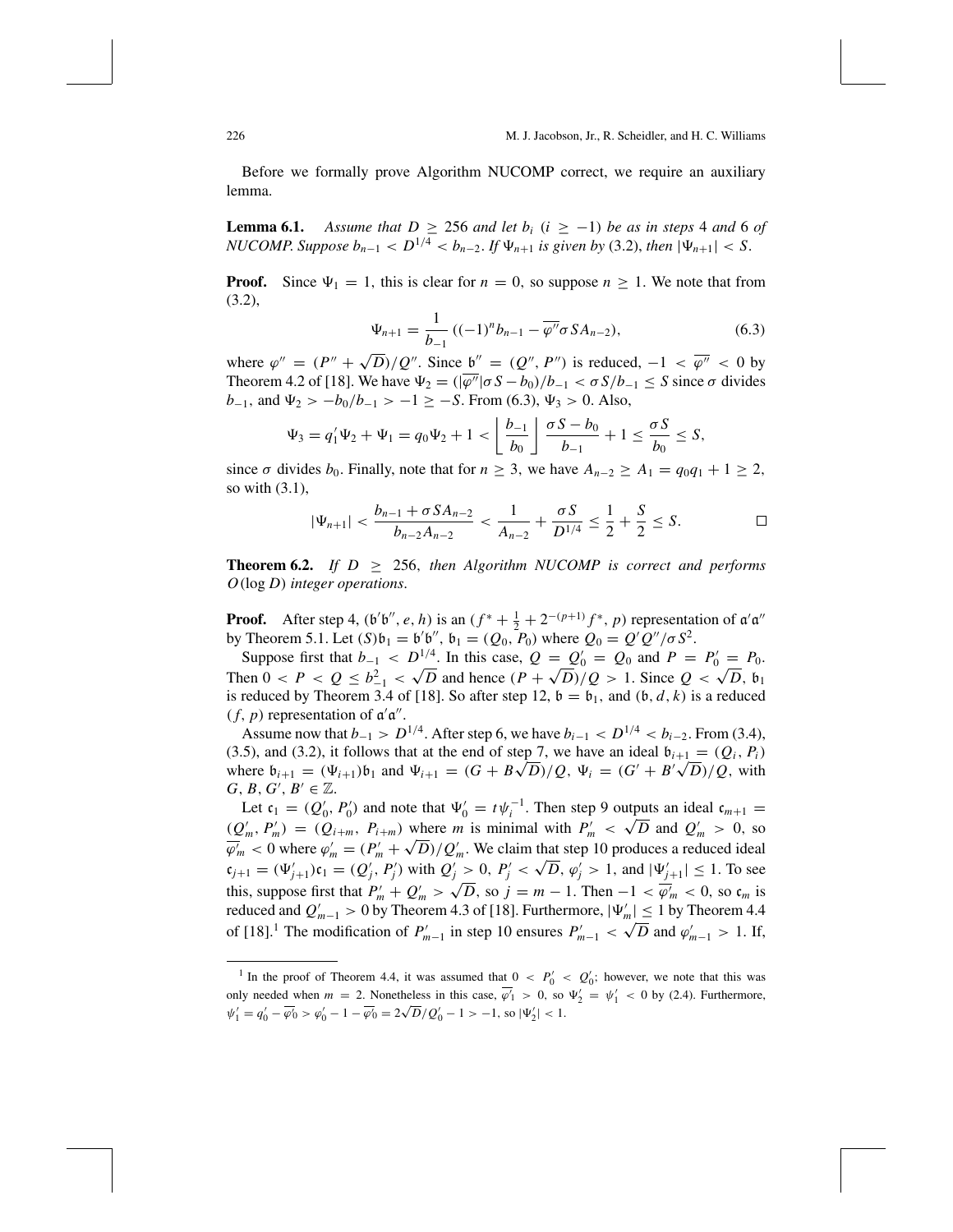Before we formally prove Algorithm NUCOMP correct, we require an auxiliary lemma.

**Lemma 6.1.** *Assume that*  $D \geq 256$  *and let*  $b_i$  ( $i \geq -1$ ) *be as in steps* 4 *and* 6 *of NUCOMP.* Suppose  $b_{n-1} < D^{1/4} < b_{n-2}$ . If  $\Psi_{n+1}$  is given by (3.2), then  $|\Psi_{n+1}| < S$ .

**Proof.** Since  $\Psi_1 = 1$ , this is clear for  $n = 0$ , so suppose  $n \ge 1$ . We note that from (3.2),

$$
\Psi_{n+1} = \frac{1}{b_{-1}} \left( (-1)^n b_{n-1} - \overline{\varphi''} \sigma S A_{n-2} \right), \tag{6.3}
$$

where  $\varphi'' = (P'' + \sqrt{D})/Q''$ . Since  $\mathfrak{b}'' = (Q'', P'')$  is reduced,  $-1 < \overline{\varphi''} < 0$  by Theorem 4.2 of [18]. We have  $\Psi_2 = (\sqrt{\varphi''} | \sigma S - b_0)/b_{-1} < \sigma S/b_{-1} \le S$  since  $\sigma$  divides  $b_{-1}$ , and  $\Psi_2 > -b_0/b_{-1} > -1 \geq -S$ . From (6.3),  $\Psi_3 > 0$ . Also,

$$
\Psi_3 = q_1' \Psi_2 + \Psi_1 = q_0 \Psi_2 + 1 < \left\lfloor \frac{b_{-1}}{b_0} \right\rfloor \frac{\sigma S - b_0}{b_{-1}} + 1 \le \frac{\sigma S}{b_0} \le S,
$$

since  $\sigma$  divides  $b_0$ . Finally, note that for  $n \geq 3$ , we have  $A_{n-2} \geq A_1 = q_0 q_1 + 1 \geq 2$ , so with (3.1),

$$
|\Psi_{n+1}| < \frac{b_{n-1} + \sigma SA_{n-2}}{b_{n-2}A_{n-2}} < \frac{1}{A_{n-2}} + \frac{\sigma S}{D^{1/4}} \le \frac{1}{2} + \frac{S}{2} \le S. \qquad \Box
$$

**Theorem 6.2.** *If*  $D \geq 256$ , *then Algorithm NUCOMP is correct and performs O*(log *D*) *integer operations*.

**Proof.** After step 4,  $(b'b'', e, h)$  is an  $(f^* + \frac{1}{2} + 2^{-(p+1)}f^*, p)$  representation of  $a'a''$ by Theorem 5.1. Let  $(S)\mathfrak{b}_1 = \mathfrak{b}'\mathfrak{b}'$ ,  $\mathfrak{b}_1 = (Q_0, P_0)$  where  $Q_0 = Q'Q''/\sigma S^2$ .

Suppose first that  $b_{-1} < D^{1/4}$ . In this case,  $Q = Q'_0 = Q_0$  and  $P = P'_0 = P_0$ . Then  $0 < P < Q \le b_{-1}^2 < \sqrt{D}$  and hence  $(P + \sqrt{D})/Q > 1$ . Since  $Q < \sqrt{D}$ ,  $b_1$ is reduced by Theorem 3.4 of [18]. So after step 12,  $\mathfrak{b} = \mathfrak{b}_1$ , and  $(\mathfrak{b}, d, k)$  is a reduced  $(f, p)$  representation of  $\mathfrak{a}'\mathfrak{a}''$ .

Assume now that  $b_{-1} > D^{1/4}$ . After step 6, we have  $b_{i-1} < D^{1/4} < b_{i-2}$ . From (3.4), (3.5), and (3.2), it follows that at the end of step 7, we have an ideal  $b_{i+1} = (Q_i, P_i)$ (3.5), and (3.2), it follows that at the end of step *i*, we have an ideal  $v_{i+1} = (Q_i, P_i)$ <br>where  $b_{i+1} = (\Psi_{i+1})b_1$  and  $\Psi_{i+1} = (G + B\sqrt{D})/Q$ ,  $\Psi_i = (G' + B'\sqrt{D})/Q$ , with  $G, B, G', B' \in \mathbb{Z}$ .

Let  $\mathfrak{c}_1 = (Q'_0, P'_0)$  and note that  $\Psi'_0 = t \psi_i^{-1}$ . Then step 9 outputs an ideal  $\mathfrak{c}_{m+1} =$  $(Q'_m, P'_m) = (Q_{i+m}, P_{i+m})$  where *m* is minimal with  $P'_m < \sqrt{D}$  and  $Q'_m > 0$ , so  $(\mathcal{Q}_m, r_m) = (\mathcal{Q}_{i+m}, r_{i+m})$  where *m* is minimal with  $r_m < \sqrt{D}$  and  $\mathcal{Q}_m > 0$ , so  $\overline{\varphi'_m} < 0$  where  $\varphi'_m = (P'_m + \sqrt{D})/Q'_m$ . We claim that step 10 produces a reduced ideal  $c_{j+1} = (\Psi'_{j+1})c_1 = (Q'_j, P'_j)$  with  $Q'_j > 0$ ,  $P'_j < \sqrt{D}$ ,  $\varphi'_j > 1$ , and  $|\Psi'_{j+1}| \le 1$ . To see this, suppose first that  $P'_m + Q'_m > \sqrt{D}$ , so  $j = m - 1$ . Then  $-1 < \overline{\varphi'_m} < 0$ , so  $c_m$  is reduced and  $Q'_{m-1} > 0$  by Theorem 4.3 of [18]. Furthermore,  $|\Psi'_m| \le 1$  by Theorem 4.4 of [18].<sup>1</sup> The modification of  $P'_{m-1}$  in step 10 ensures  $P'_{m-1} < \sqrt{D}$  and  $\varphi'_{m-1} > 1$ . If,

<sup>&</sup>lt;sup>1</sup> In the proof of Theorem 4.4, it was assumed that  $0 < P'_0 < Q'_0$ ; however, we note that this was only needed when  $m = 2$ . Nonetheless in this case,  $\overline{\varphi}_1 > 0$ , so  $\Psi_2' = \psi_1' < 0$  by (2.4). Furthermore,  $\psi'_1 = q'_0 - \overline{\psi'_0} > \psi'_0 - 1 - \overline{\psi'_0} = 2\sqrt{D}/Q'_0 - 1 > -1$ , so  $|\Psi'_2| < 1$ .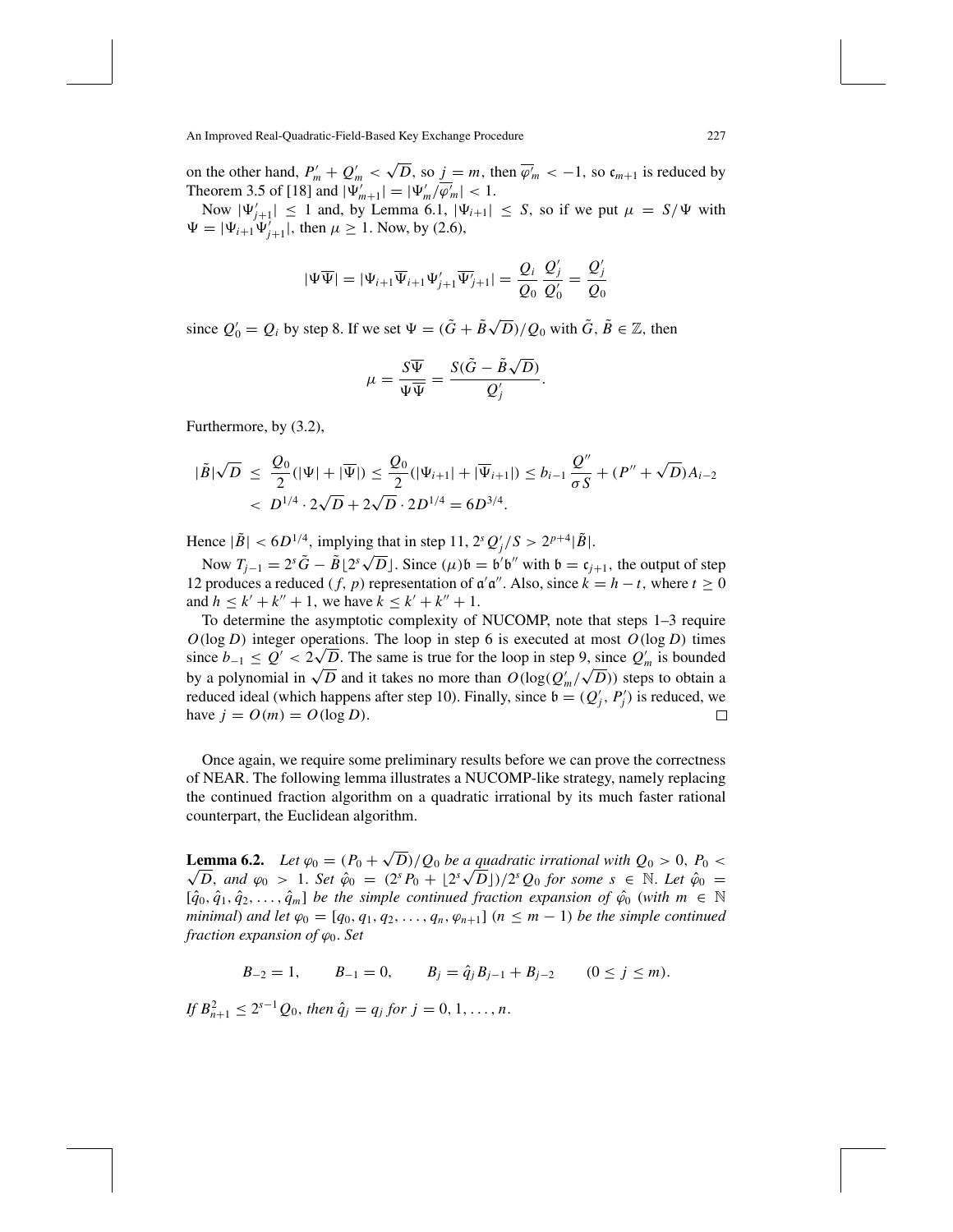on the other hand,  $P'_m + Q'_m < \sqrt{D}$ , so  $j = m$ , then  $\overline{\varphi'_m} < -1$ , so  $\mathfrak{c}_{m+1}$  is reduced by Theorem 3.5 of [18] and  $|\Psi'_{m+1}| = |\Psi'_{m}/\overline{\varphi'_{m}}| < 1$ .

Now  $|\Psi'_{j+1}| \leq 1$  and, by Lemma 6.1,  $|\Psi_{i+1}| \leq S$ , so if we put  $\mu = S/\Psi$  with  $\Psi = |\Psi_{i+1} \Psi'_{j+1}|$ , then  $\mu \ge 1$ . Now, by (2.6),

$$
|\Psi \overline{\Psi}| = |\Psi_{i+1} \overline{\Psi}_{i+1} \Psi'_{j+1} \overline{\Psi'_{j+1}}| = \frac{Q_i}{Q_0} \frac{Q'_j}{Q'_0} = \frac{Q'_j}{Q_0}
$$

since  $Q'_0 = Q_i$  by step 8. If we set  $\Psi = (\tilde{G} + \tilde{B}\sqrt{D})/Q_0$  with  $\tilde{G}, \tilde{B} \in \mathbb{Z}$ , then

$$
\mu = \frac{S\overline{\Psi}}{\Psi\overline{\Psi}} = \frac{S(\tilde{G} - \tilde{B}\sqrt{D})}{Q'_{j}}.
$$

Furthermore, by (3.2),

$$
|\tilde{B}|\sqrt{D} \leq \frac{Q_0}{2}(|\Psi| + |\overline{\Psi}|) \leq \frac{Q_0}{2}(|\Psi_{i+1}| + |\overline{\Psi}_{i+1}|) \leq b_{i-1}\frac{Q''}{\sigma S} + (P'' + \sqrt{D})A_{i-2}
$$
  
< 
$$
< D^{1/4} \cdot 2\sqrt{D} + 2\sqrt{D} \cdot 2D^{1/4} = 6D^{3/4}.
$$

Hence  $|\tilde{B}| < 6D^{1/4}$ , implying that in step 11,  $2^{s} Q_{j}^{t}/S > 2^{p+4} |\tilde{B}|$ .

Now  $T_{j-1} = 2^{s} \tilde{G} - \tilde{B} \left[ 2^{s} \sqrt{D} \right]$ . Since  $(\mu) b = b' b''$  with  $b = c_{j+1}$ , the output of step 12 produces a reduced (*f*, *p*) representation of  $\alpha' \alpha''$ . Also, since  $k = h - t$ , where  $t \ge 0$ and  $h \leq k' + k'' + 1$ , we have  $k \leq k' + k'' + 1$ .

To determine the asymptotic complexity of NUCOMP, note that steps 1–3 require  $O(\log D)$  integer operations. The loop in step 6 is executed at most  $O(\log D)$  times  $O(\log D)$  integer operations. The loop in step 6 is executed at most  $O(\log D)$  times since  $b_{-1} \le Q' < 2\sqrt{D}$ . The same is true for the loop in step 9, since  $Q'_m$  is bounded by a polynomial in  $\sqrt{D}$  and it takes no more than  $O(\log(Q'_m/\sqrt{D}))$  steps to obtain a reduced ideal (which happens after step 10). Finally, since  $\mathfrak{b} = (Q_j', P_j')$  is reduced, we have  $j = O(m) = O(\log D)$ .

Once again, we require some preliminary results before we can prove the correctness of NEAR. The following lemma illustrates a NUCOMP-like strategy, namely replacing the continued fraction algorithm on a quadratic irrational by its much faster rational counterpart, the Euclidean algorithm.

**Lemma 6.2.** *Let*  $\varphi_0 = (P_0 + \sqrt{D})/Q_0$  *be a quadratic irrational with*  $Q_0 > 0$ ,  $P_0 < \sqrt{D}$ **D**, and  $\varphi_0$  > 1. Set  $\hat{\varphi}_0 = (P_0 + \sqrt{D})/Q_0$  be a quadratic irrational with  $Q_0 > 0$ ,  $P_0 < \overline{D}$ , and  $\varphi_0 > 1$ . Set  $\hat{\varphi}_0 = (2^s P_0 + [2^s \sqrt{D}])/2^s Q_0$  for some  $s \in \mathbb{N}$ . Let  $\hat{\varphi}_0 =$  $[\hat{q}_0, \hat{q}_1, \hat{q}_2, \ldots, \hat{q}_m]$  *be the simple continued fraction expansion of*  $\hat{\varphi}_0$  (*with m*  $\in \mathbb{N}$ *minimal*) *and let*  $\varphi_0 = [q_0, q_1, q_2, \ldots, q_n, \varphi_{n+1}]$  ( $n \leq m-1$ ) *be the simple continued fraction expansion of*  $\varphi_0$ *. Set* 

$$
B_{-2} = 1
$$
,  $B_{-1} = 0$ ,  $B_j = \hat{q}_j B_{j-1} + B_{j-2}$   $(0 \le j \le m)$ .

*If*  $B_{n+1}^2 \le 2^{s-1}Q_0$ , then  $\hat{q}_j = q_j$  for  $j = 0, 1, ..., n$ .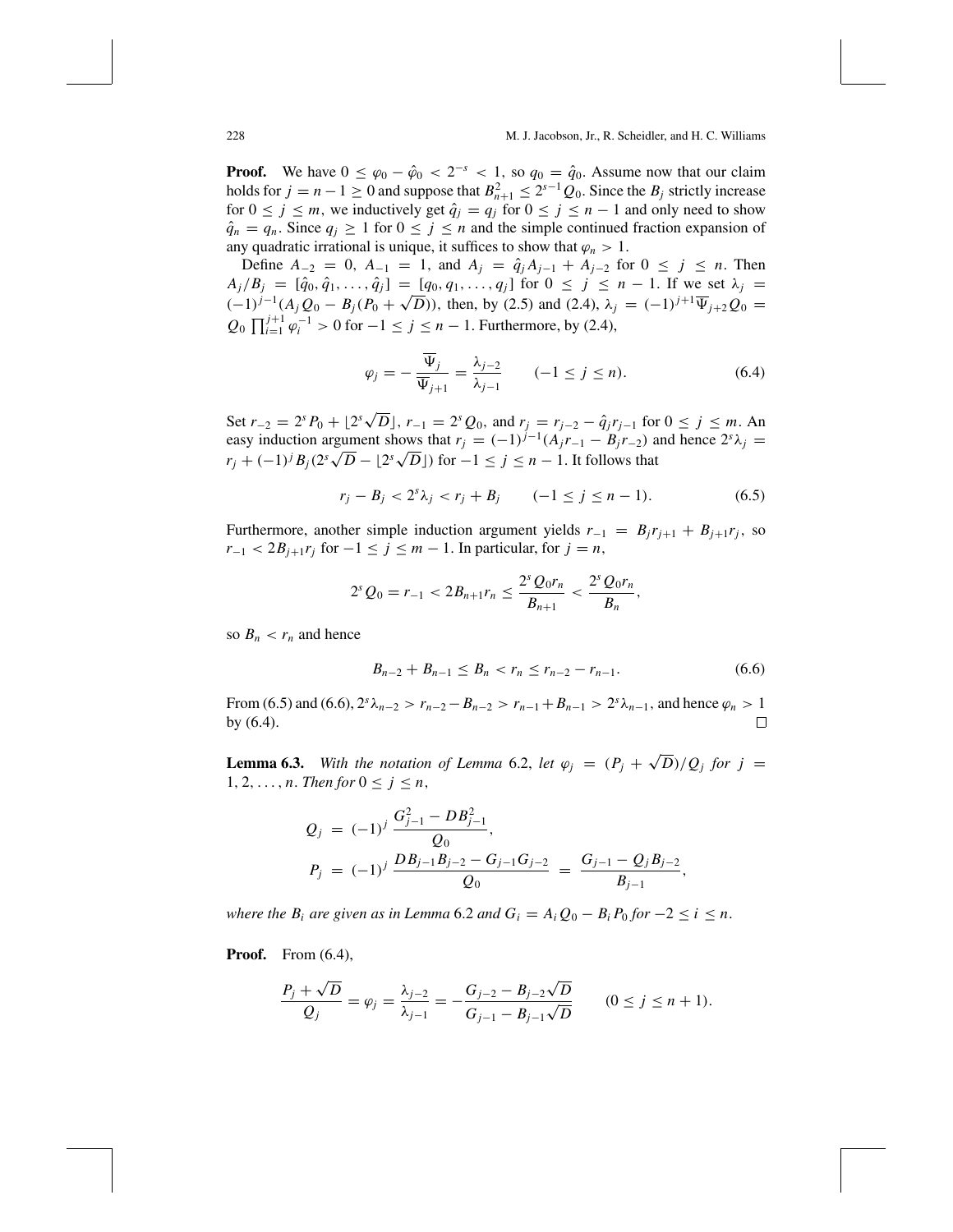**Proof.** We have  $0 \leq \varphi_0 - \hat{\varphi}_0 < 2^{-s} < 1$ , so  $q_0 = \hat{q}_0$ . Assume now that our claim holds for  $j = n - 1 \ge 0$  and suppose that  $B_{n+1}^2 \le 2^{s-1}Q_0$ . Since the  $B_j$  strictly increase for  $0 \le j \le m$ , we inductively get  $\hat{q}_j = q_j$  for  $0 \le j \le n - 1$  and only need to show  $\hat{q}_n = q_n$ . Since  $q_j \geq 1$  for  $0 \leq j \leq n$  and the simple continued fraction expansion of any quadratic irrational is unique, it suffices to show that  $\varphi_n > 1$ .

Define  $A_{-2} = 0$ ,  $A_{-1} = 1$ , and  $A_j = \hat{q}_j A_{j-1} + A_{j-2}$  for  $0 \le j \le n$ . Then  $A_j/B_j = [\hat{q}_0, \hat{q}_1, \ldots, \hat{q}_j] = [q_0, q_1, \ldots, q_j]$  for  $0 \le j \le n - 1$ . If we set  $\lambda_j =$  $(-1)^{j-1}(A_j Q_0 - B_j (P_0 + √D))$ , then, by (2.5) and (2.4),  $\lambda_j = (-1)^{j+1} \overline{\Psi}_{j+2} Q_0 =$  $Q_0 \prod_{i=1}^{j+1} \varphi_i^{-1} > 0$  for  $-1 \le j \le n-1$ . Furthermore, by (2.4),

$$
\varphi_j = -\frac{\overline{\Psi}_j}{\overline{\Psi}_{j+1}} = \frac{\lambda_{j-2}}{\lambda_{j-1}} \qquad (-1 \le j \le n). \tag{6.4}
$$

Set  $r_{-2} = 2^s P_0 + \lfloor 2^s \sqrt{D} \rfloor$ ,  $r_{-1} = 2^s Q_0$ , and  $r_j = r_{j-2} - \hat{q}_j r_{j-1}$  for  $0 \le j \le m$ . An easy induction argument shows that  $r_j = (-1)^{j-1}(A_jr_{-1} - B_jr_{-2})$  and hence  $2^s\lambda_j =$ *rj* + (−1)<sup>*j*</sup> *B<sub>j</sub>*(2*s*<sup> $\sqrt{D}$ </sup> − [2<sup>*s*</sup> $\sqrt{D}$ ]) for −1 ≤ *j* ≤ *n* − 1. It follows that

$$
r_j - B_j < 2^s \lambda_j < r_j + B_j \qquad (-1 \le j \le n - 1). \tag{6.5}
$$

Furthermore, another simple induction argument yields  $r_{-1} = B_j r_{j+1} + B_{j+1} r_j$ , so  $r_{-1}$  <  $2B_{i+1}r_i$  for  $-1 \le j \le m-1$ . In particular, for  $j = n$ ,

$$
2^{s} Q_{0} = r_{-1} < 2B_{n+1}r_{n} \leq \frac{2^{s} Q_{0}r_{n}}{B_{n+1}} < \frac{2^{s} Q_{0}r_{n}}{B_{n}},
$$

so  $B_n < r_n$  and hence

$$
B_{n-2} + B_{n-1} \le B_n < r_n \le r_{n-2} - r_{n-1}.\tag{6.6}
$$

,

From (6.5) and (6.6),  $2^{s}\lambda_{n-2} > r_{n-2} - B_{n-2} > r_{n-1} + B_{n-1} > 2^{s}\lambda_{n-1}$ , and hence  $\varphi_n > 1$ by (6.4).  $\Box$ 

**Lemma 6.3.** *With the notation of Lemma 6.2, let*  $\varphi_j = (P_j + \sqrt{D})/Q_j$  *for*  $j =$ 1, 2, ..., *n*. *Then for*  $0 \le j \le n$ ,

$$
Q_j = (-1)^j \frac{G_{j-1}^2 - DB_{j-1}^2}{Q_0},
$$
  
\n
$$
P_j = (-1)^j \frac{DB_{j-1}B_{j-2} - G_{j-1}G_{j-2}}{Q_0} = \frac{G_{j-1} - Q_jB_{j-2}}{B_{j-1}}
$$

*where the B<sub>i</sub> are given as in Lemma* 6.2 *and*  $G_i = A_i Q_0 - B_i P_0$  *for*  $-2 \le i \le n$ .

**Proof.** From  $(6.4)$ ,

$$
\frac{P_j + \sqrt{D}}{Q_j} = \varphi_j = \frac{\lambda_{j-2}}{\lambda_{j-1}} = -\frac{G_{j-2} - B_{j-2}\sqrt{D}}{G_{j-1} - B_{j-1}\sqrt{D}} \qquad (0 \le j \le n+1).
$$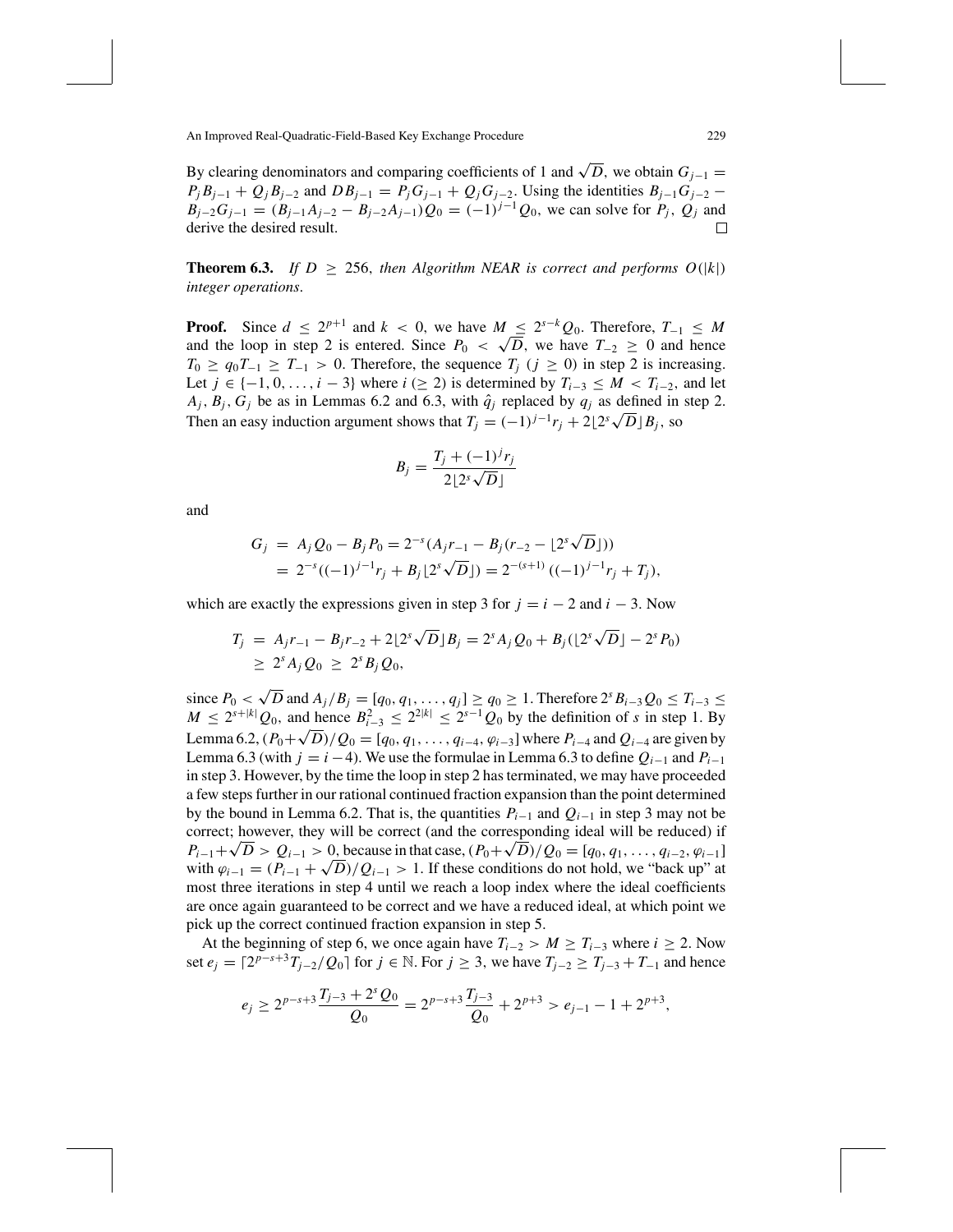By clearing denominators and comparing coefficients of 1 and  $\sqrt{D}$ , we obtain  $G_{i-1}$  =  $P_j B_{j-1} + Q_j B_{j-2}$  and  $DB_{j-1} = P_j G_{j-1} + Q_j G_{j-2}$ . Using the identities  $B_{j-1} G_{j-2}$  −  $B_{j-2}G_{j-1} = (B_{j-1}A_{j-2} - B_{j-2}A_{j-1})Q_0 = (-1)^{j-1}Q_0$ , we can solve for  $P_j$ ,  $Q_j$  and derive the desired result. Г

**Theorem 6.3.** *If*  $D \ge 256$ , *then Algorithm NEAR is correct and performs*  $O(|k|)$ *integer operations*.

**Proof.** Since  $d \leq 2^{p+1}$  and  $k < 0$ , we have  $M \leq 2^{s-k}Q_0$ . Therefore,  $T_{-1} \leq M$ and the loop in step 2 is entered. Since  $P_0 < \sqrt{D}$ , we have  $T_{-2} \ge 0$  and hence  $T_0 \ge q_0 T_{-1} \ge T_{-1} > 0$ . Therefore, the sequence  $T_j$  ( $j \ge 0$ ) in step 2 is increasing. Let *j* ∈ {-1, 0, ..., *i* − 3} where *i* (≥ 2) is determined by  $T_{i-3}$  ≤ *M* <  $T_{i-2}$ , and let  $A_j$ ,  $B_j$ ,  $G_j$  be as in Lemmas 6.2 and 6.3, with  $\hat{q}_j$  replaced by  $q_j$  as defined in step 2. Then an easy induction argument shows that  $T_j = (-1)^{j-1}r_j + 2\lfloor 2^s \sqrt{D} \rfloor B_j$ , so

$$
B_j = \frac{T_j + (-1)^j r_j}{2 \lfloor 2^s \sqrt{D} \rfloor}
$$

and

$$
G_j = A_j Q_0 - B_j P_0 = 2^{-s} (A_j r_{-1} - B_j (r_{-2} - [2^s \sqrt{D}]))
$$
  
= 2^{-s} ((-1)^{j-1} r\_j + B\_j [2^s \sqrt{D}]) = 2^{-(s+1)} ((-1)^{j-1} r\_j + T\_j),

which are exactly the expressions given in step 3 for  $j = i - 2$  and  $i - 3$ . Now

$$
T_j = A_j r_{-1} - B_j r_{-2} + 2[2^s \sqrt{D}]B_j = 2^s A_j Q_0 + B_j (2^s \sqrt{D}) - 2^s P_0)
$$
  
\n
$$
\geq 2^s A_j Q_0 \geq 2^s B_j Q_0,
$$

since  $P_0 < \sqrt{D}$  and  $A_j/B_j = [q_0, q_1, ..., q_j] \ge q_0 \ge 1$ . Therefore  $2^{s} B_{i-3} Q_0 \le T_{i-3}$  ≤ *M* ≤  $2^{s+|k|}Q_0$ , and hence  $B_{i-3}^2$  ≤  $2^{2|k|}$  ≤  $2^{s-1}Q_0$  by the definition of *s* in step 1. By Lemma 6.2,  $(P_0 + \sqrt{D})/Q_0 = [q_0, q_1, \dots, q_{i-4}, \varphi_{i-3}]$  where  $P_{i-4}$  and  $Q_{i-4}$  are given by Lemma 6.3 (with  $j = i - 4$ ). We use the formulae in Lemma 6.3 to define  $Q_{i-1}$  and  $P_{i-1}$ in step 3. However, by the time the loop in step 2 has terminated, we may have proceeded a few steps further in our rational continued fraction expansion than the point determined by the bound in Lemma 6.2. That is, the quantities  $P_{i-1}$  and  $Q_{i-1}$  in step 3 may not be correct; however, they will be correct (and the corresponding ideal will be reduced) if *P<sub>i−1</sub>* +  $\sqrt{D}$  >  $Q_{i-1}$  > 0, because in that case,  $(P_0 + \sqrt{D})/Q_0 = [q_0, q_1, \ldots, q_{i-2}, \varphi_{i-1}]$ with  $\varphi_{i-1} = (P_{i-1} + \sqrt{D})/Q_{i-1} > 1$ . If these conditions do not hold, we "back up" at most three iterations in step 4 until we reach a loop index where the ideal coefficients are once again guaranteed to be correct and we have a reduced ideal, at which point we pick up the correct continued fraction expansion in step 5.

At the beginning of step 6, we once again have  $T_{i-2} > M \geq T_{i-3}$  where  $i \geq 2$ . Now set *e<sub>j</sub>* =  $[2^{p-s+3}T_{j-2}/Q_0]$  for *j* ∈ N. For *j* ≥ 3, we have  $T_{j-2}$  ≥  $T_{j-3}$  +  $T_{-1}$  and hence

$$
e_j \ge 2^{p-s+3} \frac{T_{j-3} + 2^s Q_0}{Q_0} = 2^{p-s+3} \frac{T_{j-3}}{Q_0} + 2^{p+3} > e_{j-1} - 1 + 2^{p+3},
$$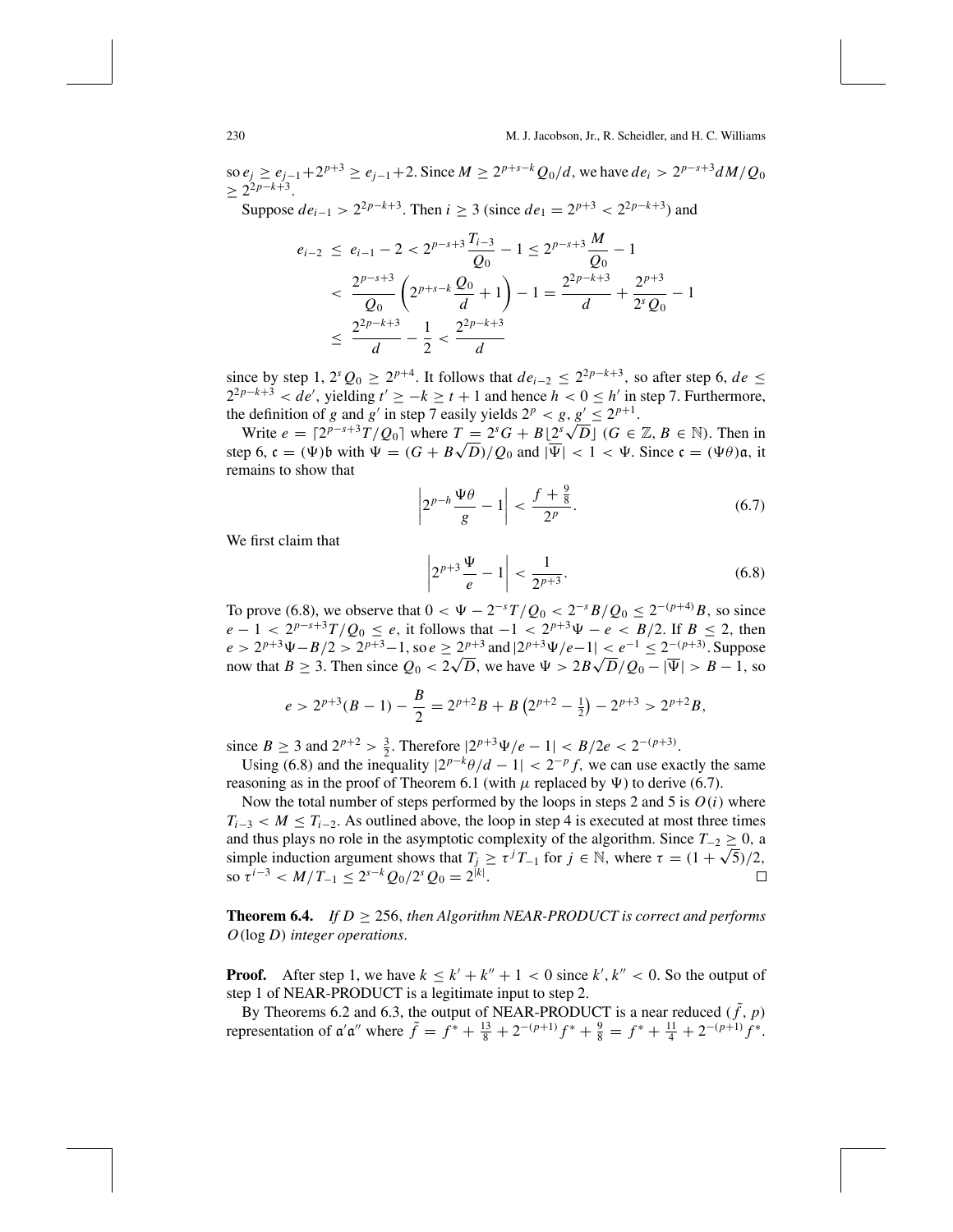#### 230 M. J. Jacobson, Jr., R. Scheidler, and H. C. Williams

so  $e_j$  ≥  $e_{j-1}$  + 2<sup>*p*+3</sup> ≥  $e_{j-1}$  + 2. Since *M* ≥ 2<sup>*p*+*s*−*k*</sup>  $Q_0/d$ , we have  $de_i > 2^{p-s+3}dM/Q_0$  $\geq 2^{2p-k+3}$ .

Suppose  $de_{i-1} > 2^{2p-k+3}$ . Then  $i \ge 3$  (since  $de_1 = 2^{p+3} < 2^{2p-k+3}$ ) and

$$
e_{i-2} \le e_{i-1} - 2 < 2^{p-s+3} \frac{T_{i-3}}{Q_0} - 1 \le 2^{p-s+3} \frac{M}{Q_0} - 1
$$
  

$$
< \frac{2^{p-s+3}}{Q_0} \left( 2^{p+s-k} \frac{Q_0}{d} + 1 \right) - 1 = \frac{2^{2p-k+3}}{d} + \frac{2^{p+3}}{2^s Q_0} - 1
$$
  

$$
\le \frac{2^{2p-k+3}}{d} - \frac{1}{2} < \frac{2^{2p-k+3}}{d}
$$

since by step 1,  $2^{s}Q_0 \ge 2^{p+4}$ . It follows that  $de_{i-2} \le 2^{2p-k+3}$ , so after step 6,  $de \le$  $2^{2p-k+3} < de'$ , yielding  $t' \geq -k \geq t+1$  and hence  $h < 0 \leq h'$  in step 7. Furthermore, the definition of *g* and *g'* in step 7 easily yields  $2^p < g, g' \le 2^{p+1}$ .

e definition of *g* and *g* 'in step *f* easily yields  $2^p < g$ ,  $g \le 2^{p+1}$ .<br>Write  $e = \lfloor 2^{p-s+3}T/Q_0 \rfloor$  where  $T = 2^sG + B\lfloor 2^s\sqrt{D} \rfloor$  (*G* ∈ ℤ, *B* ∈ ℕ). Then in write  $e = |z^p - (q)|$  where  $I = z^p G + B\overline{z^p} \sqrt{D}$  ( $G \in \mathbb{Z}, B \in \mathbb{N}$ ). Then in step 6,  $c = (\Psi)b$  with  $\Psi = (G + B\sqrt{D})/Q_0$  and  $|\overline{\Psi}| < 1 < \Psi$ . Since  $c = (\Psi\theta)a$ , it remains to show that

$$
\left|2^{p-h}\frac{\Psi\theta}{g}-1\right|<\frac{f+\frac{9}{8}}{2^p}.\tag{6.7}
$$

We first claim that

$$
\left| 2^{p+3} \frac{\Psi}{e} - 1 \right| < \frac{1}{2^{p+3}}. \tag{6.8}
$$

To prove (6.8), we observe that  $0 < \Psi - 2^{-s}T/Q_0 < 2^{-s}B/Q_0 \le 2^{-(p+4)}B$ , so since  $e - 1 < 2^{p-s+3}T/Q_0 \le e$ , it follows that  $-1 < 2^{p+3}\Psi - e < B/2$ . If  $B \le 2$ , then  $e > 2^{p+3}\Psi - B/2 > 2^{p+3} - 1$ , so  $e \ge 2^{p+3}$  and  $|2^{p+3}\Psi/e - 1| < e^{-1} \le 2^{-(p+3)}$ . Suppose  $e > 2^{p+3}\Psi - B/2 > 2^{p+3} - 1$ , so  $e \ge 2^{p+3}$  and  $|2^{p+3}\Psi/e - 1| < e \ge 2^{p+3}$ . Suppose<br>now that  $B \ge 3$ . Then since  $Q_0 < 2\sqrt{D}$ , we have  $\Psi > 2B\sqrt{D}/Q_0 - |\overline{\Psi}| > B - 1$ , so

$$
e > 2^{p+3}(B-1) - \frac{B}{2} = 2^{p+2}B + B(2^{p+2} - \frac{1}{2}) - 2^{p+3} > 2^{p+2}B,
$$

since *B* ≥ 3 and  $2^{p+2} > \frac{3}{2}$ . Therefore  $|2^{p+3}\Psi/e - 1| < B/2e < 2^{-(p+3)}$ .

Using (6.8) and the inequality  $|2^{p-k}\theta/d - 1| < 2^{-p}f$ , we can use exactly the same reasoning as in the proof of Theorem 6.1 (with  $\mu$  replaced by  $\Psi$ ) to derive (6.7).

Now the total number of steps performed by the loops in steps 2 and 5 is  $O(i)$  where  $T_{i-3}$  < *M*  $\leq$  *T*<sub>*i*−2</sub>. As outlined above, the loop in step 4 is executed at most three times and thus plays no role in the asymptotic complexity of the algorithm. Since  $T_{-2} \ge 0$ , a and thus plays no role in the asymptotic complexity or the algorithm. Since  $I_{-2} \ge 0$ , a simple induction argument shows that  $T_j \ge \tau^j T_{-1}$  for  $j \in \mathbb{N}$ , where  $\tau = (1 + \sqrt{5})/2$ , so  $\tau^{i-3}$  <  $M/T_{-1} \le 2^{s-k}Q_0/2^sQ_0 = 2^{|k|}.$  $\Box$ 

**Theorem 6.4.** *If*  $D \ge 256$ , *then Algorithm NEAR-PRODUCT is correct and performs O*(log *D*) *integer operations*.

**Proof.** After step 1, we have  $k \leq k' + k'' + 1 < 0$  since  $k', k'' < 0$ . So the output of step 1 of NEAR-PRODUCT is a legitimate input to step 2.

By Theorems 6.2 and 6.3, the output of NEAR-PRODUCT is a near reduced  $(\tilde{f}, p)$ representation of  $\alpha'\alpha''$  where  $\tilde{f} = f^* + \frac{13}{8} + 2^{-(p+1)}f^* + \frac{9}{8} = f^* + \frac{11}{4} + 2^{-(p+1)}f^*$ .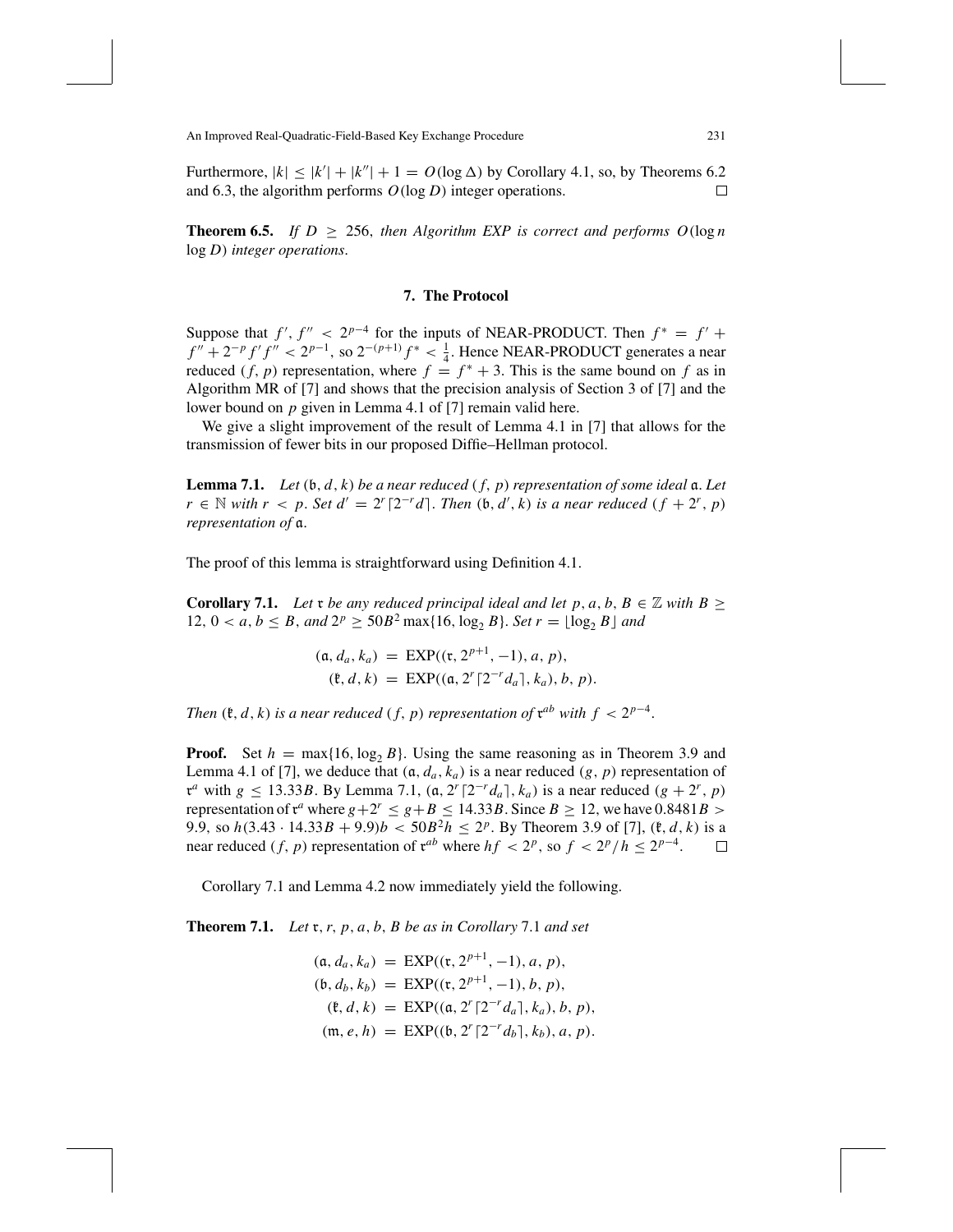Furthermore,  $|k| \le |k'| + |k''| + 1 = O(\log \Delta)$  by Corollary 4.1, so, by Theorems 6.2 and 6.3, the algorithm performs *O*(log *D*) integer operations. П

**Theorem 6.5.** *If*  $D \ge 256$ , *then Algorithm EXP is correct and performs*  $O(\log n)$ log *D*) *integer operations*.

## **7. The Protocol**

Suppose that  $f'$ ,  $f'' < 2^{p-4}$  for the inputs of NEAR-PRODUCT. Then  $f^* = f' + f'$  $f'' + 2^{-p} f' f'' < 2^{p-1}$ , so  $2^{-(p+1)} f^* < \frac{1}{4}$ . Hence NEAR-PRODUCT generates a near reduced  $(f, p)$  representation, where  $f = f^* + 3$ . This is the same bound on f as in Algorithm MR of [7] and shows that the precision analysis of Section 3 of [7] and the lower bound on *p* given in Lemma 4.1 of [7] remain valid here.

We give a slight improvement of the result of Lemma 4.1 in [7] that allows for the transmission of fewer bits in our proposed Diffie–Hellman protocol.

**Lemma 7.1.** *Let* (b, *d*, *k*) *be a near reduced* ( *f*, *p*) *representation of some ideal* a. *Let r* ∈ *N with r* < *p*. *Set*  $d' = 2^r \lceil 2^{-r}d \rceil$ *. Then* (*b*, *d'*, *k*) *is a near reduced* (*f* + 2<sup>*r*</sup>, *p*) *representation of* a.

The proof of this lemma is straightforward using Definition 4.1.

**Corollary 7.1.** Let x be any reduced principal ideal and let p, a, b,  $B \in \mathbb{Z}$  with  $B \geq$ 12,  $0 < a, b \le B$ , and  $2^p \ge 50B^2 \max\{16, \log_2 B\}$ . *Set*  $r = \lfloor \log_2 B \rfloor$  and

$$
(\mathfrak{a}, d_a, k_a) = \text{EXP}((\mathfrak{r}, 2^{p+1}, -1), a, p), (\mathfrak{k}, d, k) = \text{EXP}((\mathfrak{a}, 2^r \lceil 2^{-r} d_a \rceil, k_a), b, p).
$$

*Then*  $(\mathfrak{k}, d, k)$  *is a near reduced*  $(f, p)$  *representation of*  $\mathfrak{r}^{ab}$  *with*  $f < 2^{p-4}$ .

**Proof.** Set  $h = \max\{16, \log_2 B\}$ . Using the same reasoning as in Theorem 3.9 and Lemma 4.1 of [7], we deduce that  $(a, d_a, k_a)$  is a near reduced  $(g, p)$  representation of  $x^a$  with  $g \le 13.33B$ . By Lemma 7.1,  $(a, 2^r \lceil 2^{-r} d_a \rceil, k_a)$  is a near reduced  $(g + 2^r, p)$ representation of  $x^a$  where  $g + 2^r \le g + B \le 14.33B$ . Since  $B \ge 12$ , we have 0.8481*B* > 9.9, so  $h(3.43 \cdot 14.33B + 9.9)$ *b* <  $50B^2h \le 2^p$ . By Theorem 3.9 of [7], ( $\mathfrak{k}, d, k$ ) is a near reduced (*f*, *p*) representation of  $\mathfrak{r}^{ab}$  where  $hf < 2^p$ , so  $f < 2^p/h \le 2^{p-4}$ .  $\Box$ 

Corollary 7.1 and Lemma 4.2 now immediately yield the following.

**Theorem 7.1.** *Let* r,*r*, *p*, *a*, *b*, *B be as in Corollary* 7.1 *and set*

$$
(\mathfrak{a}, d_a, k_a) = \text{EXP}((\mathfrak{r}, 2^{p+1}, -1), a, p),
$$
  
\n
$$
(\mathfrak{b}, d_b, k_b) = \text{EXP}((\mathfrak{r}, 2^{p+1}, -1), b, p),
$$
  
\n
$$
(\mathfrak{k}, d, k) = \text{EXP}((\mathfrak{a}, 2^r \lceil 2^{-r} d_a \rceil, k_a), b, p),
$$
  
\n
$$
(\mathfrak{m}, e, h) = \text{EXP}((\mathfrak{b}, 2^r \lceil 2^{-r} d_b \rceil, k_b), a, p).
$$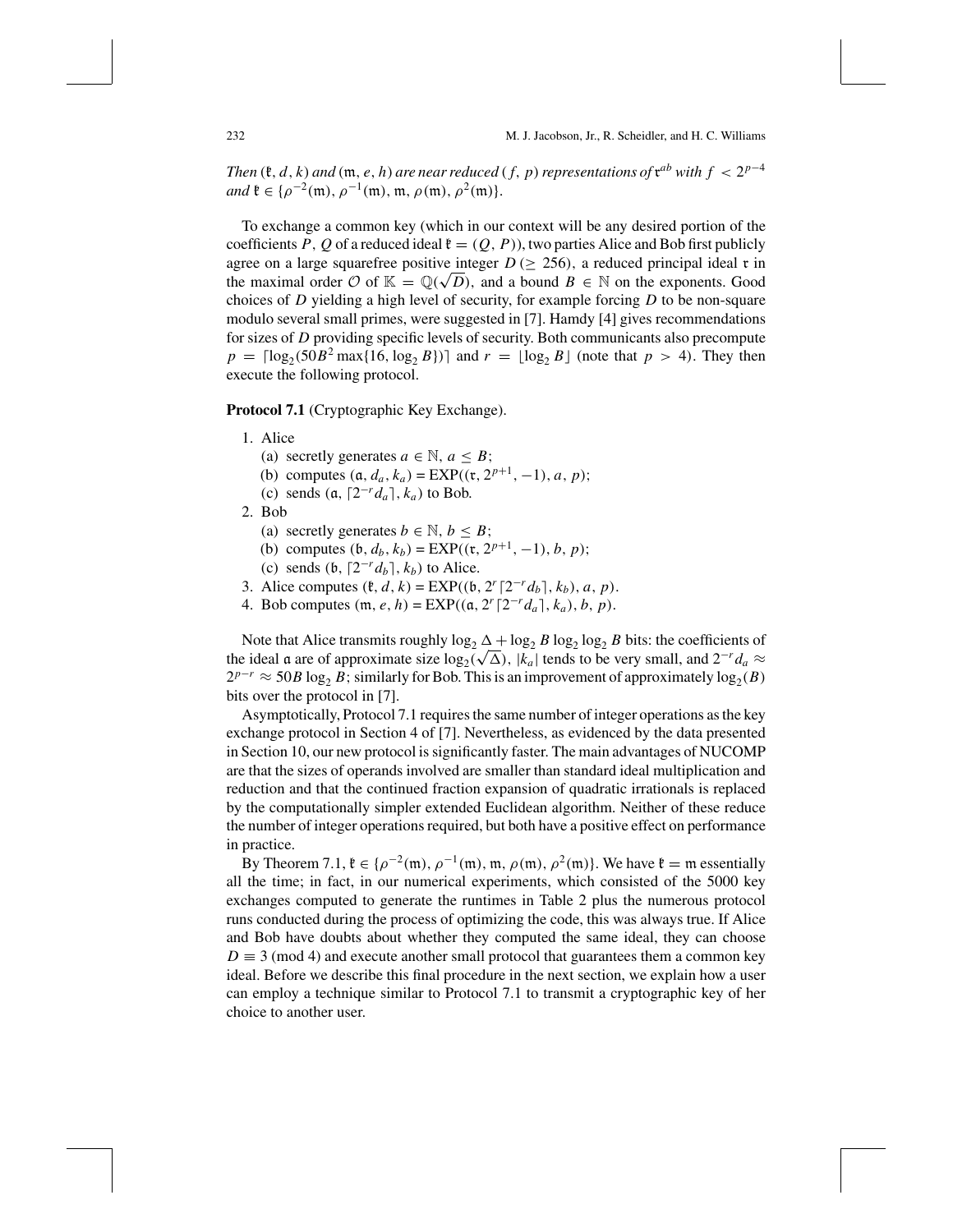*Then* ( $\mathfrak{k}, d, k$ ) *and* ( $\mathfrak{m}, e, h$ ) *are near reduced* ( $f, p$ ) *representations of*  $\mathfrak{r}^{ab}$  *with*  $f < 2^{p-4}$ *and*  $\mathfrak{k} \in {\rho^{-2}(\mathfrak{m})}, \rho^{-1}(\mathfrak{m}), \mathfrak{m}, \rho(\mathfrak{m}), \rho^2(\mathfrak{m})\}.$ 

To exchange a common key (which in our context will be any desired portion of the coefficients P, Q of a reduced ideal  $\mathfrak{k} = (Q, P)$ , two parties Alice and Bob first publicly agree on a large squarefree positive integer  $D \geq 256$ ), a reduced principal ideal r in agree on a large squarefree positive integer  $D \ge 256$ , a reduced principal ideal **t** in the maximal order O of  $\mathbb{K} = \mathbb{Q}(\sqrt{D})$ , and a bound  $B \in \mathbb{N}$  on the exponents. Good choices of *D* yielding a high level of security, for example forcing *D* to be non-square modulo several small primes, were suggested in [7]. Hamdy [4] gives recommendations for sizes of *D* providing specific levels of security. Both communicants also precompute  $p = \lceil \log_2(50B^2 \max\{16, \log_2 B\}) \rceil$  and  $r = \lfloor \log_2 B \rfloor$  (note that  $p > 4$ ). They then execute the following protocol.

**Protocol 7.1** (Cryptographic Key Exchange).

- 1. Alice
	- (a) secretly generates  $a \in \mathbb{N}$ ,  $a \leq B$ ;
	- (b) computes  $(a, d_a, k_a) = EXP((x, 2^{p+1}, -1), a, p);$
	- (c) sends  $(a, [2^{-r}d_a], k_a)$  to Bob.
- 2. Bob
	- (a) secretly generates  $b \in \mathbb{N}, b \leq B$ ;
	- (b) computes  $(b, d_b, k_b) = EXP((x, 2^{p+1}, -1), b, p);$
	- (c) sends  $(b, [2^{-r}d_b], k_b)$  to Alice.
- 3. Alice computes  $(\ell, d, k) = EXP((b, 2<sup>r</sup> [2<sup>-r</sup> d<sub>b</sub>], k<sub>b</sub>), a, p)$ .
- 4. Bob computes  $(m, e, h) = EXP((a, 2<sup>r</sup> [2<sup>-r</sup> d<sub>a</sub>], k<sub>a</sub>), b, p)$ .

Note that Alice transmits roughly  $\log_2 \Delta + \log_2 B \log_2 \log_2 B$  bits: the coefficients of Note that Alice transmits roughly log<sub>2</sub>  $\Delta + \log_2 B$  log<sub>2</sub> log<sub>2</sub> b bits: the coefficients of the ideal a are of approximate size log<sub>2</sub>( $\sqrt{\Delta}$ ), |k<sub>a</sub>| tends to be very small, and 2<sup>-*r*</sup>d<sub>a</sub> ≈  $2^{p-r} \approx 50B \log_2 B$ ; similarly for Bob. This is an improvement of approximately  $\log_2(B)$ bits over the protocol in [7].

Asymptotically, Protocol 7.1 requires the same number of integer operations as the key exchange protocol in Section 4 of [7]. Nevertheless, as evidenced by the data presented in Section 10, our new protocol is significantly faster. The main advantages of NUCOMP are that the sizes of operands involved are smaller than standard ideal multiplication and reduction and that the continued fraction expansion of quadratic irrationals is replaced by the computationally simpler extended Euclidean algorithm. Neither of these reduce the number of integer operations required, but both have a positive effect on performance in practice.

By Theorem 7.1,  $\mathfrak{k} \in {\rho^{-2}(\mathfrak{m})}$ ,  $\rho^{-1}(\mathfrak{m})$ ,  $\mathfrak{m}$ ,  $\rho(\mathfrak{m})$ ,  $\rho^2(\mathfrak{m})$ . We have  $\mathfrak{k} = \mathfrak{m}$  essentially all the time; in fact, in our numerical experiments, which consisted of the 5000 key exchanges computed to generate the runtimes in Table 2 plus the numerous protocol runs conducted during the process of optimizing the code, this was always true. If Alice and Bob have doubts about whether they computed the same ideal, they can choose  $D \equiv 3 \pmod{4}$  and execute another small protocol that guarantees them a common key ideal. Before we describe this final procedure in the next section, we explain how a user can employ a technique similar to Protocol 7.1 to transmit a cryptographic key of her choice to another user.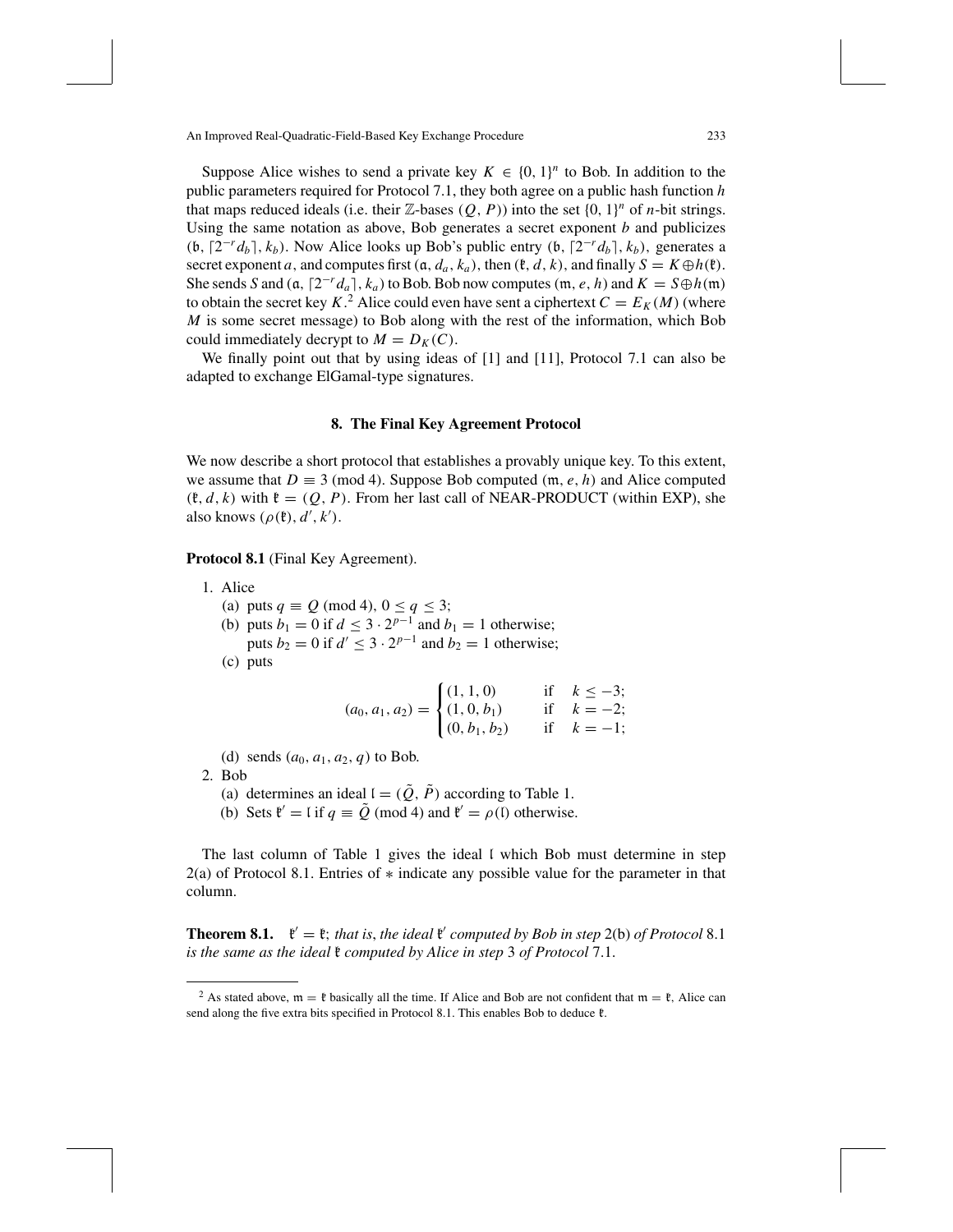Suppose Alice wishes to send a private key  $K \in \{0, 1\}^n$  to Bob. In addition to the public parameters required for Protocol 7.1, they both agree on a public hash function *h* that maps reduced ideals (i.e. their  $\mathbb{Z}$ -bases  $(Q, P)$ ) into the set  $\{0, 1\}^n$  of *n*-bit strings. Using the same notation as above, Bob generates a secret exponent *b* and publicizes (b,  $[2^{-r}d_b]$ ,  $k_b$ ). Now Alice looks up Bob's public entry (b,  $[2^{-r}d_b]$ ,  $k_b$ ), generates a secret exponent *a*, and computes first  $(a, d_a, k_a)$ , then  $(\ell, d, k)$ , and finally  $S = K \oplus h(\ell)$ . She sends *S* and  $(a, [2^{-r}d_a], k_a)$  to Bob. Bob now computes  $(m, e, h)$  and  $K = S \oplus h(m)$ to obtain the secret key  $K^2$ . Alice could even have sent a ciphertext  $C = E_K(M)$  (where *M* is some secret message) to Bob along with the rest of the information, which Bob could immediately decrypt to  $M = D_K(C)$ .

We finally point out that by using ideas of [1] and [11], Protocol 7.1 can also be adapted to exchange ElGamal-type signatures.

#### **8. The Final Key Agreement Protocol**

We now describe a short protocol that establishes a provably unique key. To this extent, we assume that  $D \equiv 3 \pmod{4}$ . Suppose Bob computed  $(\mathfrak{m}, e, h)$  and Alice computed  $(\mathfrak{k}, d, k)$  with  $\mathfrak{k} = (Q, P)$ . From her last call of NEAR-PRODUCT (within EXP), she also knows  $(\rho(\mathfrak{k}), d', k')$ .

**Protocol 8.1** (Final Key Agreement).

- 1. Alice
	- (a) puts  $q \equiv Q \pmod{4}$ ,  $0 \le q \le 3$ ;
	- (b) puts *b*<sub>1</sub> = 0 if *d* ≤ 3 ·  $2^{p-1}$  and *b*<sub>1</sub> = 1 otherwise; puts *b*<sub>2</sub> = 0 if *d'* ≤ 3 ·  $2^{p-1}$  and *b*<sub>2</sub> = 1 otherwise;

(c) puts

$$
(a_0, a_1, a_2) = \begin{cases} (1, 1, 0) & \text{if } k \le -3; \\ (1, 0, b_1) & \text{if } k = -2; \\ (0, b_1, b_2) & \text{if } k = -1; \end{cases}
$$

(d) sends  $(a_0, a_1, a_2, q)$  to Bob.

- 2. Bob
	- (a) determines an ideal  $I = (\tilde{Q}, \tilde{P})$  according to Table 1.
	- (b) Sets  $\mathfrak{k}' = \mathfrak{l}$  if  $q \equiv \tilde{Q} \pmod{4}$  and  $\mathfrak{k}' = \rho(\mathfrak{l})$  otherwise.

The last column of Table 1 gives the ideal I which Bob must determine in step 2(a) of Protocol 8.1. Entries of ∗ indicate any possible value for the parameter in that column.

**Theorem 8.1.**  $\mathbf{f}' = \mathbf{f}$ ; *that is, the ideal*  $\mathbf{f}'$  *computed by Bob in step* 2(b) *of Protocol* 8.1 *is the same as the ideal* k *computed by Alice in step* 3 *of Protocol* 7.1.

<sup>&</sup>lt;sup>2</sup> As stated above,  $m = \ell$  basically all the time. If Alice and Bob are not confident that  $m = \ell$ , Alice can send along the five extra bits specified in Protocol 8.1. This enables Bob to deduce  $\mathfrak{k}$ .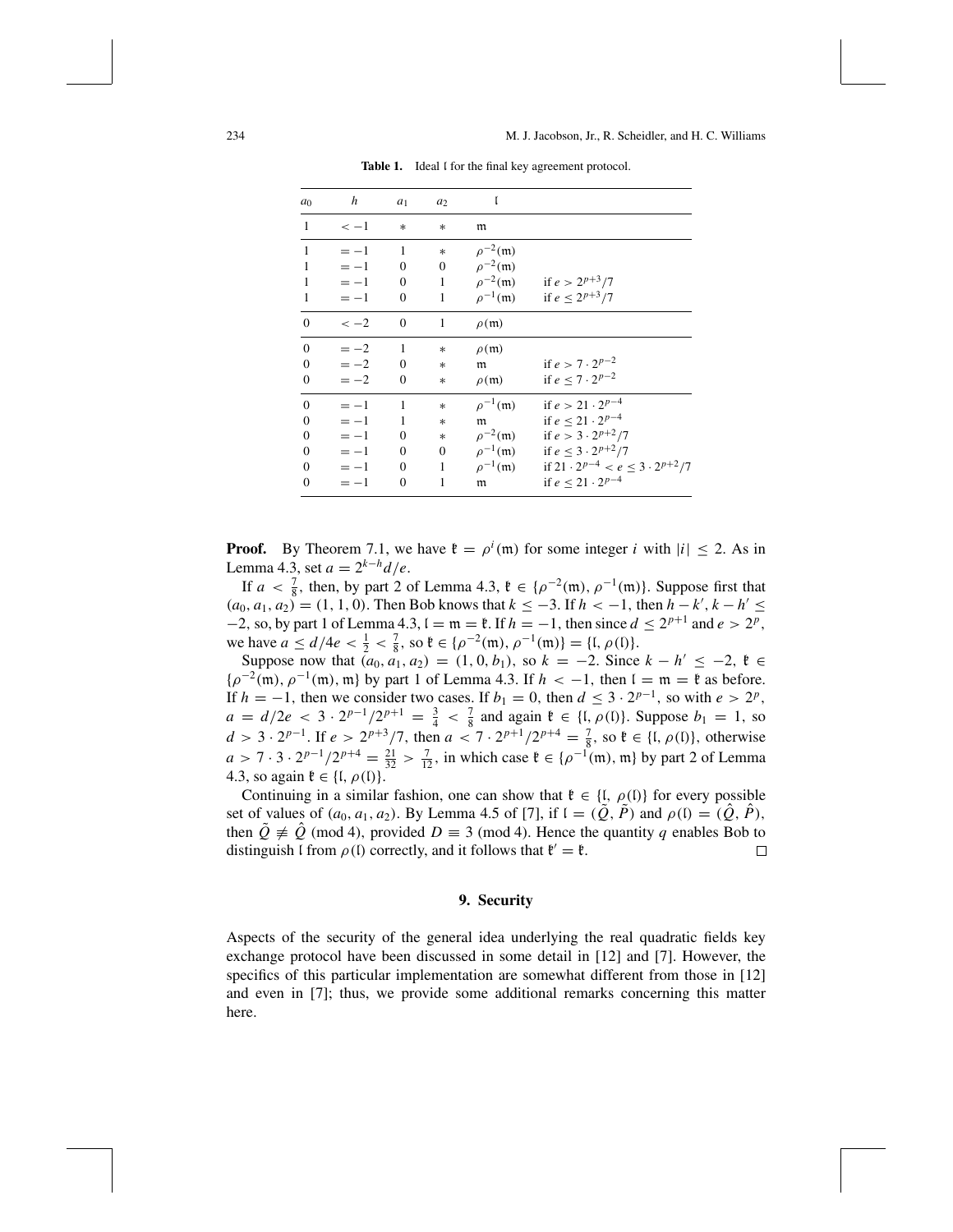| a <sub>0</sub>   | h      | $a_1$                      | a <sub>2</sub> | ľ                         |                                                                            |
|------------------|--------|----------------------------|----------------|---------------------------|----------------------------------------------------------------------------|
| 1                | $<-1$  | $\ast$                     | $\ast$         | m                         |                                                                            |
| $\mathbf{1}$     | $=-1$  | $\overline{\phantom{0}}$ 1 | $*$            | $\rho^{-2}(\mathfrak{m})$ |                                                                            |
| $\mathbf{1}$     | $=-1$  | $\mathbf{0}$               |                | 0 $\rho^{-2}$ (m)         |                                                                            |
| 1                | $=-1$  | $\overline{0}$             |                |                           | 1 $\rho^{-2}$ (m) if $e > 2^{p+3}/7$                                       |
| $\mathbf{1}$     | $=-1$  | $\theta$                   | $\mathbf{1}$   |                           | $\rho^{-1}$ (m) if $e \le 2^{p+3}/7$                                       |
| $\mathbf{0}$     | $<-2$  | $\theta$                   | $\mathbf{1}$   | $\rho(\mathfrak{m})$      |                                                                            |
| $\theta$         | $=-2$  | 1                          | $\ast$         | $\rho(\mathfrak{m})$      |                                                                            |
| $\theta$         | $=-2$  | $\theta$                   | $*$            | $\mathfrak m$             | if $e > 7 \cdot 2^{p-2}$                                                   |
| $\mathbf{0}$     | $=-2$  | $\theta$                   | *              | $\rho(\mathfrak{m})$      | if $e \le 7 \cdot 2^{p-2}$                                                 |
| $\mathbf{0}$     | $=-1$  | 1                          | $\ast$         | $\rho^{-1}(\mathfrak{m})$ | if $e > 21 \cdot 2^{p-4}$                                                  |
| $\boldsymbol{0}$ | $=-1$  | 1                          | *              | m                         | if $e \leq 21 \cdot 2^{p-4}$                                               |
| $\mathbf{0}$     | $=-1$  | $\theta$                   | $\ast$         |                           | $\rho^{-2}$ (m) if $e > 3 \cdot 2^{p+2}/7$                                 |
| $\mathbf{0}$     | $= -1$ | $\theta$                   |                |                           | 0 $\rho^{-1}(\mathfrak{m})$ if $e \leq 3 \cdot 2^{p+2}/7$                  |
| $\mathbf{0}$     | $= -1$ | $\theta$                   | $\mathbf{1}$   |                           | $\rho^{-1}(\mathfrak{m})$ if $21 \cdot 2^{p-4} < e \leq 3 \cdot 2^{p+2}/7$ |
| $\boldsymbol{0}$ | $=-1$  | $\theta$                   | 1              | m                         | if $e \leq 21 \cdot 2^{p-4}$                                               |

Table 1. Ideal I for the final key agreement protocol.

**Proof.** By Theorem 7.1, we have  $\mathfrak{k} = \rho^i(\mathfrak{m})$  for some integer *i* with  $|i| \le 2$ . As in Lemma 4.3, set  $a = 2^{k-h}d/e$ .

If *a* <  $\frac{7}{8}$ , then, by part 2 of Lemma 4.3,  $\mathfrak{k} \in \{ \rho^{-2}(\mathfrak{m}), \rho^{-1}(\mathfrak{m}) \}$ . Suppose first that  $(a_0, a_1, a_2) = (1, 1, 0)$ . Then Bob knows that  $k \le -3$ . If  $h < -1$ , then  $h - k'$ ,  $k - h' \le$  $-2$ , so, by part 1 of Lemma 4.3,  $l = m = \mathfrak{k}$ . If  $h = -1$ , then since  $d \leq 2^{p+1}$  and  $e > 2^p$ , we have  $a \le d/4e < \frac{1}{2} < \frac{7}{8}$ , so  $\mathfrak{k} \in {\rho^{-2}(\mathfrak{m})}, \rho^{-1}(\mathfrak{m}) = {\mathfrak{l}}, \rho(\mathfrak{l})$ .

Suppose now that  $(a_0, a_1, a_2) = (1, 0, b_1)$ , so  $k = -2$ . Since  $k - h' \le -2$ ,  $k \in$  ${\rho^{-2}(\mathfrak{m})}$ ,  ${\rho^{-1}(\mathfrak{m})}$ ,  $\mathfrak{m}$ } by part 1 of Lemma 4.3. If  $h < -1$ , then  $\mathfrak{l} = \mathfrak{m} = \mathfrak{k}$  as before. If *h* = −1, then we consider two cases. If *b*<sub>1</sub> = 0, then *d* ≤ 3 · 2*p*<sup>-1</sup>, so with *e* > 2*p*,  $a = d/2e < 3 \cdot 2^{p-1}/2^{p+1} = \frac{3}{4} < \frac{7}{8}$  and again  $\mathfrak{k} \in \{1, \rho(0)\}$ . Suppose  $b_1 = 1$ , so *d* > 3⋅2<sup>*p*-1</sup>. If *e* > 2<sup>*p*+3</sup>/7, then *a* < 7⋅2<sup>*p*+1</sup>/2<sup>*p*+4</sup> =  $\frac{7}{8}$ , so  $\ell \in \{I, \rho(I)\}$ , otherwise  $a > 7 \cdot 3 \cdot 2^{p-1}/2^{p+4} = \frac{21}{32} > \frac{7}{12}$ , in which case  $\ell \in \{\rho^{-1}(\mathfrak{m}), \mathfrak{m}\}\$  by part 2 of Lemma 4.3, so again  $\mathfrak{k} \in \{ \mathfrak{l}, \rho(\mathfrak{l}) \}.$ 

Continuing in a similar fashion, one can show that  $\mathfrak{k} \in \{ \mathfrak{l}, \rho(\mathfrak{l}) \}$  for every possible set of values of  $(a_0, a_1, a_2)$ . By Lemma 4.5 of [7], if  $I = (Q, P)$  and  $\rho(I) = (\tilde{Q}, P)$ , then  $Q \not\equiv \dot{Q} \pmod{4}$ , provided  $D \equiv 3 \pmod{4}$ . Hence the quantity *q* enables Bob to distinguish I from  $\rho$ (I) correctly, and it follows that  $\mathfrak{k}' = \mathfrak{k}$ . 口

# **9. Security**

Aspects of the security of the general idea underlying the real quadratic fields key exchange protocol have been discussed in some detail in [12] and [7]. However, the specifics of this particular implementation are somewhat different from those in [12] and even in [7]; thus, we provide some additional remarks concerning this matter here.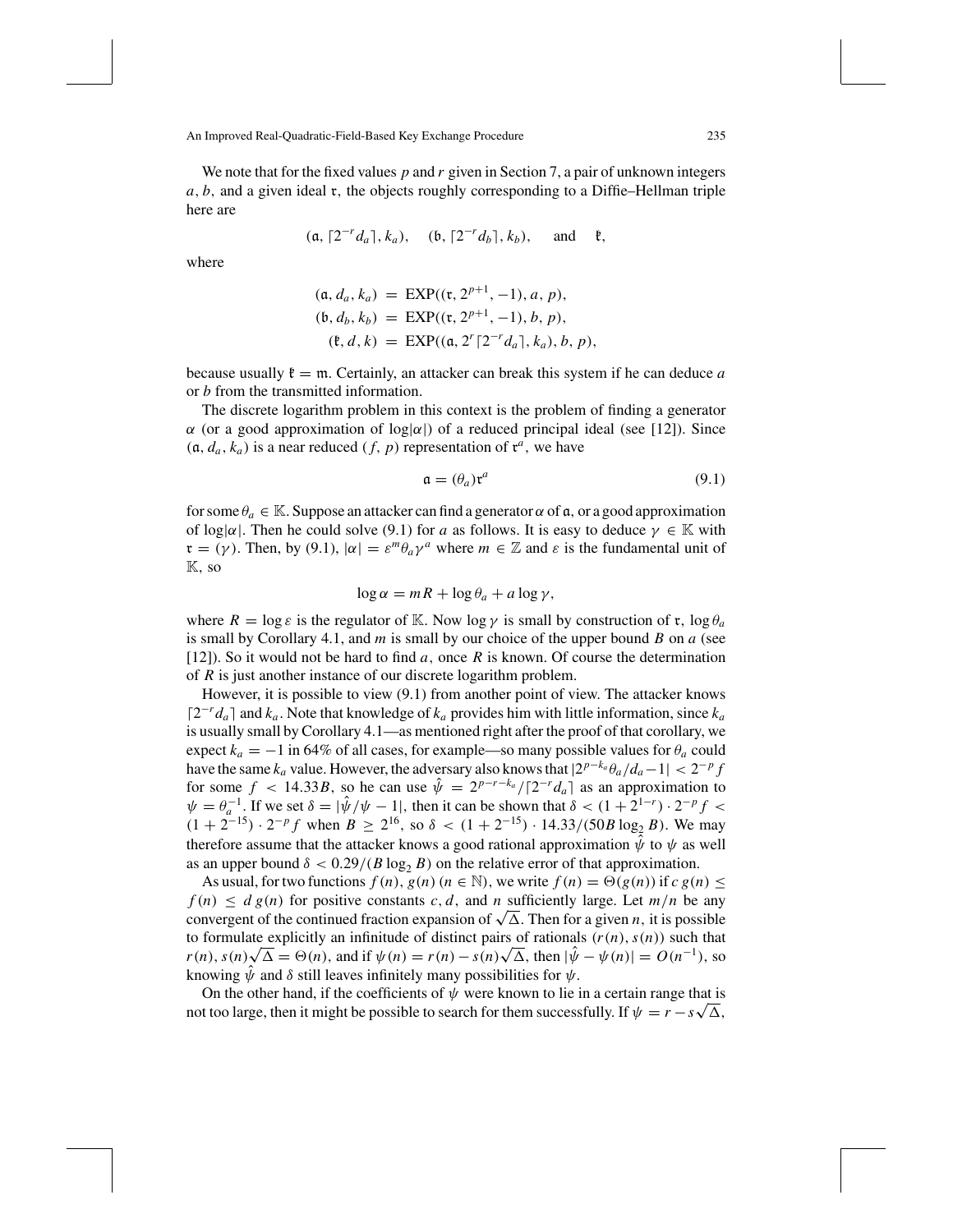We note that for the fixed values *p* and *r* given in Section 7, a pair of unknown integers *a*, *b*, and a given ideal r, the objects roughly corresponding to a Diffie–Hellman triple here are

$$
(\mathfrak{a}, [2^{-r}d_a], k_a),
$$
  $(\mathfrak{b}, [2^{-r}d_b], k_b),$  and  $\mathfrak{k},$ 

where

$$
(\mathfrak{a}, d_a, k_a) = \text{EXP}((\mathfrak{r}, 2^{p+1}, -1), a, p),(\mathfrak{b}, d_b, k_b) = \text{EXP}((\mathfrak{r}, 2^{p+1}, -1), b, p),(\mathfrak{k}, d, k) = \text{EXP}((\mathfrak{a}, 2^r \lceil 2^{-r} d_a \rceil, k_a), b, p),
$$

because usually  $\mathfrak{k} = \mathfrak{m}$ . Certainly, an attacker can break this system if he can deduce *a* or *b* from the transmitted information.

The discrete logarithm problem in this context is the problem of finding a generator α (or a good approximation of log|α|) of a reduced principal ideal (see [12]). Since  $(a, d_a, k_a)$  is a near reduced  $(f, p)$  representation of  $\mathfrak{r}^a$ , we have

$$
\mathfrak{a} = (\theta_a) \mathfrak{r}^a \tag{9.1}
$$

for some  $\theta_a \in \mathbb{K}$ . Suppose an attacker can find a generator  $\alpha$  of  $\mathfrak{a}$ , or a good approximation of log| $\alpha$ |. Then he could solve (9.1) for *a* as follows. It is easy to deduce  $\gamma \in \mathbb{K}$  with  $\mathfrak{r} = (\gamma)$ . Then, by (9.1),  $|\alpha| = \varepsilon^m \theta_a \gamma^a$  where  $m \in \mathbb{Z}$  and  $\varepsilon$  is the fundamental unit of K, so

$$
\log \alpha = mR + \log \theta_a + a \log \gamma,
$$

where  $R = \log \varepsilon$  is the regulator of K. Now  $\log \gamma$  is small by construction of r,  $\log \theta_a$ is small by Corollary 4.1, and *m* is small by our choice of the upper bound *B* on *a* (see [12]). So it would not be hard to find *a*, once *R* is known. Of course the determination of *R* is just another instance of our discrete logarithm problem.

However, it is possible to view (9.1) from another point of view. The attacker knows  $[2^{-r}d_a]$  and  $k_a$ . Note that knowledge of  $k_a$  provides him with little information, since  $k_a$ is usually small by Corollary 4.1—as mentioned right after the proof of that corollary, we expect  $k_a = -1$  in 64% of all cases, for example—so many possible values for  $\theta_a$  could have the same  $k_a$  value. However, the adversary also knows that  $|2^{p-k_a}\theta_a/d_a-1| < 2^{-p}f$ for some  $f < 14.33B$ , so he can use  $\hat{\psi} = 2^{p-r-k_a}/[2^{-r}d_a]$  as an approximation to  $\psi = \theta_a^{-1}$ . If we set  $\delta = |\hat{\psi}/\psi - 1|$ , then it can be shown that  $\delta < (1 + 2^{1-r}) \cdot 2^{-p} f <$  $(1 + 2^{-15}) \cdot 2^{-p} f$  when  $B \ge 2^{16}$ , so  $\delta < (1 + 2^{-15}) \cdot 14.33/(50B \log_2 B)$ . We may therefore assume that the attacker knows a good rational approximation  $\hat{\psi}$  to  $\psi$  as well as an upper bound  $\delta < 0.29/(B \log_2 B)$  on the relative error of that approximation.

As usual, for two functions  $f(n)$ ,  $g(n)$  ( $n \in \mathbb{N}$ ), we write  $f(n) = \Theta(g(n))$  if  $c g(n) \le$  $f(n) \leq d g(n)$  for positive constants *c*, *d*, and *n* sufficiently large. Let  $m/n$  be any convergent of the continued fraction expansion of  $\sqrt{\Delta}$ . Then for a given *n*, it is possible to formulate explicitly an infinitude of distinct pairs of rationals  $(r(n), s(n))$  such that *r*(*n*), *s*(*n*) $\sqrt{\Delta} = \Theta(n)$ , and if  $\psi(n) = r(n) - s(n)\sqrt{\Delta}$ , then  $|\hat{\psi} - \psi(n)| = O(n^{-1})$ , so knowing  $\hat{\psi}$  and  $\delta$  still leaves infinitely many possibilities for  $\psi$ .

On the other hand, if the coefficients of  $\psi$  were known to lie in a certain range that is On the other hand, if the coefficients of  $\psi$  were known to lie in a certain range that is<br>not too large, then it might be possible to search for them successfully. If  $\psi = r - s\sqrt{\Delta}$ ,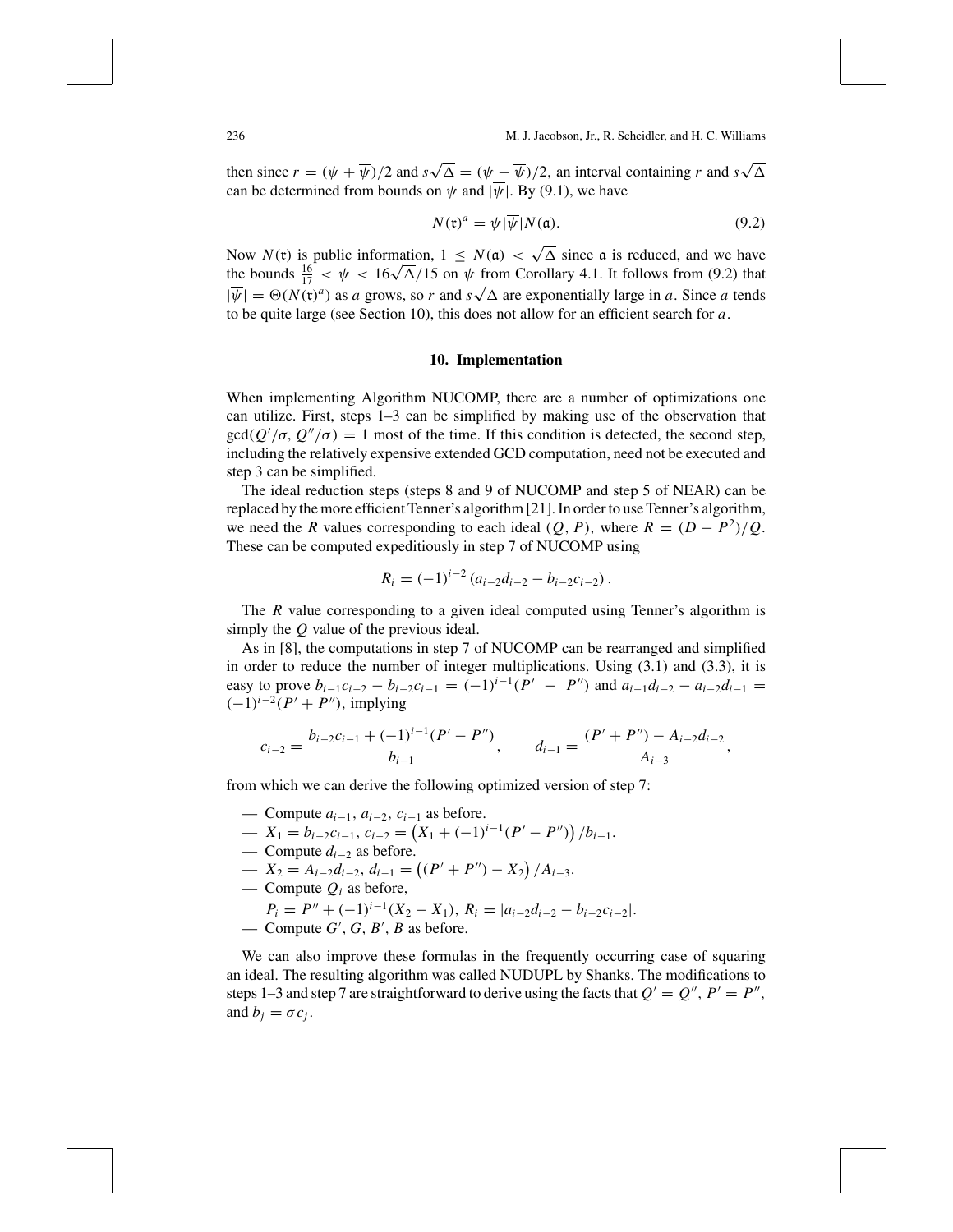then since  $r = (\psi + \overline{\psi})/2$  and  $s\sqrt{\Delta} = (\psi - \overline{\psi})/2$ , an interval containing *r* and  $s\sqrt{\Delta}$ can be determined from bounds on  $\psi$  and  $|\overline{\psi}|$ . By (9.1), we have

$$
N(\mathfrak{r})^a = \psi|\overline{\psi}|N(\mathfrak{a}).\tag{9.2}
$$

Now  $N(\mathfrak{r})$  is public information,  $1 \leq N(\mathfrak{a}) < \sqrt{\Delta}$  since  $\mathfrak{a}$  is reduced, and we have Now  $N(\mathfrak{r})$  is public information,  $1 \le N(\mathfrak{a}) < \sqrt{\Delta}$  since  $\mathfrak{a}$  is reduced, and we have<br>the bounds  $\frac{16}{17} < \psi < 16\sqrt{\Delta}/15$  on  $\psi$  from Corollary 4.1. It follows from (9.2) that  $|\overline{\psi}| = \Theta(N(\mathfrak{r})^a)$  as *a* grows, so *r* and  $s\sqrt{\Delta}$  are exponentially large in *a*. Since *a* tends to be quite large (see Section 10), this does not allow for an efficient search for *a*.

#### **10. Implementation**

When implementing Algorithm NUCOMP, there are a number of optimizations one can utilize. First, steps 1–3 can be simplified by making use of the observation that gcd( $Q'/\sigma$ ,  $Q''/\sigma$ ) = 1 most of the time. If this condition is detected, the second step, including the relatively expensive extended GCD computation, need not be executed and step 3 can be simplified.

The ideal reduction steps (steps 8 and 9 of NUCOMP and step 5 of NEAR) can be replaced by the more efficient Tenner's algorithm [21]. In order to use Tenner's algorithm, we need the *R* values corresponding to each ideal  $(Q, P)$ , where  $R = (D - P^2)/Q$ . These can be computed expeditiously in step 7 of NUCOMP using

$$
R_i = (-1)^{i-2} (a_{i-2}d_{i-2} - b_{i-2}c_{i-2}).
$$

The *R* value corresponding to a given ideal computed using Tenner's algorithm is simply the *Q* value of the previous ideal.

As in [8], the computations in step 7 of NUCOMP can be rearranged and simplified in order to reduce the number of integer multiplications. Using (3.1) and (3.3), it is easy to prove  $b_{i-1}c_{i-2} - b_{i-2}c_{i-1} = (-1)^{i-1}(P' - P'')$  and  $a_{i-1}d_{i-2} - a_{i-2}d_{i-1} =$  $(-1)^{i-2}(P' + P'')$ , implying

$$
c_{i-2} = \frac{b_{i-2}c_{i-1} + (-1)^{i-1}(P' - P'')}{b_{i-1}}, \qquad d_{i-1} = \frac{(P' + P'') - A_{i-2}d_{i-2}}{A_{i-3}},
$$

from which we can derive the following optimized version of step 7:

- Compute *ai*<sup>−</sup>1, *ai*<sup>−</sup>2, *ci*<sup>−</sup><sup>1</sup> as before.
- $\qquad \qquad -X_1 = b_{i-2}c_{i-1}, \, c_{i-2} = (X_1 + (-1)^{i-1}(P' P''))/b_{i-1}.$
- Compute *di*<sup>−</sup><sup>2</sup> as before.
- $\longrightarrow X_2 = A_{i-2}d_{i-2}, d_{i-1} = ((P' + P'') X_2)/A_{i-3}.$
- Compute  $Q_i$  as before,

$$
P_i = P'' + (-1)^{i-1}(X_2 - X_1), R_i = |a_{i-2}d_{i-2} - b_{i-2}c_{i-2}|.
$$

 $\longrightarrow$  Compute *G'*, *G*, *B'*, *B* as before.

We can also improve these formulas in the frequently occurring case of squaring an ideal. The resulting algorithm was called NUDUPL by Shanks. The modifications to steps 1–3 and step 7 are straightforward to derive using the facts that  $Q' = Q''$ ,  $P' = P''$ , and  $b_i = \sigma c_i$ .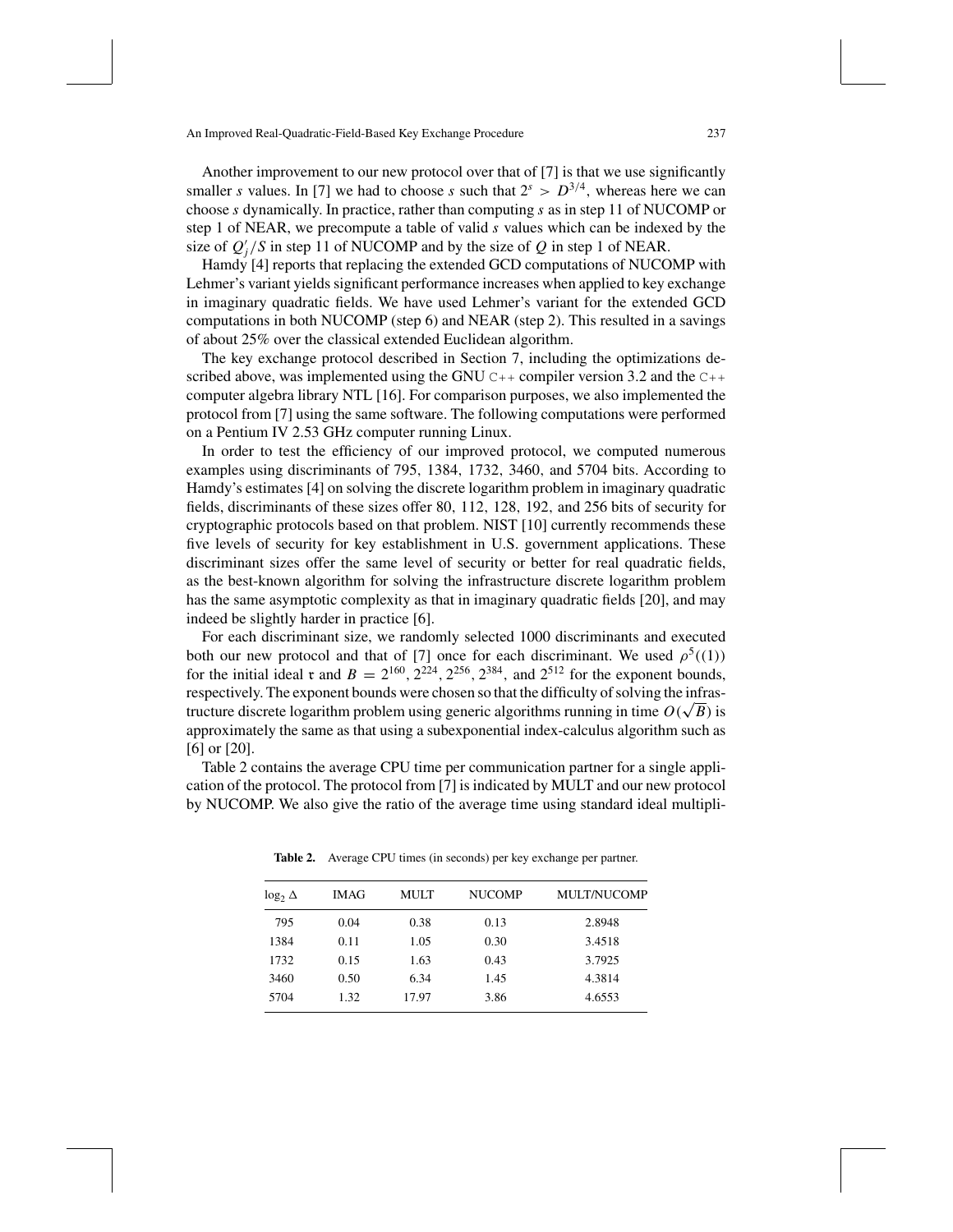Another improvement to our new protocol over that of [7] is that we use significantly smaller *s* values. In [7] we had to choose *s* such that  $2^s > D^{3/4}$ , whereas here we can choose *s* dynamically. In practice, rather than computing *s* as in step 11 of NUCOMP or step 1 of NEAR, we precompute a table of valid *s* values which can be indexed by the size of  $Q_j'/S$  in step 11 of NUCOMP and by the size of  $Q$  in step 1 of NEAR.

Hamdy [4] reports that replacing the extended GCD computations of NUCOMP with Lehmer's variant yields significant performance increases when applied to key exchange in imaginary quadratic fields. We have used Lehmer's variant for the extended GCD computations in both NUCOMP (step 6) and NEAR (step 2). This resulted in a savings of about 25% over the classical extended Euclidean algorithm.

The key exchange protocol described in Section 7, including the optimizations described above, was implemented using the GNU  $C++$  compiler version 3.2 and the  $C++$ computer algebra library NTL [16]. For comparison purposes, we also implemented the protocol from [7] using the same software. The following computations were performed on a Pentium IV 2.53 GHz computer running Linux.

In order to test the efficiency of our improved protocol, we computed numerous examples using discriminants of 795, 1384, 1732, 3460, and 5704 bits. According to Hamdy's estimates [4] on solving the discrete logarithm problem in imaginary quadratic fields, discriminants of these sizes offer 80, 112, 128, 192, and 256 bits of security for cryptographic protocols based on that problem. NIST [10] currently recommends these five levels of security for key establishment in U.S. government applications. These discriminant sizes offer the same level of security or better for real quadratic fields, as the best-known algorithm for solving the infrastructure discrete logarithm problem has the same asymptotic complexity as that in imaginary quadratic fields [20], and may indeed be slightly harder in practice [6].

For each discriminant size, we randomly selected 1000 discriminants and executed both our new protocol and that of [7] once for each discriminant. We used  $\rho^5((1))$ for the initial ideal r and  $B = 2^{160}$ ,  $2^{224}$ ,  $2^{256}$ ,  $2^{384}$ , and  $2^{512}$  for the exponent bounds, respectively. The exponent bounds were chosen so that the difficulty of solving the infrastructure discrete logarithm problem using generic algorithms running in time  $O(\sqrt{B})$  is<br>tructure discrete logarithm problem using generic algorithms running in time  $O(\sqrt{B})$  is approximately the same as that using a subexponential index-calculus algorithm such as [6] or [20].

Table 2 contains the average CPU time per communication partner for a single application of the protocol. The protocol from [7] is indicated by MULT and our new protocol by NUCOMP. We also give the ratio of the average time using standard ideal multipli-

| $\log_2 \Delta$ | <b>IMAG</b> | <b>MULT</b> | <b>NUCOMP</b> | <b>MULT/NUCOMP</b> |
|-----------------|-------------|-------------|---------------|--------------------|
| 795             | 0.04        | 0.38        | 0.13          | 2.8948             |
| 1384            | 0.11        | 1.05        | 0.30          | 3.4518             |
| 1732            | 0.15        | 1.63        | 0.43          | 3.7925             |
| 3460            | 0.50        | 6.34        | 1.45          | 4.3814             |
| 5704            | 1.32        | 17.97       | 3.86          | 4.6553             |

**Table 2.** Average CPU times (in seconds) per key exchange per partner.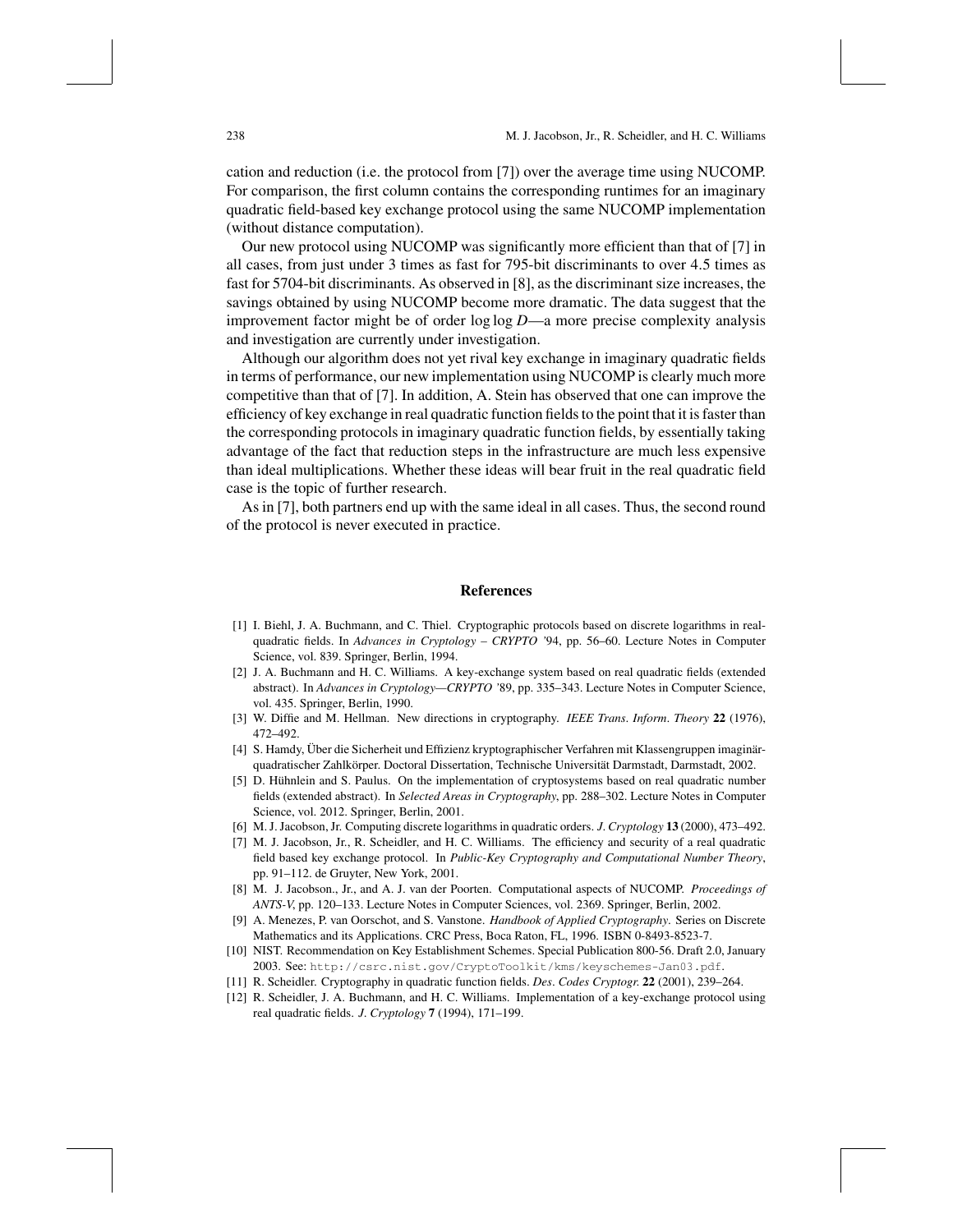cation and reduction (i.e. the protocol from [7]) over the average time using NUCOMP. For comparison, the first column contains the corresponding runtimes for an imaginary quadratic field-based key exchange protocol using the same NUCOMP implementation (without distance computation).

Our new protocol using NUCOMP was significantly more efficient than that of [7] in all cases, from just under 3 times as fast for 795-bit discriminants to over 4.5 times as fast for 5704-bit discriminants. As observed in [8], as the discriminant size increases, the savings obtained by using NUCOMP become more dramatic. The data suggest that the improvement factor might be of order log log *D*—a more precise complexity analysis and investigation are currently under investigation.

Although our algorithm does not yet rival key exchange in imaginary quadratic fields in terms of performance, our new implementation using NUCOMP is clearly much more competitive than that of [7]. In addition, A. Stein has observed that one can improve the efficiency of key exchange in real quadratic function fields to the point that it is faster than the corresponding protocols in imaginary quadratic function fields, by essentially taking advantage of the fact that reduction steps in the infrastructure are much less expensive than ideal multiplications. Whether these ideas will bear fruit in the real quadratic field case is the topic of further research.

As in [7], both partners end up with the same ideal in all cases. Thus, the second round of the protocol is never executed in practice.

#### **References**

- [1] I. Biehl, J. A. Buchmann, and C. Thiel. Cryptographic protocols based on discrete logarithms in realquadratic fields. In *Advances in Cryptology – CRYPTO '*94, pp. 56–60. Lecture Notes in Computer Science, vol. 839. Springer, Berlin, 1994.
- [2] J. A. Buchmann and H. C. Williams. A key-exchange system based on real quadratic fields (extended abstract). In *Advances in Cryptology—CRYPTO '*89, pp. 335–343. Lecture Notes in Computer Science, vol. 435. Springer, Berlin, 1990.
- [3] W. Diffie and M. Hellman. New directions in cryptography. *IEEE Trans*. *Inform*. *Theory* **22** (1976), 472–492.
- [4] S. Hamdy, Über die Sicherheit und Effizienz kryptographischer Verfahren mit Klassengruppen imaginärquadratischer Zahlkörper. Doctoral Dissertation, Technische Universität Darmstadt, Darmstadt, 2002.
- [5] D. Hühnlein and S. Paulus. On the implementation of cryptosystems based on real quadratic number fields (extended abstract). In *Selected Areas in Cryptography*, pp. 288–302. Lecture Notes in Computer Science, vol. 2012. Springer, Berlin, 2001.
- [6] M. J. Jacobson, Jr. Computing discrete logarithms in quadratic orders. *J*. *Cryptology* **13** (2000), 473–492.
- [7] M. J. Jacobson, Jr., R. Scheidler, and H. C. Williams. The efficiency and security of a real quadratic field based key exchange protocol. In *Public-Key Cryptography and Computational Number Theory*, pp. 91–112. de Gruyter, New York, 2001.
- [8] M. J. Jacobson., Jr., and A. J. van der Poorten. Computational aspects of NUCOMP. *Proceedings of ANTS-V*, pp. 120–133. Lecture Notes in Computer Sciences, vol. 2369. Springer, Berlin, 2002.
- [9] A. Menezes, P. van Oorschot, and S. Vanstone. *Handbook of Applied Cryptography*. Series on Discrete Mathematics and its Applications. CRC Press, Boca Raton, FL, 1996. ISBN 0-8493-8523-7.
- [10] NIST. Recommendation on Key Establishment Schemes. Special Publication 800-56. Draft 2.0, January 2003. See: http://csrc.nist.gov/CryptoToolkit/kms/keyschemes-Jan03.pdf.
- [11] R. Scheidler. Cryptography in quadratic function fields. *Des*. *Codes Cryptogr*. **22** (2001), 239–264.
- [12] R. Scheidler, J. A. Buchmann, and H. C. Williams. Implementation of a key-exchange protocol using real quadratic fields. *J*. *Cryptology* **7** (1994), 171–199.